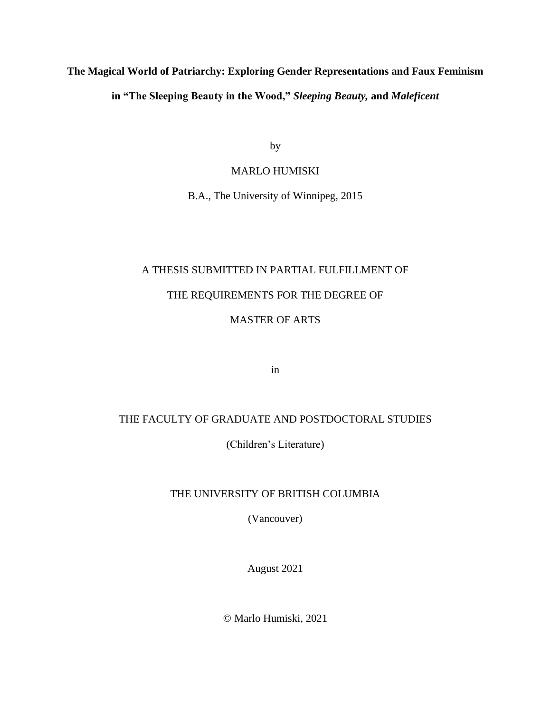# **The Magical World of Patriarchy: Exploring Gender Representations and Faux Feminism in "The Sleeping Beauty in the Wood,"** *Sleeping Beauty,* **and** *Maleficent*

by

## MARLO HUMISKI

B.A., The University of Winnipeg, 2015

# A THESIS SUBMITTED IN PARTIAL FULFILLMENT OF

## THE REQUIREMENTS FOR THE DEGREE OF

## MASTER OF ARTS

in

# THE FACULTY OF GRADUATE AND POSTDOCTORAL STUDIES

(Children's Literature)

## THE UNIVERSITY OF BRITISH COLUMBIA

(Vancouver)

August 2021

© Marlo Humiski, 2021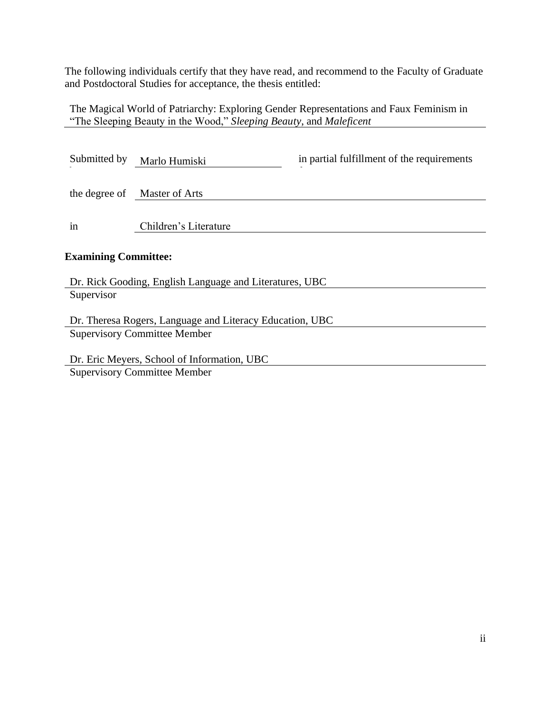The following individuals certify that they have read, and recommend to the Faculty of Graduate and Postdoctoral Studies for acceptance, the thesis entitled:

The Magical World of Patriarchy: Exploring Gender Representations and Faux Feminism in "The Sleeping Beauty in the Wood," *Sleeping Beauty*, and *Maleficent*

| Submitted by                                             | Marlo Humiski                | in partial fulfillment of the requirements |  |  |
|----------------------------------------------------------|------------------------------|--------------------------------------------|--|--|
|                                                          | the degree of Master of Arts |                                            |  |  |
| in                                                       | Children's Literature        |                                            |  |  |
| <b>Examining Committee:</b>                              |                              |                                            |  |  |
| Dr. Rick Gooding, English Language and Literatures, UBC  |                              |                                            |  |  |
| Supervisor                                               |                              |                                            |  |  |
| Dr. Theresa Rogers, Language and Literacy Education, UBC |                              |                                            |  |  |
| <b>Supervisory Committee Member</b>                      |                              |                                            |  |  |
| Dr. Eric Meyers, School of Information, UBC              |                              |                                            |  |  |

Supervisory Committee Member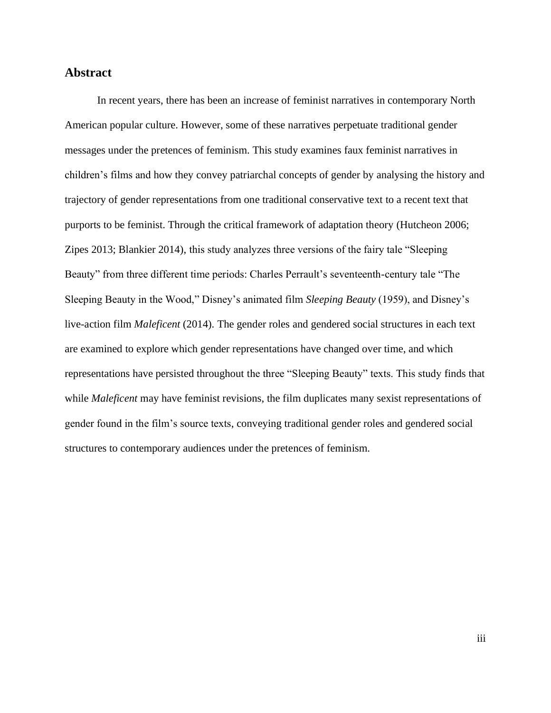### **Abstract**

In recent years, there has been an increase of feminist narratives in contemporary North American popular culture. However, some of these narratives perpetuate traditional gender messages under the pretences of feminism. This study examines faux feminist narratives in children's films and how they convey patriarchal concepts of gender by analysing the history and trajectory of gender representations from one traditional conservative text to a recent text that purports to be feminist. Through the critical framework of adaptation theory (Hutcheon 2006; Zipes 2013; Blankier 2014), this study analyzes three versions of the fairy tale "Sleeping Beauty" from three different time periods: Charles Perrault's seventeenth-century tale "The Sleeping Beauty in the Wood," Disney's animated film *Sleeping Beauty* (1959), and Disney's live-action film *Maleficent* (2014). The gender roles and gendered social structures in each text are examined to explore which gender representations have changed over time, and which representations have persisted throughout the three "Sleeping Beauty" texts. This study finds that while *Maleficent* may have feminist revisions, the film duplicates many sexist representations of gender found in the film's source texts, conveying traditional gender roles and gendered social structures to contemporary audiences under the pretences of feminism.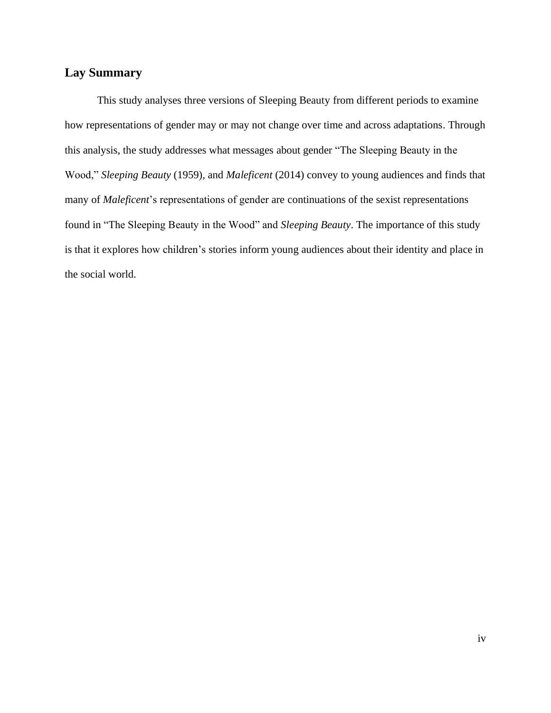## **Lay Summary**

This study analyses three versions of Sleeping Beauty from different periods to examine how representations of gender may or may not change over time and across adaptations. Through this analysis, the study addresses what messages about gender "The Sleeping Beauty in the Wood," *Sleeping Beauty* (1959)*,* and *Maleficent* (2014) convey to young audiences and finds that many of *Maleficent*'s representations of gender are continuations of the sexist representations found in "The Sleeping Beauty in the Wood" and *Sleeping Beauty*. The importance of this study is that it explores how children's stories inform young audiences about their identity and place in the social world.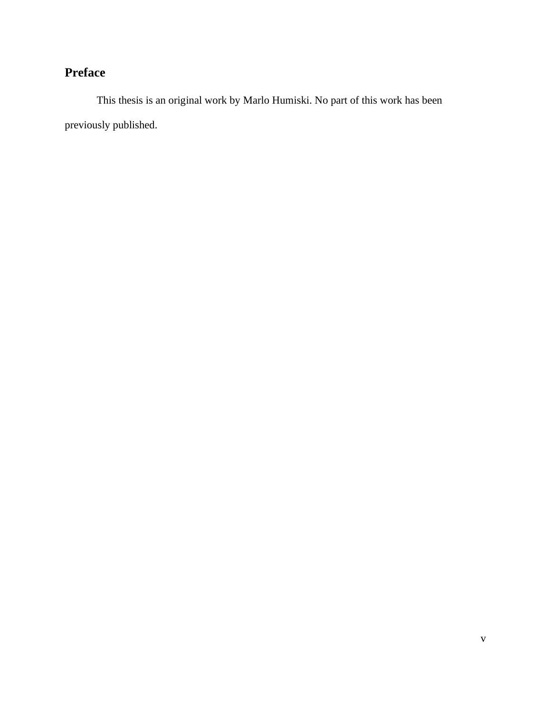# **Preface**

This thesis is an original work by Marlo Humiski. No part of this work has been previously published.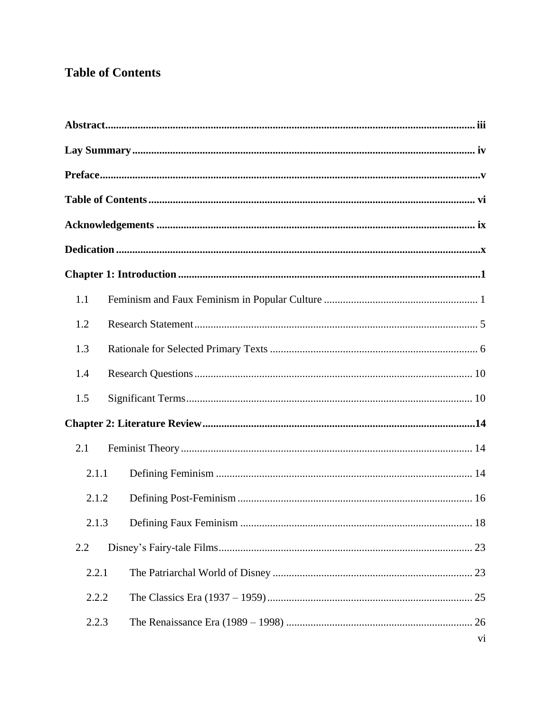# **Table of Contents**

| 1.1   |                 |
|-------|-----------------|
| 1.2   |                 |
| 1.3   |                 |
| 1.4   |                 |
| 1.5   |                 |
|       |                 |
| 2.1   |                 |
| 2.1.1 |                 |
| 2.1.2 |                 |
|       |                 |
| 2.2   |                 |
| 2.2.1 |                 |
| 2.2.2 |                 |
| 2.2.3 |                 |
|       | $\overline{vi}$ |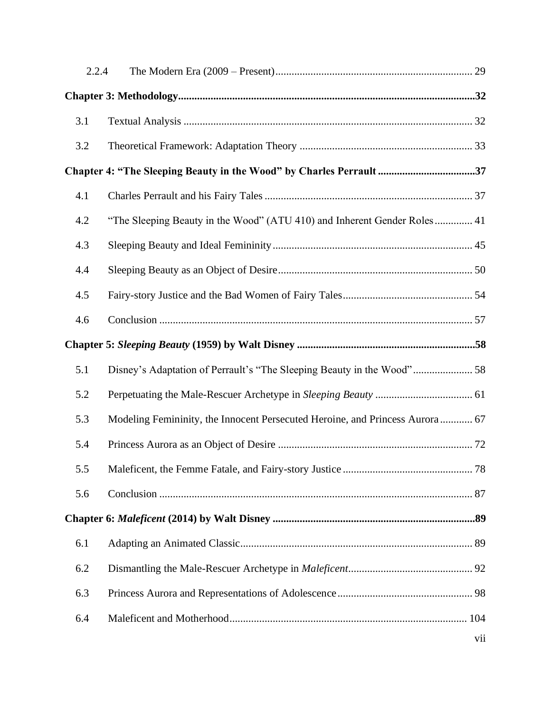| 2.2.4 |                                                                               |     |
|-------|-------------------------------------------------------------------------------|-----|
|       |                                                                               |     |
| 3.1   |                                                                               |     |
| 3.2   |                                                                               |     |
|       | Chapter 4: "The Sleeping Beauty in the Wood" by Charles Perrault 37           |     |
| 4.1   |                                                                               |     |
| 4.2   | "The Sleeping Beauty in the Wood" (ATU 410) and Inherent Gender Roles 41      |     |
| 4.3   |                                                                               |     |
| 4.4   |                                                                               |     |
| 4.5   |                                                                               |     |
| 4.6   |                                                                               |     |
|       |                                                                               |     |
| 5.1   | Disney's Adaptation of Perrault's "The Sleeping Beauty in the Wood" 58        |     |
| 5.2   |                                                                               |     |
| 5.3   | Modeling Femininity, the Innocent Persecuted Heroine, and Princess Aurora  67 |     |
| 5.4   |                                                                               |     |
| 5.5   |                                                                               |     |
| 5.6   |                                                                               |     |
|       |                                                                               |     |
| 6.1   |                                                                               |     |
| 6.2   |                                                                               |     |
| 6.3   |                                                                               |     |
| 6.4   |                                                                               |     |
|       |                                                                               | vii |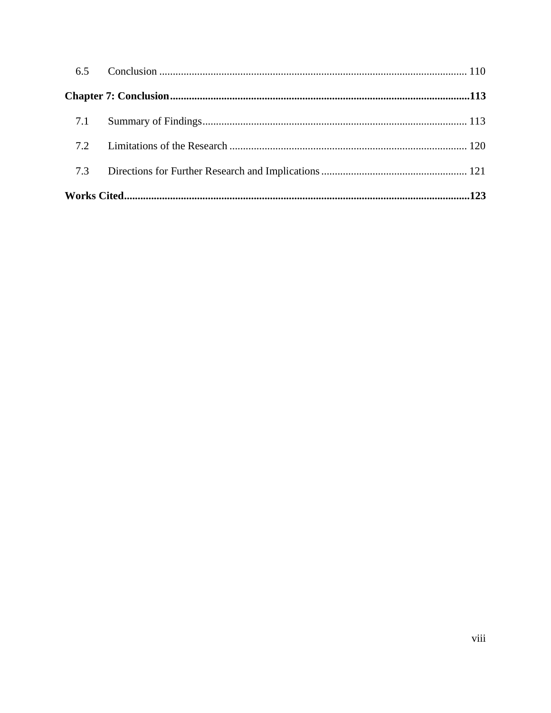| 7.1 |  |  |
|-----|--|--|
| 7.2 |  |  |
| 7.3 |  |  |
|     |  |  |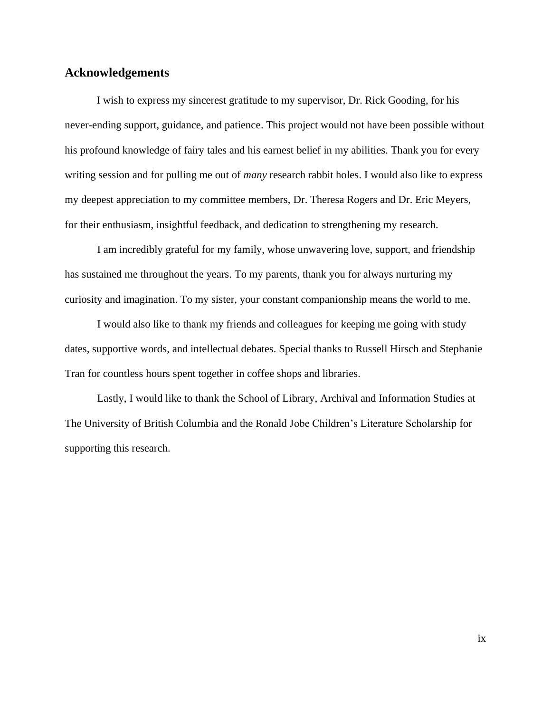## **Acknowledgements**

I wish to express my sincerest gratitude to my supervisor, Dr. Rick Gooding, for his never-ending support, guidance, and patience. This project would not have been possible without his profound knowledge of fairy tales and his earnest belief in my abilities. Thank you for every writing session and for pulling me out of *many* research rabbit holes. I would also like to express my deepest appreciation to my committee members, Dr. Theresa Rogers and Dr. Eric Meyers, for their enthusiasm, insightful feedback, and dedication to strengthening my research.

I am incredibly grateful for my family, whose unwavering love, support, and friendship has sustained me throughout the years. To my parents, thank you for always nurturing my curiosity and imagination. To my sister, your constant companionship means the world to me.

I would also like to thank my friends and colleagues for keeping me going with study dates, supportive words, and intellectual debates. Special thanks to Russell Hirsch and Stephanie Tran for countless hours spent together in coffee shops and libraries.

Lastly, I would like to thank the School of Library, Archival and Information Studies at The University of British Columbia and the Ronald Jobe Children's Literature Scholarship for supporting this research.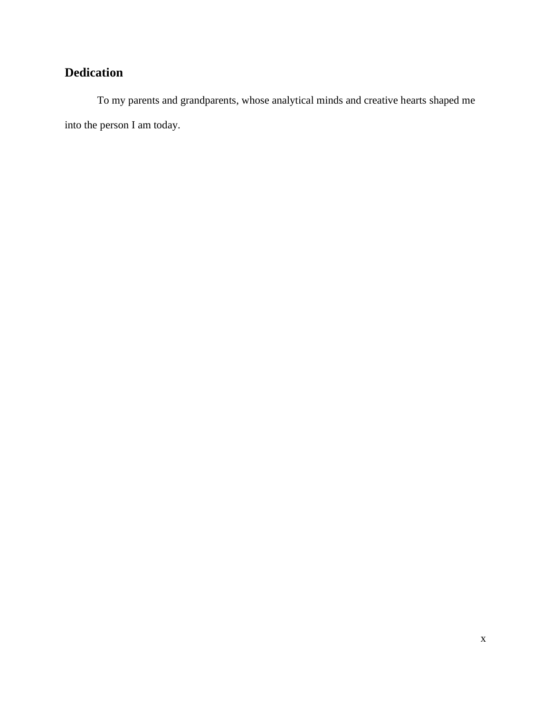# **Dedication**

To my parents and grandparents, whose analytical minds and creative hearts shaped me into the person I am today.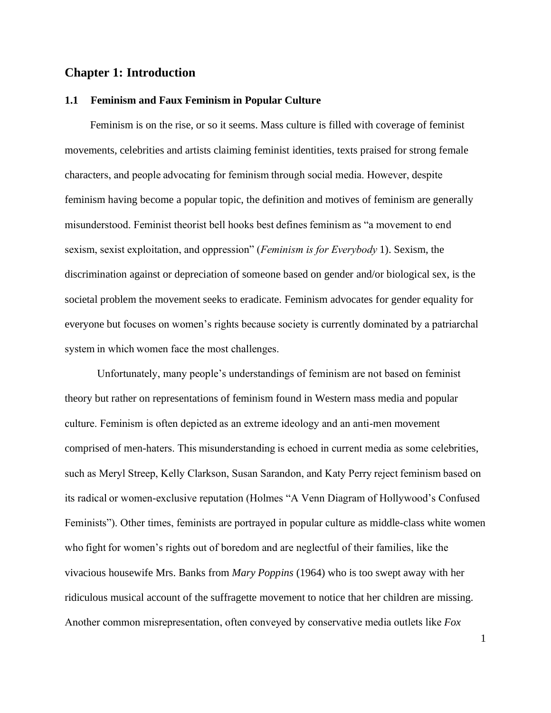## **Chapter 1: Introduction**

#### **1.1 Feminism and Faux Feminism in Popular Culture**

Feminism is on the rise, or so it seems. Mass culture is filled with coverage of feminist movements, celebrities and artists claiming feminist identities, texts praised for strong female characters, and people advocating for feminism through social media. However, despite feminism having become a popular topic, the definition and motives of feminism are generally misunderstood. Feminist theorist bell hooks best defines feminism as "a movement to end sexism, sexist exploitation, and oppression" (*Feminism is for Everybody*1). Sexism, the discrimination against or depreciation of someone based on gender and/or biological sex, is the societal problem the movement seeks to eradicate. Feminism advocates for gender equality for everyone but focuses on women's rights because society is currently dominated by a patriarchal system in which women face the most challenges.

Unfortunately, many people's understandings of feminism are not based on feminist theory but rather on representations of feminism found in Western mass media and popular culture. Feminism is often depicted as an extreme ideology and an anti-men movement comprised of men-haters. This misunderstanding is echoed in current media as some celebrities, such as Meryl Streep, Kelly Clarkson, Susan Sarandon, and Katy Perry reject feminism based on its radical or women-exclusive reputation (Holmes "A Venn Diagram of Hollywood's Confused Feminists"). Other times, feminists are portrayed in popular culture as middle-class white women who fight for women's rights out of boredom and are neglectful of their families, like the vivacious housewife Mrs. Banks from *Mary Poppins* (1964) who is too swept away with her ridiculous musical account of the suffragette movement to notice that her children are missing*.*  Another common misrepresentation, often conveyed by conservative media outlets like *Fox*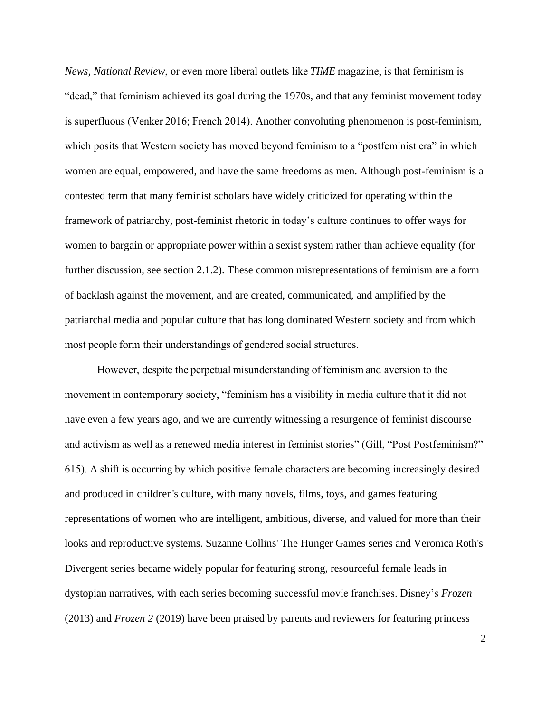*News, National Review*, or even more liberal outlets like *TIME* magazine, is that feminism is "dead," that feminism achieved its goal during the 1970s, and that any feminist movement today is superfluous (Venker 2016; French 2014). Another convoluting phenomenon is post-feminism, which posits that Western society has moved beyond feminism to a "postfeminist era" in which women are equal, empowered, and have the same freedoms as men. Although post-feminism is a contested term that many feminist scholars have widely criticized for operating within the framework of patriarchy, post-feminist rhetoric in today's culture continues to offer ways for women to bargain or appropriate power within a sexist system rather than achieve equality (for further discussion, see section 2.1.2). These common misrepresentations of feminism are a form of backlash against the movement, and are created, communicated, and amplified by the patriarchal media and popular culture that has long dominated Western society and from which most people form their understandings of gendered social structures.

However, despite the perpetual misunderstanding of feminism and aversion to the movement in contemporary society, "feminism has a visibility in media culture that it did not have even a few years ago, and we are currently witnessing a resurgence of feminist discourse and activism as well as a renewed media interest in feminist stories" (Gill, "Post Postfeminism?" 615). A shift is occurring by which positive female characters are becoming increasingly desired and produced in children's culture, with many novels, films, toys, and games featuring representations of women who are intelligent, ambitious, diverse, and valued for more than their looks and reproductive systems. Suzanne Collins' The Hunger Games series and Veronica Roth's Divergent series became widely popular for featuring strong, resourceful female leads in dystopian narratives, with each series becoming successful movie franchises. Disney's *Frozen*  (2013) and *Frozen 2* (2019) have been praised by parents and reviewers for featuring princess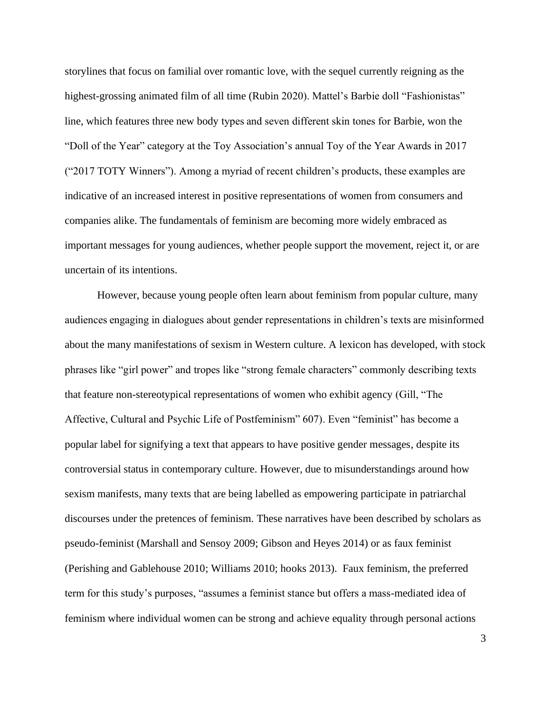storylines that focus on familial over romantic love, with the sequel currently reigning as the highest-grossing animated film of all time (Rubin 2020). Mattel's Barbie doll "Fashionistas" line, which features three new body types and seven different skin tones for Barbie, won the "Doll of the Year" category at the Toy Association's annual Toy of the Year Awards in 2017 ("2017 TOTY Winners"). Among a myriad of recent children's products, these examples are indicative of an increased interest in positive representations of women from consumers and companies alike. The fundamentals of feminism are becoming more widely embraced as important messages for young audiences, whether people support the movement, reject it, or are uncertain of its intentions.

However, because young people often learn about feminism from popular culture, many audiences engaging in dialogues about gender representations in children's texts are misinformed about the many manifestations of sexism in Western culture. A lexicon has developed, with stock phrases like "girl power" and tropes like "strong female characters" commonly describing texts that feature non-stereotypical representations of women who exhibit agency (Gill, "The Affective, Cultural and Psychic Life of Postfeminism" 607). Even "feminist" has become a popular label for signifying a text that appears to have positive gender messages, despite its controversial status in contemporary culture. However, due to misunderstandings around how sexism manifests, many texts that are being labelled as empowering participate in patriarchal discourses under the pretences of feminism. These narratives have been described by scholars as pseudo-feminist (Marshall and Sensoy 2009; Gibson and Heyes 2014) or as faux feminist (Perishing and Gablehouse 2010; Williams 2010; hooks 2013). Faux feminism, the preferred term for this study's purposes, "assumes a feminist stance but offers a mass-mediated idea of feminism where individual women can be strong and achieve equality through personal actions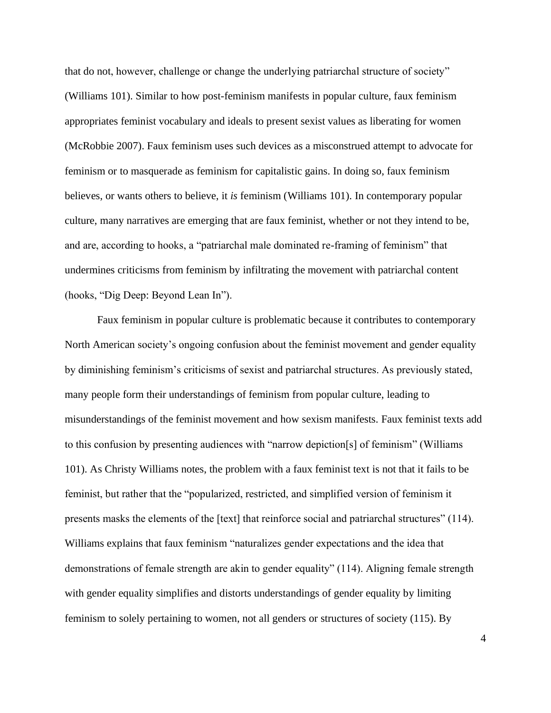that do not, however, challenge or change the underlying patriarchal structure of society" (Williams 101). Similar to how post-feminism manifests in popular culture, faux feminism appropriates feminist vocabulary and ideals to present sexist values as liberating for women (McRobbie 2007). Faux feminism uses such devices as a misconstrued attempt to advocate for feminism or to masquerade as feminism for capitalistic gains. In doing so, faux feminism believes, or wants others to believe, it *is* feminism (Williams 101). In contemporary popular culture, many narratives are emerging that are faux feminist, whether or not they intend to be, and are, according to hooks, a "patriarchal male dominated re-framing of feminism" that undermines criticisms from feminism by infiltrating the movement with patriarchal content (hooks, "Dig Deep: Beyond Lean In").

Faux feminism in popular culture is problematic because it contributes to contemporary North American society's ongoing confusion about the feminist movement and gender equality by diminishing feminism's criticisms of sexist and patriarchal structures. As previously stated, many people form their understandings of feminism from popular culture, leading to misunderstandings of the feminist movement and how sexism manifests. Faux feminist texts add to this confusion by presenting audiences with "narrow depiction[s] of feminism" (Williams 101). As Christy Williams notes, the problem with a faux feminist text is not that it fails to be feminist, but rather that the "popularized, restricted, and simplified version of feminism it presents masks the elements of the [text] that reinforce social and patriarchal structures" (114). Williams explains that faux feminism "naturalizes gender expectations and the idea that demonstrations of female strength are akin to gender equality" (114). Aligning female strength with gender equality simplifies and distorts understandings of gender equality by limiting feminism to solely pertaining to women, not all genders or structures of society (115). By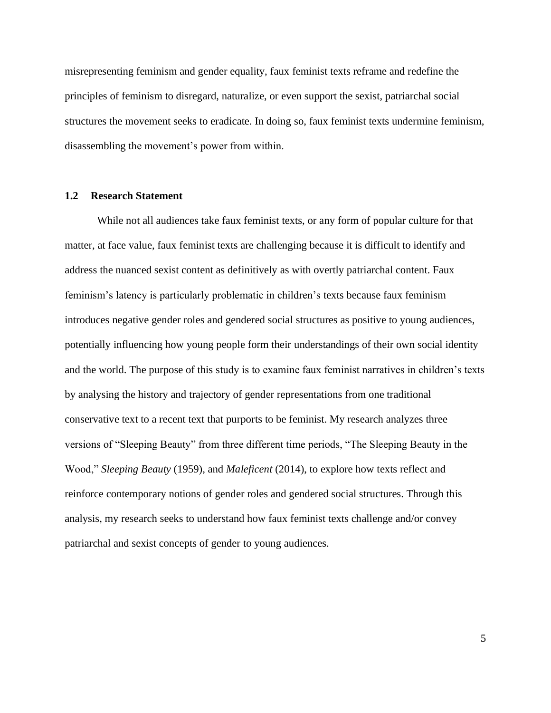misrepresenting feminism and gender equality, faux feminist texts reframe and redefine the principles of feminism to disregard, naturalize, or even support the sexist, patriarchal social structures the movement seeks to eradicate. In doing so, faux feminist texts undermine feminism, disassembling the movement's power from within.

#### **1.2 Research Statement**

While not all audiences take faux feminist texts, or any form of popular culture for that matter, at face value, faux feminist texts are challenging because it is difficult to identify and address the nuanced sexist content as definitively as with overtly patriarchal content. Faux feminism's latency is particularly problematic in children's texts because faux feminism introduces negative gender roles and gendered social structures as positive to young audiences, potentially influencing how young people form their understandings of their own social identity and the world. The purpose of this study is to examine faux feminist narratives in children's texts by analysing the history and trajectory of gender representations from one traditional conservative text to a recent text that purports to be feminist. My research analyzes three versions of "Sleeping Beauty" from three different time periods, "The Sleeping Beauty in the Wood," *Sleeping Beauty* (1959), and *Maleficent* (2014), to explore how texts reflect and reinforce contemporary notions of gender roles and gendered social structures. Through this analysis, my research seeks to understand how faux feminist texts challenge and/or convey patriarchal and sexist concepts of gender to young audiences.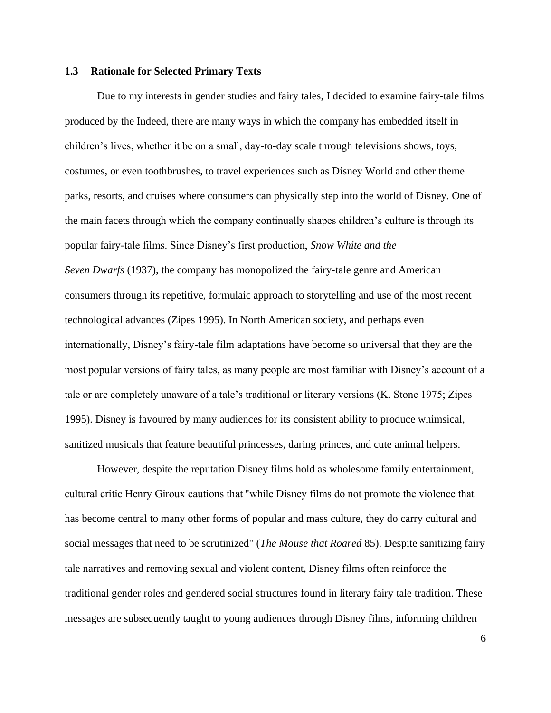#### **1.3 Rationale for Selected Primary Texts**

Due to my interests in gender studies and fairy tales, I decided to examine fairy-tale films produced by the Indeed, there are many ways in which the company has embedded itself in children's lives, whether it be on a small, day-to-day scale through televisions shows, toys, costumes, or even toothbrushes, to travel experiences such as Disney World and other theme parks, resorts, and cruises where consumers can physically step into the world of Disney. One of the main facets through which the company continually shapes children's culture is through its popular fairy-tale films. Since Disney's first production, *Snow White and the Seven Dwarfs* (1937), the company has monopolized the fairy-tale genre and American consumers through its repetitive, formulaic approach to storytelling and use of the most recent technological advances (Zipes 1995). In North American society, and perhaps even internationally, Disney's fairy-tale film adaptations have become so universal that they are the most popular versions of fairy tales, as many people are most familiar with Disney's account of a tale or are completely unaware of a tale's traditional or literary versions (K. Stone 1975; Zipes 1995). Disney is favoured by many audiences for its consistent ability to produce whimsical, sanitized musicals that feature beautiful princesses, daring princes, and cute animal helpers.

However, despite the reputation Disney films hold as wholesome family entertainment, cultural critic Henry Giroux cautions that "while Disney films do not promote the violence that has become central to many other forms of popular and mass culture, they do carry cultural and social messages that need to be scrutinized" (*The Mouse that Roared* 85). Despite sanitizing fairy tale narratives and removing sexual and violent content, Disney films often reinforce the traditional gender roles and gendered social structures found in literary fairy tale tradition. These messages are subsequently taught to young audiences through Disney films, informing children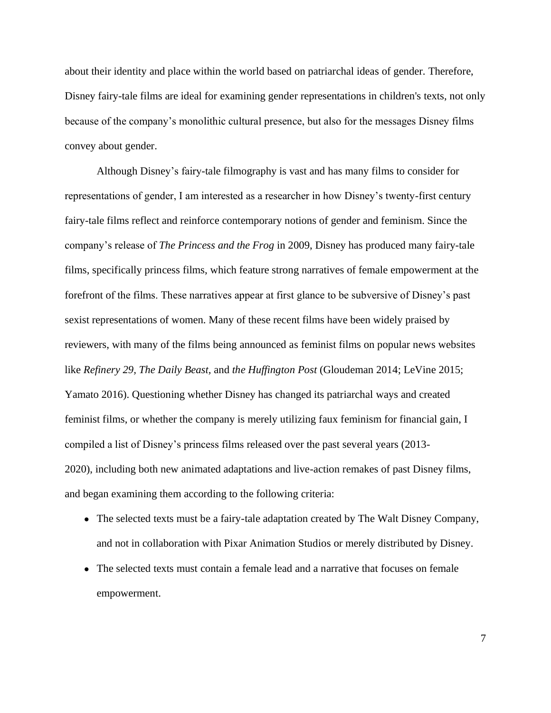about their identity and place within the world based on patriarchal ideas of gender. Therefore, Disney fairy-tale films are ideal for examining gender representations in children's texts, not only because of the company's monolithic cultural presence, but also for the messages Disney films convey about gender.

Although Disney's fairy-tale filmography is vast and has many films to consider for representations of gender, I am interested as a researcher in how Disney's twenty-first century fairy-tale films reflect and reinforce contemporary notions of gender and feminism. Since the company's release of *The Princess and the Frog* in 2009, Disney has produced many fairy-tale films, specifically princess films, which feature strong narratives of female empowerment at the forefront of the films. These narratives appear at first glance to be subversive of Disney's past sexist representations of women. Many of these recent films have been widely praised by reviewers, with many of the films being announced as feminist films on popular news websites like *Refinery 29, The Daily Beast,* and *the Huffington Post* (Gloudeman 2014; LeVine 2015; Yamato 2016). Questioning whether Disney has changed its patriarchal ways and created feminist films, or whether the company is merely utilizing faux feminism for financial gain, I compiled a list of Disney's princess films released over the past several years (2013- 2020), including both new animated adaptations and live-action remakes of past Disney films, and began examining them according to the following criteria:

- The selected texts must be a fairy-tale adaptation created by The Walt Disney Company, and not in collaboration with Pixar Animation Studios or merely distributed by Disney.
- The selected texts must contain a female lead and a narrative that focuses on female empowerment.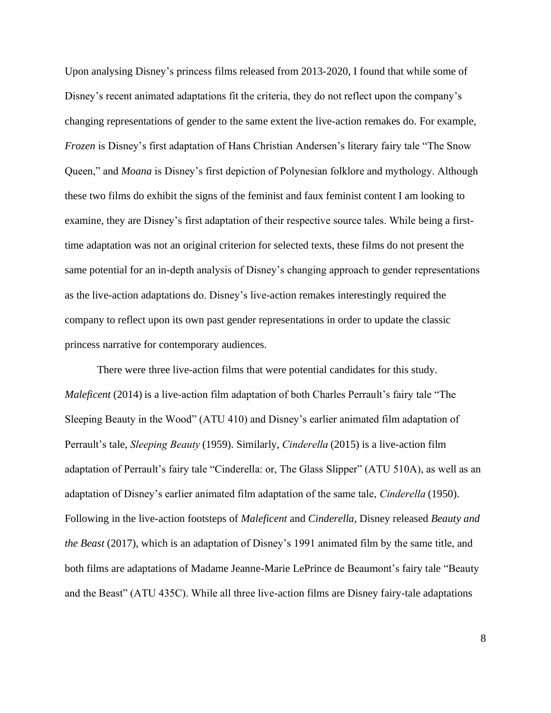Upon analysing Disney's princess films released from 2013-2020, I found that while some of Disney's recent animated adaptations fit the criteria, they do not reflect upon the company's changing representations of gender to the same extent the live-action remakes do. For example, *Frozen* is Disney's first adaptation of Hans Christian Andersen's literary fairy tale "The Snow Queen," and *Moana* is Disney's first depiction of Polynesian folklore and mythology. Although these two films do exhibit the signs of the feminist and faux feminist content I am looking to examine, they are Disney's first adaptation of their respective source tales. While being a firsttime adaptation was not an original criterion for selected texts, these films do not present the same potential for an in-depth analysis of Disney's changing approach to gender representations as the live-action adaptations do. Disney's live-action remakes interestingly required the company to reflect upon its own past gender representations in order to update the classic princess narrative for contemporary audiences.

There were three live-action films that were potential candidates for this study. *Maleficent* (2014) is a live-action film adaptation of both Charles Perrault's fairy tale "The Sleeping Beauty in the Wood" (ATU 410) and Disney's earlier animated film adaptation of Perrault's tale, *Sleeping Beauty*(1959). Similarly, *Cinderella*(2015) is a live-action film adaptation of Perrault's fairy tale "Cinderella: or, The Glass Slipper" (ATU 510A), as well as an adaptation of Disney's earlier animated film adaptation of the same tale, *Cinderella*(1950). Following in the live-action footsteps of *Maleficent* and *Cinderella,* Disney released *Beauty and the Beast* (2017), which is an adaptation of Disney's 1991 animated film by the same title, and both films are adaptations of Madame Jeanne-Marie LePrince de Beaumont's fairy tale "Beauty and the Beast" (ATU 435C). While all three live-action films are Disney fairy-tale adaptations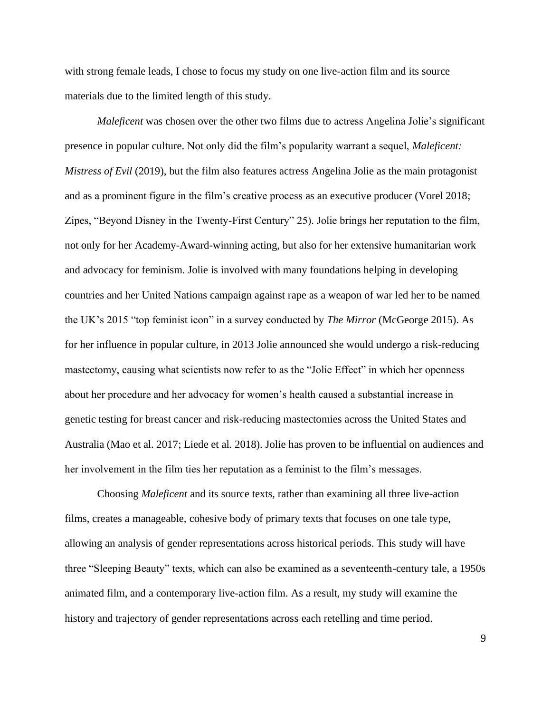with strong female leads, I chose to focus my study on one live-action film and its source materials due to the limited length of this study.

*Maleficent* was chosen over the other two films due to actress Angelina Jolie's significant presence in popular culture. Not only did the film's popularity warrant a sequel, *Maleficent: Mistress of Evil* (2019), but the film also features actress Angelina Jolie as the main protagonist and as a prominent figure in the film's creative process as an executive producer (Vorel 2018; Zipes, "Beyond Disney in the Twenty-First Century" 25). Jolie brings her reputation to the film, not only for her Academy-Award-winning acting, but also for her extensive humanitarian work and advocacy for feminism. Jolie is involved with many foundations helping in developing countries and her United Nations campaign against rape as a weapon of war led her to be named the UK's 2015 "top feminist icon" in a survey conducted by *The Mirror* (McGeorge 2015). As for her influence in popular culture, in 2013 Jolie announced she would undergo a risk-reducing mastectomy, causing what scientists now refer to as the "Jolie Effect" in which her openness about her procedure and her advocacy for women's health caused a substantial increase in genetic testing for breast cancer and risk-reducing mastectomies across the United States and Australia (Mao et al. 2017; Liede et al. 2018). Jolie has proven to be influential on audiences and her involvement in the film ties her reputation as a feminist to the film's messages.

Choosing *Maleficent* and its source texts, rather than examining all three live-action films, creates a manageable, cohesive body of primary texts that focuses on one tale type, allowing an analysis of gender representations across historical periods. This study will have three "Sleeping Beauty" texts, which can also be examined as a seventeenth-century tale, a 1950s animated film, and a contemporary live-action film. As a result, my study will examine the history and trajectory of gender representations across each retelling and time period.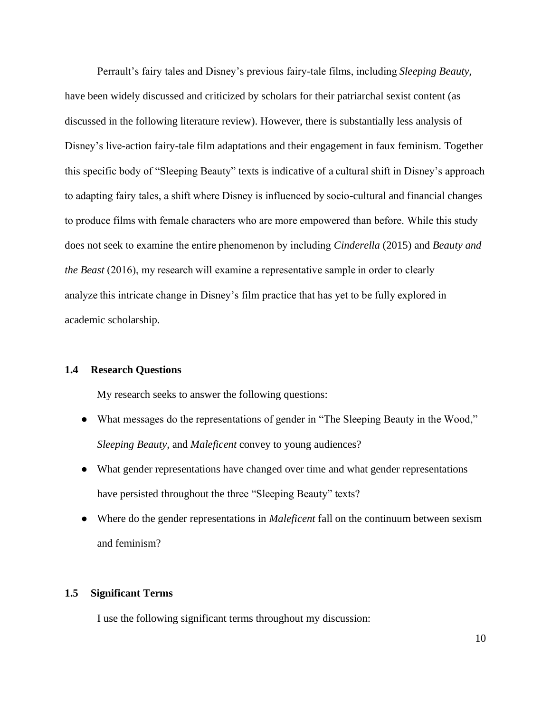Perrault's fairy tales and Disney's previous fairy-tale films, including *Sleeping Beauty,*  have been widely discussed and criticized by scholars for their patriarchal sexist content (as discussed in the following literature review). However, there is substantially less analysis of Disney's live-action fairy-tale film adaptations and their engagement in faux feminism. Together this specific body of "Sleeping Beauty" texts is indicative of a cultural shift in Disney's approach to adapting fairy tales, a shift where Disney is influenced by socio-cultural and financial changes to produce films with female characters who are more empowered than before. While this study does not seek to examine the entire phenomenon by including *Cinderella* (2015) and *Beauty and the Beast* (2016), my research will examine a representative sample in order to clearly analyze this intricate change in Disney's film practice that has yet to be fully explored in academic scholarship.

#### **1.4 Research Questions**

My research seeks to answer the following questions:

- What messages do the representations of gender in "The Sleeping Beauty in the Wood," *Sleeping Beauty,* and *Maleficent* convey to young audiences?
- What gender representations have changed over time and what gender representations have persisted throughout the three "Sleeping Beauty" texts?
- Where do the gender representations in *Maleficent* fall on the continuum between sexism and feminism?

#### **1.5 Significant Terms**

I use the following significant terms throughout my discussion: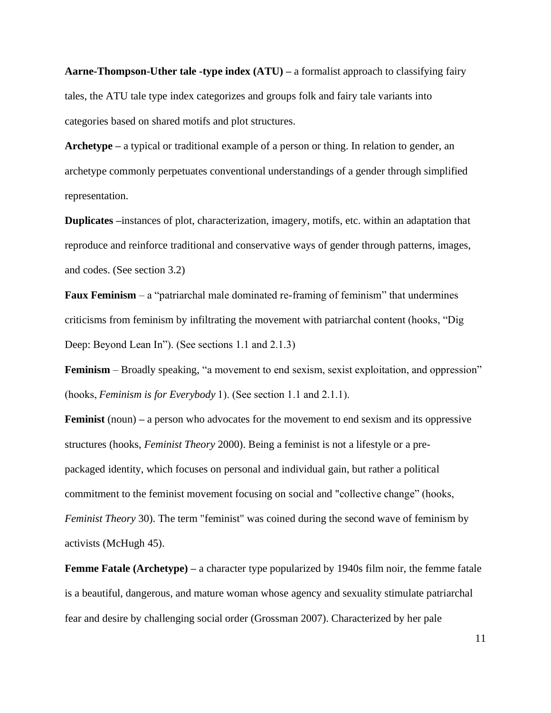**Aarne-Thompson-Uther tale -type index (ATU) – a formalist approach to classifying fairy** tales, the ATU tale type index categorizes and groups folk and fairy tale variants into categories based on shared motifs and plot structures.

**Archetype –** a typical or traditional example of a person or thing. In relation to gender, an archetype commonly perpetuates conventional understandings of a gender through simplified representation.

**Duplicates –**instances of plot, characterization, imagery, motifs, etc. within an adaptation that reproduce and reinforce traditional and conservative ways of gender through patterns, images, and codes. (See section 3.2)

**Faux Feminism** – a "patriarchal male dominated re-framing of feminism" that undermines criticisms from feminism by infiltrating the movement with patriarchal content (hooks, "Dig Deep: Beyond Lean In"). (See sections 1.1 and 2.1.3)

**Feminism** – Broadly speaking, "a movement to end sexism, sexist exploitation, and oppression" (hooks, *Feminism is for Everybody* 1). (See section 1.1 and 2.1.1).

**Feminist** (noun) – a person who advocates for the movement to end sexism and its oppressive structures (hooks, *Feminist Theory* 2000). Being a feminist is not a lifestyle or a prepackaged identity, which focuses on personal and individual gain, but rather a political commitment to the feminist movement focusing on social and "collective change" (hooks, *Feminist Theory* 30). The term "feminist" was coined during the second wave of feminism by activists (McHugh 45).

**Femme Fatale (Archetype) –** a character type popularized by 1940s film noir, the femme fatale is a beautiful, dangerous, and mature woman whose agency and sexuality stimulate patriarchal fear and desire by challenging social order (Grossman 2007). Characterized by her pale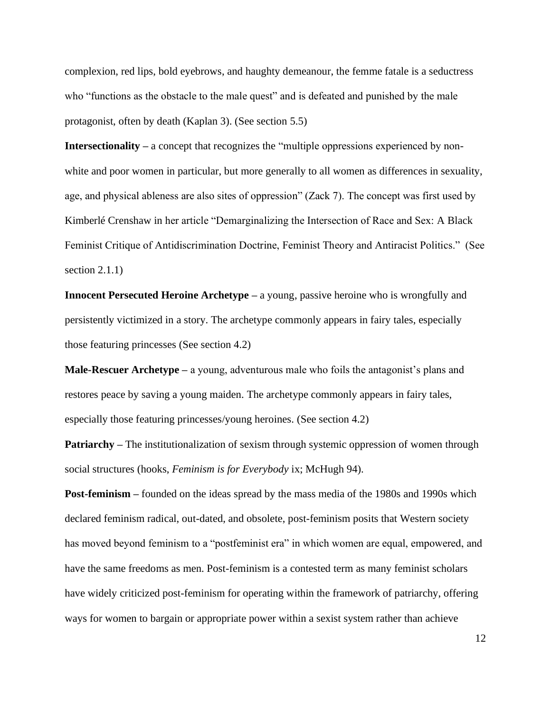complexion, red lips, bold eyebrows, and haughty demeanour, the femme fatale is a seductress who "functions as the obstacle to the male quest" and is defeated and punished by the male protagonist, often by death (Kaplan 3). (See section 5.5)

**Intersectionality** – a concept that recognizes the "multiple oppressions experienced by nonwhite and poor women in particular, but more generally to all women as differences in sexuality, age, and physical ableness are also sites of oppression" (Zack 7). The concept was first used by Kimberlé Crenshaw in her article "Demarginalizing the Intersection of Race and Sex: A Black Feminist Critique of Antidiscrimination Doctrine, Feminist Theory and Antiracist Politics." (See section  $2.1.1$ )

**Innocent Persecuted Heroine Archetype –** a young, passive heroine who is wrongfully and persistently victimized in a story. The archetype commonly appears in fairy tales, especially those featuring princesses (See section 4.2)

**Male-Rescuer Archetype –** a young, adventurous male who foils the antagonist's plans and restores peace by saving a young maiden. The archetype commonly appears in fairy tales, especially those featuring princesses/young heroines. (See section 4.2)

**Patriarchy** – The institutionalization of sexism through systemic oppression of women through social structures (hooks, *Feminism is for Everybody* ix; McHugh 94).

**Post-feminism –** founded on the ideas spread by the mass media of the 1980s and 1990s which declared feminism radical, out-dated, and obsolete, post-feminism posits that Western society has moved beyond feminism to a "postfeminist era" in which women are equal, empowered, and have the same freedoms as men. Post-feminism is a contested term as many feminist scholars have widely criticized post-feminism for operating within the framework of patriarchy, offering ways for women to bargain or appropriate power within a sexist system rather than achieve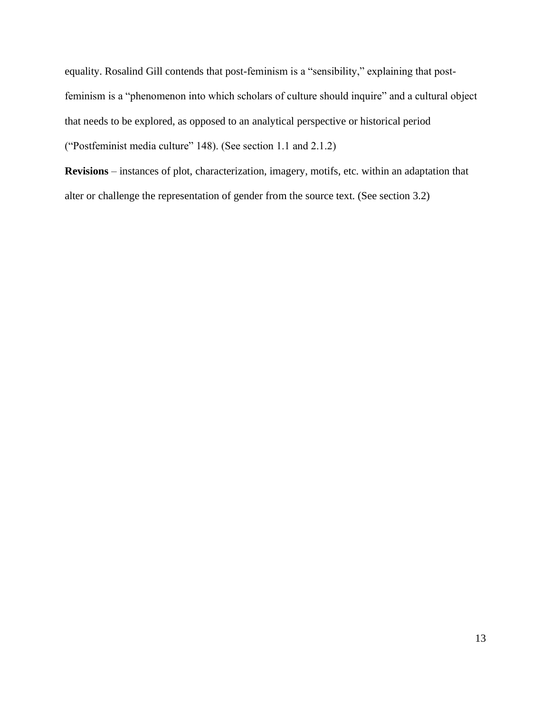equality. Rosalind Gill contends that post-feminism is a "sensibility," explaining that postfeminism is a "phenomenon into which scholars of culture should inquire" and a cultural object that needs to be explored, as opposed to an analytical perspective or historical period ("Postfeminist media culture" 148). (See section 1.1 and 2.1.2)

**Revisions** – instances of plot, characterization, imagery, motifs, etc. within an adaptation that alter or challenge the representation of gender from the source text. (See section 3.2)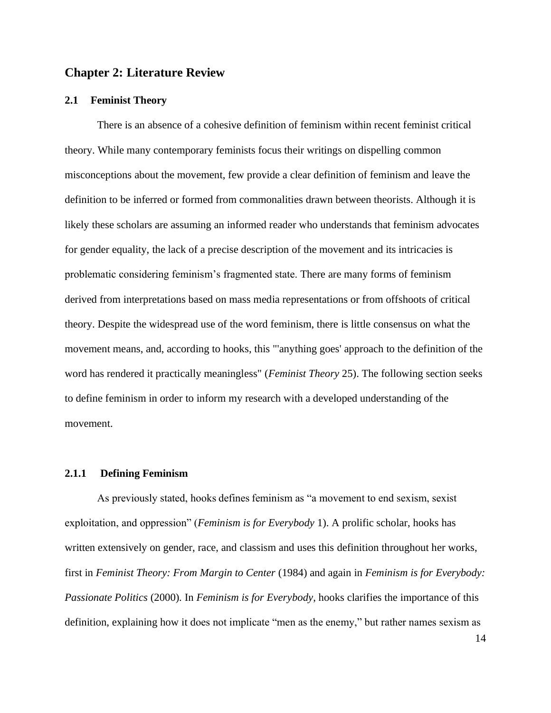### **Chapter 2: Literature Review**

#### **2.1 Feminist Theory**

There is an absence of a cohesive definition of feminism within recent feminist critical theory. While many contemporary feminists focus their writings on dispelling common misconceptions about the movement, few provide a clear definition of feminism and leave the definition to be inferred or formed from commonalities drawn between theorists. Although it is likely these scholars are assuming an informed reader who understands that feminism advocates for gender equality, the lack of a precise description of the movement and its intricacies is problematic considering feminism's fragmented state. There are many forms of feminism derived from interpretations based on mass media representations or from offshoots of critical theory. Despite the widespread use of the word feminism, there is little consensus on what the movement means, and, according to hooks, this "'anything goes' approach to the definition of the word has rendered it practically meaningless" (*Feminist Theory* 25). The following section seeks to define feminism in order to inform my research with a developed understanding of the movement.

#### **2.1.1 Defining Feminism**

As previously stated, hooks defines feminism as "a movement to end sexism, sexist exploitation, and oppression" (*Feminism is for Everybody* 1). A prolific scholar, hooks has written extensively on gender, race, and classism and uses this definition throughout her works, first in *Feminist Theory: From Margin to Center* (1984) and again in *Feminism is for Everybody: Passionate Politics* (2000)*.* In *Feminism is for Everybody*, hooks clarifies the importance of this definition, explaining how it does not implicate "men as the enemy," but rather names sexism as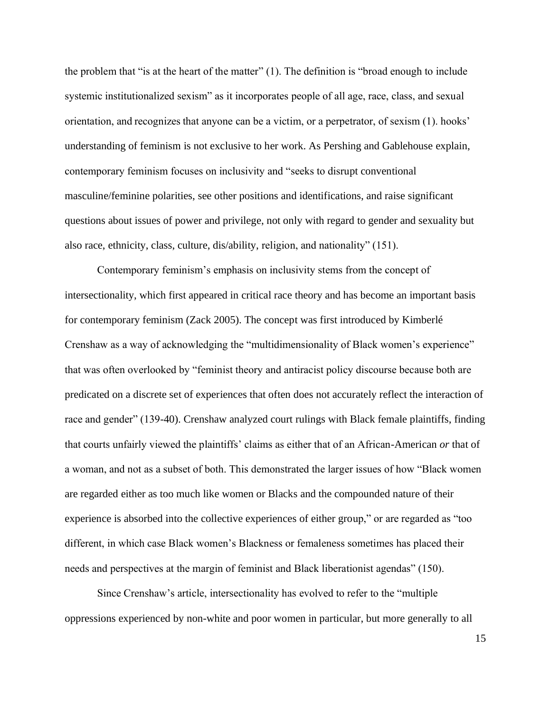the problem that "is at the heart of the matter" (1). The definition is "broad enough to include systemic institutionalized sexism" as it incorporates people of all age, race, class, and sexual orientation, and recognizes that anyone can be a victim, or a perpetrator, of sexism (1). hooks' understanding of feminism is not exclusive to her work. As Pershing and Gablehouse explain, contemporary feminism focuses on inclusivity and "seeks to disrupt conventional masculine/feminine polarities, see other positions and identifications, and raise significant questions about issues of power and privilege, not only with regard to gender and sexuality but also race, ethnicity, class, culture, dis/ability, religion, and nationality" (151).

Contemporary feminism's emphasis on inclusivity stems from the concept of intersectionality, which first appeared in critical race theory and has become an important basis for contemporary feminism (Zack 2005). The concept was first introduced by Kimberlé Crenshaw as a way of acknowledging the "multidimensionality of Black women's experience" that was often overlooked by "feminist theory and antiracist policy discourse because both are predicated on a discrete set of experiences that often does not accurately reflect the interaction of race and gender" (139-40). Crenshaw analyzed court rulings with Black female plaintiffs, finding that courts unfairly viewed the plaintiffs' claims as either that of an African-American *or* that of a woman, and not as a subset of both. This demonstrated the larger issues of how "Black women are regarded either as too much like women or Blacks and the compounded nature of their experience is absorbed into the collective experiences of either group," or are regarded as "too different, in which case Black women's Blackness or femaleness sometimes has placed their needs and perspectives at the margin of feminist and Black liberationist agendas" (150).

Since Crenshaw's article, intersectionality has evolved to refer to the "multiple oppressions experienced by non-white and poor women in particular, but more generally to all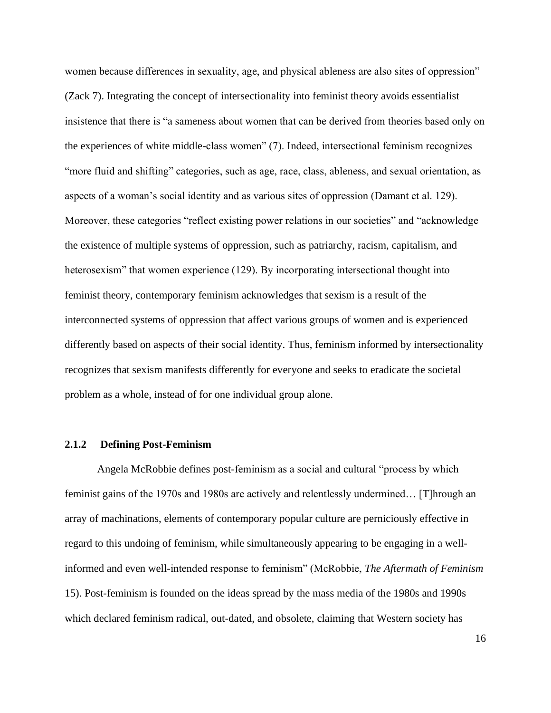women because differences in sexuality, age, and physical ableness are also sites of oppression" (Zack 7). Integrating the concept of intersectionality into feminist theory avoids essentialist insistence that there is "a sameness about women that can be derived from theories based only on the experiences of white middle-class women" (7). Indeed, intersectional feminism recognizes "more fluid and shifting" categories, such as age, race, class, ableness, and sexual orientation, as aspects of a woman's social identity and as various sites of oppression (Damant et al. 129). Moreover, these categories "reflect existing power relations in our societies" and "acknowledge the existence of multiple systems of oppression, such as patriarchy, racism, capitalism, and heterosexism" that women experience (129). By incorporating intersectional thought into feminist theory, contemporary feminism acknowledges that sexism is a result of the interconnected systems of oppression that affect various groups of women and is experienced differently based on aspects of their social identity. Thus, feminism informed by intersectionality recognizes that sexism manifests differently for everyone and seeks to eradicate the societal problem as a whole, instead of for one individual group alone.

#### **2.1.2 Defining Post-Feminism**

Angela McRobbie defines post-feminism as a social and cultural "process by which feminist gains of the 1970s and 1980s are actively and relentlessly undermined… [T]hrough an array of machinations, elements of contemporary popular culture are perniciously effective in regard to this undoing of feminism, while simultaneously appearing to be engaging in a wellinformed and even well-intended response to feminism" (McRobbie, *The Aftermath of Feminism*  15). Post-feminism is founded on the ideas spread by the mass media of the 1980s and 1990s which declared feminism radical, out-dated, and obsolete, claiming that Western society has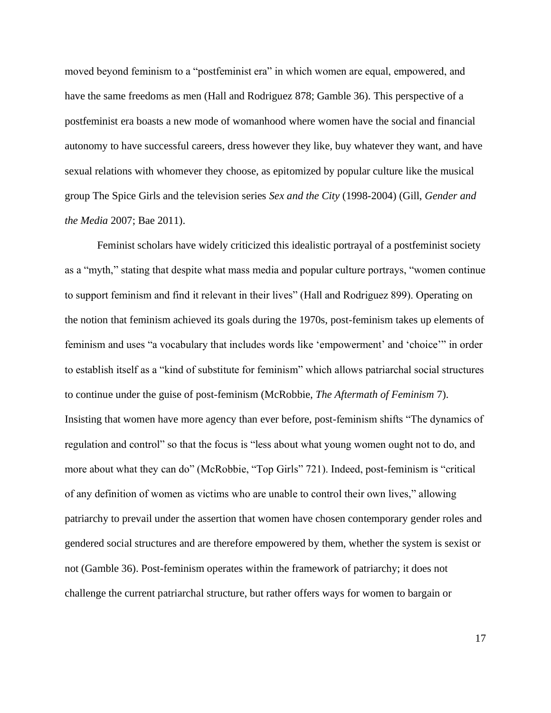moved beyond feminism to a "postfeminist era" in which women are equal, empowered, and have the same freedoms as men (Hall and Rodriguez 878; Gamble 36). This perspective of a postfeminist era boasts a new mode of womanhood where women have the social and financial autonomy to have successful careers, dress however they like, buy whatever they want, and have sexual relations with whomever they choose, as epitomized by popular culture like the musical group The Spice Girls and the television series *Sex and the City* (1998-2004) (Gill, *Gender and the Media* 2007; Bae 2011).

Feminist scholars have widely criticized this idealistic portrayal of a postfeminist society as a "myth," stating that despite what mass media and popular culture portrays, "women continue to support feminism and find it relevant in their lives" (Hall and Rodriguez 899). Operating on the notion that feminism achieved its goals during the 1970s, post-feminism takes up elements of feminism and uses "a vocabulary that includes words like 'empowerment' and 'choice'" in order to establish itself as a "kind of substitute for feminism" which allows patriarchal social structures to continue under the guise of post-feminism (McRobbie, *The Aftermath of Feminism* 7). Insisting that women have more agency than ever before, post-feminism shifts "The dynamics of regulation and control" so that the focus is "less about what young women ought not to do, and more about what they can do" (McRobbie, "Top Girls" 721). Indeed, post-feminism is "critical of any definition of women as victims who are unable to control their own lives," allowing patriarchy to prevail under the assertion that women have chosen contemporary gender roles and gendered social structures and are therefore empowered by them, whether the system is sexist or not (Gamble 36). Post-feminism operates within the framework of patriarchy; it does not challenge the current patriarchal structure, but rather offers ways for women to bargain or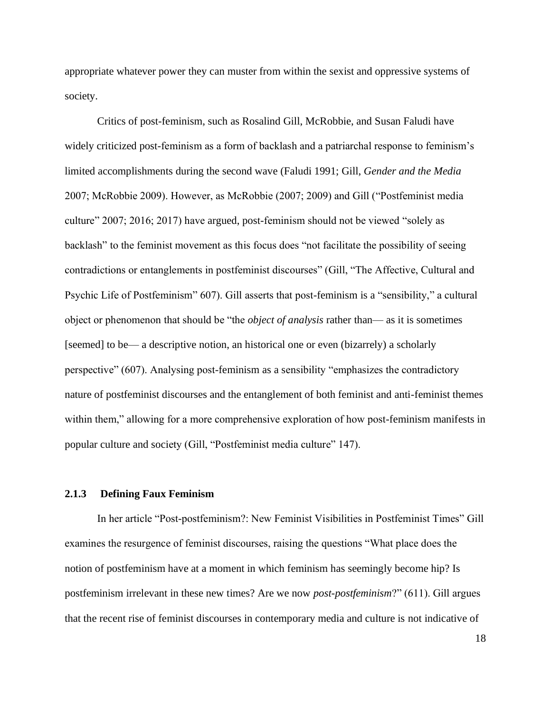appropriate whatever power they can muster from within the sexist and oppressive systems of society.

Critics of post-feminism, such as Rosalind Gill, McRobbie, and Susan Faludi have widely criticized post-feminism as a form of backlash and a patriarchal response to feminism's limited accomplishments during the second wave (Faludi 1991; Gill, *Gender and the Media* 2007; McRobbie 2009). However, as McRobbie (2007; 2009) and Gill ("Postfeminist media culture" 2007; 2016; 2017) have argued, post-feminism should not be viewed "solely as backlash" to the feminist movement as this focus does "not facilitate the possibility of seeing contradictions or entanglements in postfeminist discourses" (Gill, "The Affective, Cultural and Psychic Life of Postfeminism" 607). Gill asserts that post-feminism is a "sensibility," a cultural object or phenomenon that should be "the *object of analysis* rather than— as it is sometimes [seemed] to be— a descriptive notion, an historical one or even (bizarrely) a scholarly perspective" (607). Analysing post-feminism as a sensibility "emphasizes the contradictory nature of postfeminist discourses and the entanglement of both feminist and anti-feminist themes within them," allowing for a more comprehensive exploration of how post-feminism manifests in popular culture and society (Gill, "Postfeminist media culture" 147).

#### **2.1.3 Defining Faux Feminism**

In her article "Post-postfeminism?: New Feminist Visibilities in Postfeminist Times" Gill examines the resurgence of feminist discourses, raising the questions "What place does the notion of postfeminism have at a moment in which feminism has seemingly become hip? Is postfeminism irrelevant in these new times? Are we now *post-postfeminism*?" (611). Gill argues that the recent rise of feminist discourses in contemporary media and culture is not indicative of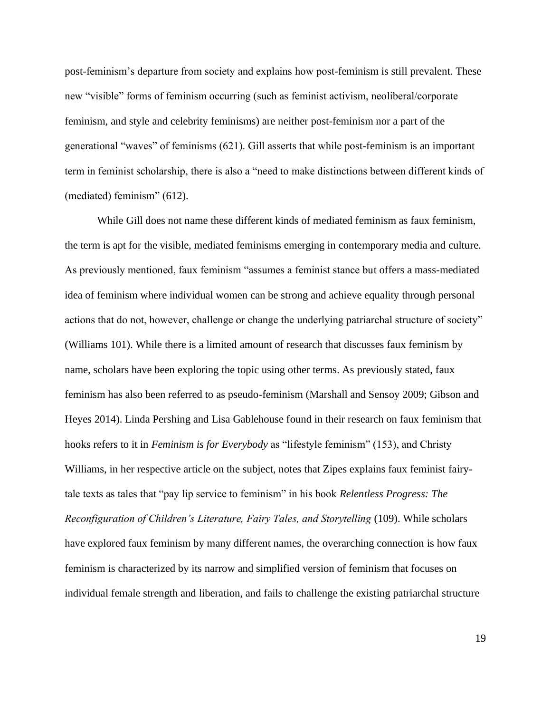post-feminism's departure from society and explains how post-feminism is still prevalent. These new "visible" forms of feminism occurring (such as feminist activism, neoliberal/corporate feminism, and style and celebrity feminisms) are neither post-feminism nor a part of the generational "waves" of feminisms (621). Gill asserts that while post-feminism is an important term in feminist scholarship, there is also a "need to make distinctions between different kinds of (mediated) feminism" (612).

While Gill does not name these different kinds of mediated feminism as faux feminism, the term is apt for the visible, mediated feminisms emerging in contemporary media and culture. As previously mentioned, faux feminism "assumes a feminist stance but offers a mass-mediated idea of feminism where individual women can be strong and achieve equality through personal actions that do not, however, challenge or change the underlying patriarchal structure of society" (Williams 101). While there is a limited amount of research that discusses faux feminism by name, scholars have been exploring the topic using other terms. As previously stated, faux feminism has also been referred to as pseudo-feminism (Marshall and Sensoy 2009; Gibson and Heyes 2014). Linda Pershing and Lisa Gablehouse found in their research on faux feminism that hooks refers to it in *Feminism is for Everybody* as "lifestyle feminism" (153), and Christy Williams, in her respective article on the subject, notes that Zipes explains faux feminist fairytale texts as tales that "pay lip service to feminism" in his book *Relentless Progress: The Reconfiguration of Children's Literature, Fairy Tales, and Storytelling (109). While scholars* have explored faux feminism by many different names, the overarching connection is how faux feminism is characterized by its narrow and simplified version of feminism that focuses on individual female strength and liberation, and fails to challenge the existing patriarchal structure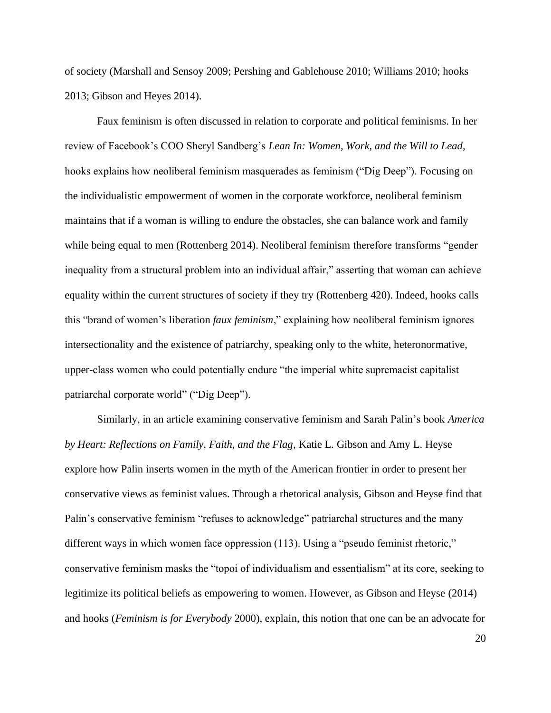of society (Marshall and Sensoy 2009; Pershing and Gablehouse 2010; Williams 2010; hooks 2013; Gibson and Heyes 2014).

Faux feminism is often discussed in relation to corporate and political feminisms. In her review of Facebook's COO Sheryl Sandberg's *Lean In: Women, Work, and the Will to Lead,*  hooks explains how neoliberal feminism masquerades as feminism ("Dig Deep"). Focusing on the individualistic empowerment of women in the corporate workforce, neoliberal feminism maintains that if a woman is willing to endure the obstacles, she can balance work and family while being equal to men (Rottenberg 2014). Neoliberal feminism therefore transforms "gender" inequality from a structural problem into an individual affair," asserting that woman can achieve equality within the current structures of society if they try (Rottenberg 420). Indeed, hooks calls this "brand of women's liberation *faux feminism*," explaining how neoliberal feminism ignores intersectionality and the existence of patriarchy, speaking only to the white, heteronormative, upper-class women who could potentially endure "the imperial white supremacist capitalist patriarchal corporate world" ("Dig Deep").

Similarly, in an article examining conservative feminism and Sarah Palin's book *America by Heart: Reflections on Family, Faith, and the Flag,* Katie L. Gibson and Amy L. Heyse explore how Palin inserts women in the myth of the American frontier in order to present her conservative views as feminist values. Through a rhetorical analysis, Gibson and Heyse find that Palin's conservative feminism "refuses to acknowledge" patriarchal structures and the many different ways in which women face oppression (113). Using a "pseudo feminist rhetoric," conservative feminism masks the "topoi of individualism and essentialism" at its core, seeking to legitimize its political beliefs as empowering to women. However, as Gibson and Heyse (2014) and hooks (*Feminism is for Everybody* 2000), explain, this notion that one can be an advocate for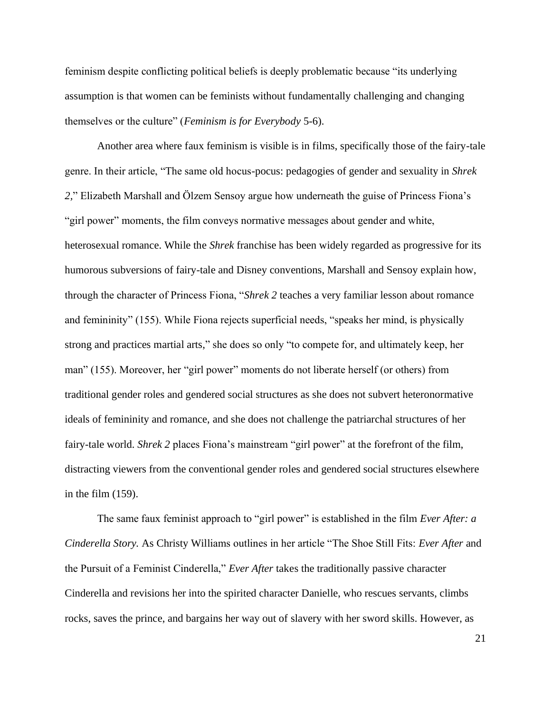feminism despite conflicting political beliefs is deeply problematic because "its underlying assumption is that women can be feminists without fundamentally challenging and changing themselves or the culture" (*Feminism is for Everybody* 5-6).

Another area where faux feminism is visible is in films, specifically those of the fairy-tale genre. In their article, "The same old hocus-pocus: pedagogies of gender and sexuality in *Shrek 2,*" Elizabeth Marshall and Ölzem Sensoy argue how underneath the guise of Princess Fiona's "girl power" moments, the film conveys normative messages about gender and white, heterosexual romance. While the *Shrek* franchise has been widely regarded as progressive for its humorous subversions of fairy-tale and Disney conventions, Marshall and Sensoy explain how, through the character of Princess Fiona, "*Shrek 2* teaches a very familiar lesson about romance and femininity" (155). While Fiona rejects superficial needs, "speaks her mind, is physically strong and practices martial arts," she does so only "to compete for, and ultimately keep, her man" (155). Moreover, her "girl power" moments do not liberate herself (or others) from traditional gender roles and gendered social structures as she does not subvert heteronormative ideals of femininity and romance, and she does not challenge the patriarchal structures of her fairy-tale world. *Shrek 2* places Fiona's mainstream "girl power" at the forefront of the film, distracting viewers from the conventional gender roles and gendered social structures elsewhere in the film (159).

The same faux feminist approach to "girl power" is established in the film *Ever After: a Cinderella Story.* As Christy Williams outlines in her article "The Shoe Still Fits: *Ever After* and the Pursuit of a Feminist Cinderella," *Ever After* takes the traditionally passive character Cinderella and revisions her into the spirited character Danielle, who rescues servants, climbs rocks, saves the prince, and bargains her way out of slavery with her sword skills. However, as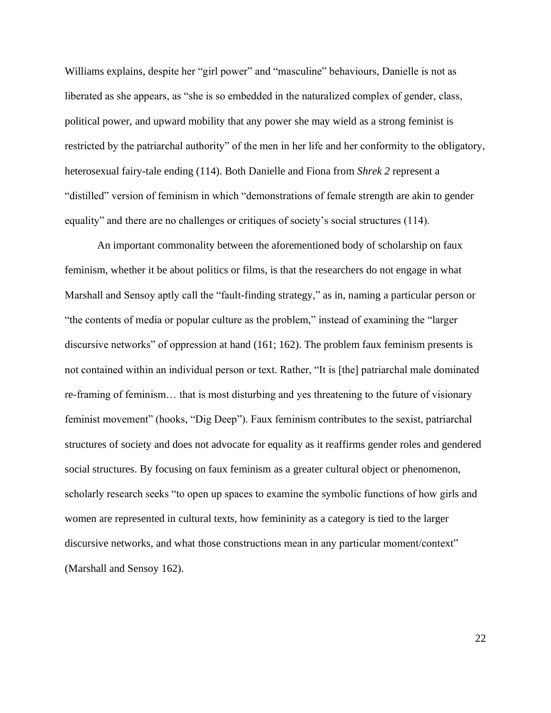Williams explains, despite her "girl power" and "masculine" behaviours, Danielle is not as liberated as she appears, as "she is so embedded in the naturalized complex of gender, class, political power, and upward mobility that any power she may wield as a strong feminist is restricted by the patriarchal authority" of the men in her life and her conformity to the obligatory, heterosexual fairy-tale ending (114). Both Danielle and Fiona from *Shrek 2* represent a "distilled" version of feminism in which "demonstrations of female strength are akin to gender equality" and there are no challenges or critiques of society's social structures (114).

An important commonality between the aforementioned body of scholarship on faux feminism, whether it be about politics or films, is that the researchers do not engage in what Marshall and Sensoy aptly call the "fault-finding strategy," as in, naming a particular person or "the contents of media or popular culture as the problem," instead of examining the "larger discursive networks" of oppression at hand (161; 162). The problem faux feminism presents is not contained within an individual person or text. Rather, "It is [the] patriarchal male dominated re-framing of feminism… that is most disturbing and yes threatening to the future of visionary feminist movement" (hooks, "Dig Deep"). Faux feminism contributes to the sexist, patriarchal structures of society and does not advocate for equality as it reaffirms gender roles and gendered social structures. By focusing on faux feminism as a greater cultural object or phenomenon, scholarly research seeks "to open up spaces to examine the symbolic functions of how girls and women are represented in cultural texts, how femininity as a category is tied to the larger discursive networks, and what those constructions mean in any particular moment/context" (Marshall and Sensoy 162).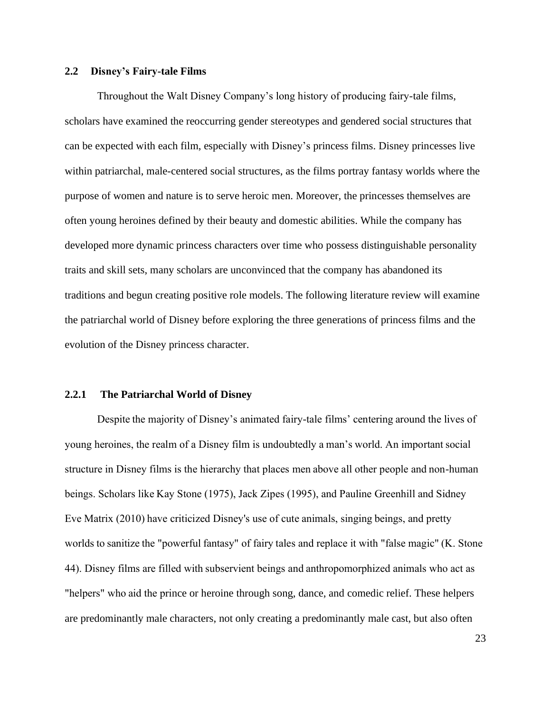## **2.2 Disney's Fairy-tale Films**

Throughout the Walt Disney Company's long history of producing fairy-tale films, scholars have examined the reoccurring gender stereotypes and gendered social structures that can be expected with each film, especially with Disney's princess films. Disney princesses live within patriarchal, male-centered social structures, as the films portray fantasy worlds where the purpose of women and nature is to serve heroic men. Moreover, the princesses themselves are often young heroines defined by their beauty and domestic abilities. While the company has developed more dynamic princess characters over time who possess distinguishable personality traits and skill sets, many scholars are unconvinced that the company has abandoned its traditions and begun creating positive role models. The following literature review will examine the patriarchal world of Disney before exploring the three generations of princess films and the evolution of the Disney princess character.

#### **2.2.1 The Patriarchal World of Disney**

Despite the majority of Disney's animated fairy-tale films' centering around the lives of young heroines, the realm of a Disney film is undoubtedly a man's world. An important social structure in Disney films is the hierarchy that places men above all other people and non-human beings. Scholars like Kay Stone (1975), Jack Zipes (1995), and Pauline Greenhill and Sidney Eve Matrix (2010) have criticized Disney's use of cute animals, singing beings, and pretty worlds to sanitize the "powerful fantasy" of fairy tales and replace it with "false magic" (K. Stone 44). Disney films are filled with subservient beings and anthropomorphized animals who act as "helpers" who aid the prince or heroine through song, dance, and comedic relief. These helpers are predominantly male characters, not only creating a predominantly male cast, but also often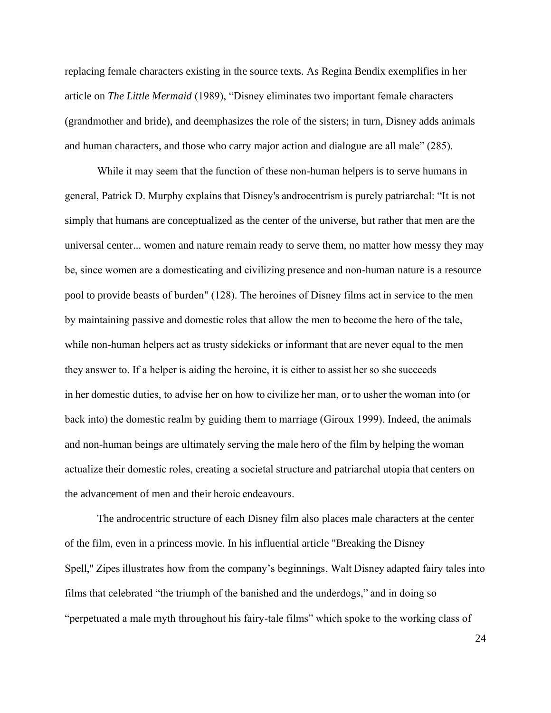replacing female characters existing in the source texts. As Regina Bendix exemplifies in her article on *The Little Mermaid* (1989), "Disney eliminates two important female characters (grandmother and bride), and deemphasizes the role of the sisters; in turn, Disney adds animals and human characters, and those who carry major action and dialogue are all male" (285).

While it may seem that the function of these non-human helpers is to serve humans in general, Patrick D. Murphy explains that Disney's androcentrism is purely patriarchal: "It is not simply that humans are conceptualized as the center of the universe, but rather that men are the universal center... women and nature remain ready to serve them, no matter how messy they may be, since women are a domesticating and civilizing presence and non-human nature is a resource pool to provide beasts of burden" (128). The heroines of Disney films act in service to the men by maintaining passive and domestic roles that allow the men to become the hero of the tale, while non-human helpers act as trusty sidekicks or informant that are never equal to the men they answer to. If a helper is aiding the heroine, it is either to assist her so she succeeds in her domestic duties, to advise her on how to civilize her man, or to usher the woman into (or back into) the domestic realm by guiding them to marriage (Giroux 1999). Indeed, the animals and non-human beings are ultimately serving the male hero of the film by helping the woman actualize their domestic roles, creating a societal structure and patriarchal utopia that centers on the advancement of men and their heroic endeavours.

The androcentric structure of each Disney film also places male characters at the center of the film, even in a princess movie. In his influential article "Breaking the Disney Spell," Zipes illustrates how from the company's beginnings, Walt Disney adapted fairy tales into films that celebrated "the triumph of the banished and the underdogs," and in doing so "perpetuated a male myth throughout his fairy-tale films" which spoke to the working class of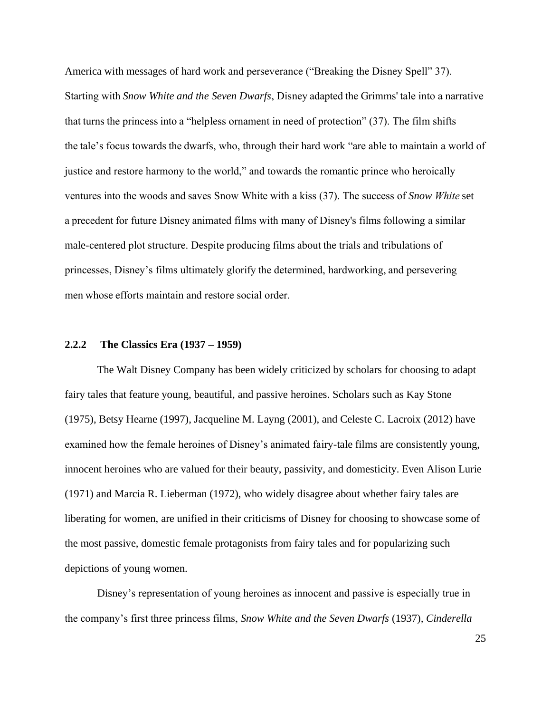America with messages of hard work and perseverance ("Breaking the Disney Spell" 37). Starting with *Snow White and the Seven Dwarfs*, Disney adapted the Grimms' tale into a narrative that turns the princess into a "helpless ornament in need of protection" (37). The film shifts the tale's focus towards the dwarfs, who, through their hard work "are able to maintain a world of justice and restore harmony to the world," and towards the romantic prince who heroically ventures into the woods and saves Snow White with a kiss (37). The success of *Snow White*set a precedent for future Disney animated films with many of Disney's films following a similar male-centered plot structure. Despite producing films about the trials and tribulations of princesses, Disney's films ultimately glorify the determined, hardworking, and persevering men whose efforts maintain and restore social order.

#### **2.2.2 The Classics Era (1937 – 1959)**

The Walt Disney Company has been widely criticized by scholars for choosing to adapt fairy tales that feature young, beautiful, and passive heroines. Scholars such as Kay Stone (1975), Betsy Hearne (1997), Jacqueline M. Layng (2001), and Celeste C. Lacroix (2012) have examined how the female heroines of Disney's animated fairy-tale films are consistently young, innocent heroines who are valued for their beauty, passivity, and domesticity. Even Alison Lurie (1971) and Marcia R. Lieberman (1972), who widely disagree about whether fairy tales are liberating for women, are unified in their criticisms of Disney for choosing to showcase some of the most passive, domestic female protagonists from fairy tales and for popularizing such depictions of young women.

Disney's representation of young heroines as innocent and passive is especially true in the company's first three princess films, *Snow White and the Seven Dwarfs* (1937)*, Cinderella*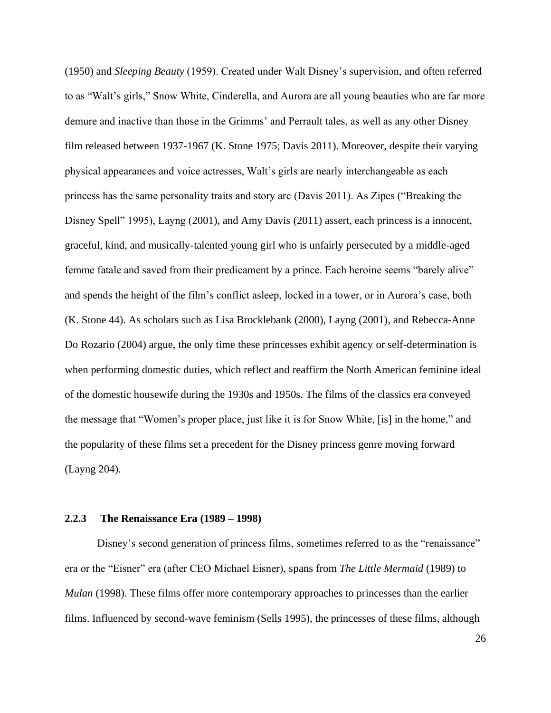(1950) and *Sleeping Beauty* (1959). Created under Walt Disney's supervision, and often referred to as "Walt's girls," Snow White, Cinderella, and Aurora are all young beauties who are far more demure and inactive than those in the Grimms' and Perrault tales, as well as any other Disney film released between 1937-1967 (K. Stone 1975; Davis 2011). Moreover, despite their varying physical appearances and voice actresses, Walt's girls are nearly interchangeable as each princess has the same personality traits and story arc (Davis 2011). As Zipes ("Breaking the Disney Spell" 1995), Layng (2001), and Amy Davis (2011) assert, each princess is a innocent, graceful, kind, and musically-talented young girl who is unfairly persecuted by a middle-aged femme fatale and saved from their predicament by a prince. Each heroine seems "barely alive" and spends the height of the film's conflict asleep, locked in a tower, or in Aurora's case, both (K. Stone 44). As scholars such as Lisa Brocklebank (2000), Layng (2001), and Rebecca-Anne Do Rozario (2004) argue, the only time these princesses exhibit agency or self-determination is when performing domestic duties, which reflect and reaffirm the North American feminine ideal of the domestic housewife during the 1930s and 1950s. The films of the classics era conveyed the message that "Women's proper place, just like it is for Snow White, [is] in the home," and the popularity of these films set a precedent for the Disney princess genre moving forward (Layng 204).

#### **2.2.3 The Renaissance Era (1989 – 1998)**

Disney's second generation of princess films, sometimes referred to as the "renaissance" era or the "Eisner" era (after CEO Michael Eisner), spans from *The Little Mermaid* (1989) to *Mulan* (1998). These films offer more contemporary approaches to princesses than the earlier films. Influenced by second-wave feminism (Sells 1995), the princesses of these films, although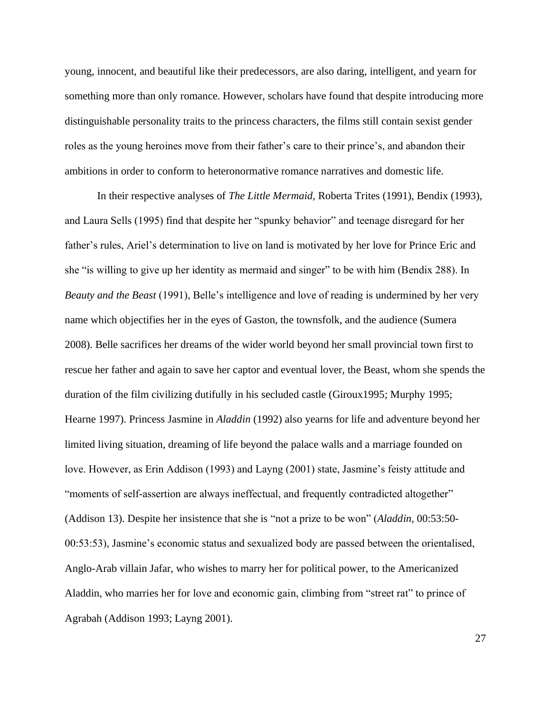young, innocent, and beautiful like their predecessors, are also daring, intelligent, and yearn for something more than only romance. However, scholars have found that despite introducing more distinguishable personality traits to the princess characters, the films still contain sexist gender roles as the young heroines move from their father's care to their prince's, and abandon their ambitions in order to conform to heteronormative romance narratives and domestic life.

In their respective analyses of *The Little Mermaid,* Roberta Trites (1991), Bendix (1993), and Laura Sells (1995) find that despite her "spunky behavior" and teenage disregard for her father's rules, Ariel's determination to live on land is motivated by her love for Prince Eric and she "is willing to give up her identity as mermaid and singer" to be with him (Bendix 288). In *Beauty and the Beast* (1991), Belle's intelligence and love of reading is undermined by her very name which objectifies her in the eyes of Gaston, the townsfolk, and the audience (Sumera 2008). Belle sacrifices her dreams of the wider world beyond her small provincial town first to rescue her father and again to save her captor and eventual lover, the Beast, whom she spends the duration of the film civilizing dutifully in his secluded castle (Giroux1995; Murphy 1995; Hearne 1997). Princess Jasmine in *Aladdin* (1992) also yearns for life and adventure beyond her limited living situation, dreaming of life beyond the palace walls and a marriage founded on love. However, as Erin Addison (1993) and Layng (2001) state, Jasmine's feisty attitude and "moments of self-assertion are always ineffectual, and frequently contradicted altogether" (Addison 13). Despite her insistence that she is "not a prize to be won" (*Aladdin,* 00:53:50- 00:53:53), Jasmine's economic status and sexualized body are passed between the orientalised, Anglo-Arab villain Jafar, who wishes to marry her for political power, to the Americanized Aladdin, who marries her for love and economic gain, climbing from "street rat" to prince of Agrabah (Addison 1993; Layng 2001).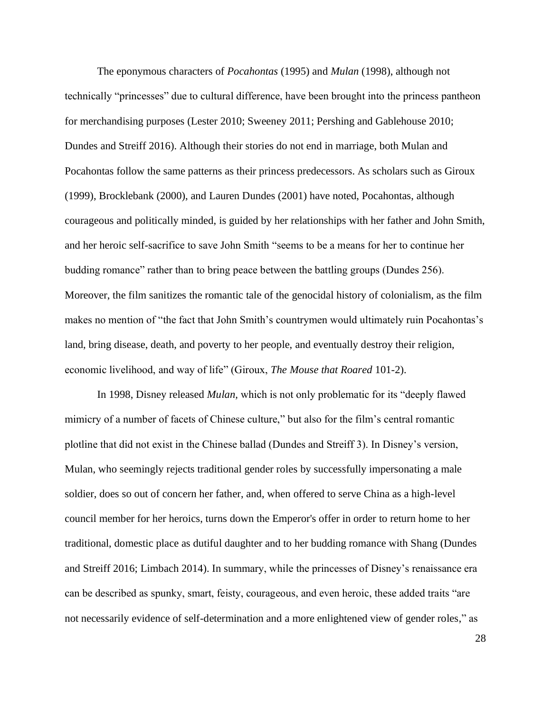The eponymous characters of *Pocahontas* (1995) and *Mulan* (1998), although not technically "princesses" due to cultural difference, have been brought into the princess pantheon for merchandising purposes (Lester 2010; Sweeney 2011; Pershing and Gablehouse 2010; Dundes and Streiff 2016). Although their stories do not end in marriage, both Mulan and Pocahontas follow the same patterns as their princess predecessors. As scholars such as Giroux (1999), Brocklebank (2000), and Lauren Dundes (2001) have noted, Pocahontas, although courageous and politically minded, is guided by her relationships with her father and John Smith, and her heroic self-sacrifice to save John Smith "seems to be a means for her to continue her budding romance" rather than to bring peace between the battling groups (Dundes 256). Moreover, the film sanitizes the romantic tale of the genocidal history of colonialism, as the film makes no mention of "the fact that John Smith's countrymen would ultimately ruin Pocahontas's land, bring disease, death, and poverty to her people, and eventually destroy their religion, economic livelihood, and way of life" (Giroux, *The Mouse that Roared* 101-2).

In 1998, Disney released *Mulan,* which is not only problematic for its "deeply flawed mimicry of a number of facets of Chinese culture," but also for the film's central romantic plotline that did not exist in the Chinese ballad (Dundes and Streiff 3). In Disney's version, Mulan, who seemingly rejects traditional gender roles by successfully impersonating a male soldier, does so out of concern her father, and, when offered to serve China as a high-level council member for her heroics, turns down the Emperor's offer in order to return home to her traditional, domestic place as dutiful daughter and to her budding romance with Shang (Dundes and Streiff 2016; Limbach 2014). In summary, while the princesses of Disney's renaissance era can be described as spunky, smart, feisty, courageous, and even heroic, these added traits "are not necessarily evidence of self-determination and a more enlightened view of gender roles," as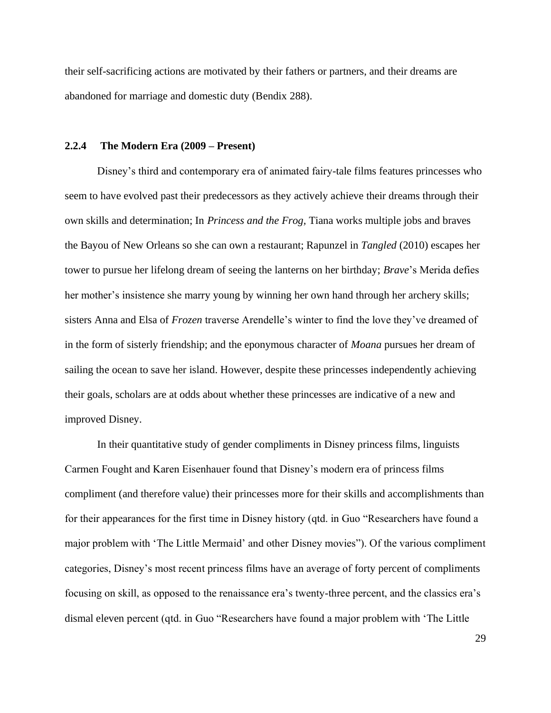their self-sacrificing actions are motivated by their fathers or partners, and their dreams are abandoned for marriage and domestic duty (Bendix 288).

#### **2.2.4 The Modern Era (2009 – Present)**

Disney's third and contemporary era of animated fairy-tale films features princesses who seem to have evolved past their predecessors as they actively achieve their dreams through their own skills and determination; In *Princess and the Frog,* Tiana works multiple jobs and braves the Bayou of New Orleans so she can own a restaurant; Rapunzel in *Tangled* (2010) escapes her tower to pursue her lifelong dream of seeing the lanterns on her birthday; *Brave*'s Merida defies her mother's insistence she marry young by winning her own hand through her archery skills; sisters Anna and Elsa of *Frozen* traverse Arendelle's winter to find the love they've dreamed of in the form of sisterly friendship; and the eponymous character of *Moana* pursues her dream of sailing the ocean to save her island. However, despite these princesses independently achieving their goals, scholars are at odds about whether these princesses are indicative of a new and improved Disney.

In their quantitative study of gender compliments in Disney princess films, linguists Carmen Fought and Karen Eisenhauer found that Disney's modern era of princess films compliment (and therefore value) their princesses more for their skills and accomplishments than for their appearances for the first time in Disney history (qtd. in Guo "Researchers have found a major problem with 'The Little Mermaid' and other Disney movies"). Of the various compliment categories, Disney's most recent princess films have an average of forty percent of compliments focusing on skill, as opposed to the renaissance era's twenty-three percent, and the classics era's dismal eleven percent (qtd. in Guo "Researchers have found a major problem with 'The Little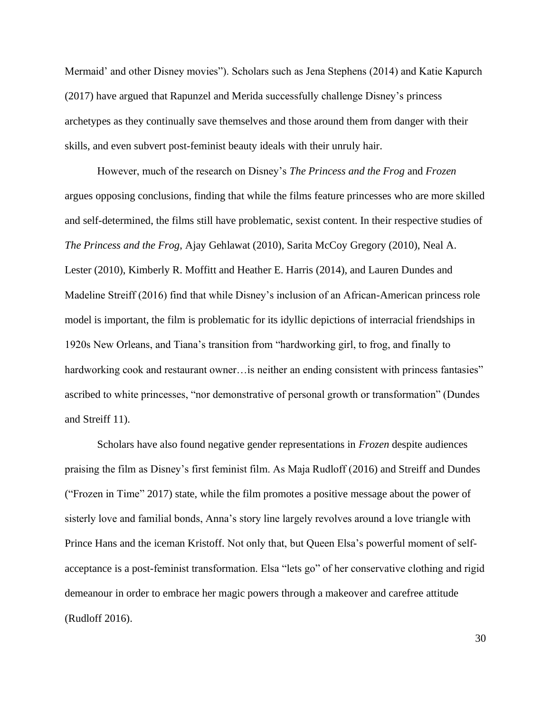Mermaid' and other Disney movies"). Scholars such as Jena Stephens (2014) and Katie Kapurch (2017) have argued that Rapunzel and Merida successfully challenge Disney's princess archetypes as they continually save themselves and those around them from danger with their skills, and even subvert post-feminist beauty ideals with their unruly hair.

However, much of the research on Disney's *The Princess and the Frog* and *Frozen* argues opposing conclusions, finding that while the films feature princesses who are more skilled and self-determined, the films still have problematic, sexist content. In their respective studies of *The Princess and the Frog*, Ajay Gehlawat (2010), Sarita McCoy Gregory (2010), Neal A. Lester (2010), Kimberly R. Moffitt and Heather E. Harris (2014), and Lauren Dundes and Madeline Streiff (2016) find that while Disney's inclusion of an African-American princess role model is important, the film is problematic for its idyllic depictions of interracial friendships in 1920s New Orleans, and Tiana's transition from "hardworking girl, to frog, and finally to hardworking cook and restaurant owner…is neither an ending consistent with princess fantasies" ascribed to white princesses, "nor demonstrative of personal growth or transformation" (Dundes and Streiff 11).

Scholars have also found negative gender representations in *Frozen* despite audiences praising the film as Disney's first feminist film. As Maja Rudloff (2016) and Streiff and Dundes ("Frozen in Time" 2017) state, while the film promotes a positive message about the power of sisterly love and familial bonds, Anna's story line largely revolves around a love triangle with Prince Hans and the iceman Kristoff. Not only that, but Queen Elsa's powerful moment of selfacceptance is a post-feminist transformation. Elsa "lets go" of her conservative clothing and rigid demeanour in order to embrace her magic powers through a makeover and carefree attitude (Rudloff 2016).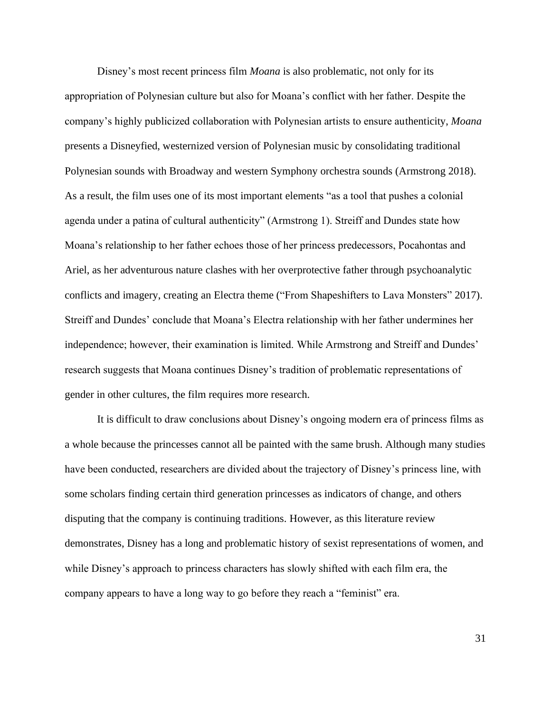Disney's most recent princess film *Moana* is also problematic, not only for its appropriation of Polynesian culture but also for Moana's conflict with her father. Despite the company's highly publicized collaboration with Polynesian artists to ensure authenticity, *Moana*  presents a Disneyfied, westernized version of Polynesian music by consolidating traditional Polynesian sounds with Broadway and western Symphony orchestra sounds (Armstrong 2018). As a result, the film uses one of its most important elements "as a tool that pushes a colonial agenda under a patina of cultural authenticity" (Armstrong 1). Streiff and Dundes state how Moana's relationship to her father echoes those of her princess predecessors, Pocahontas and Ariel, as her adventurous nature clashes with her overprotective father through psychoanalytic conflicts and imagery, creating an Electra theme ("From Shapeshifters to Lava Monsters" 2017). Streiff and Dundes' conclude that Moana's Electra relationship with her father undermines her independence; however, their examination is limited. While Armstrong and Streiff and Dundes' research suggests that Moana continues Disney's tradition of problematic representations of gender in other cultures, the film requires more research.

It is difficult to draw conclusions about Disney's ongoing modern era of princess films as a whole because the princesses cannot all be painted with the same brush. Although many studies have been conducted, researchers are divided about the trajectory of Disney's princess line, with some scholars finding certain third generation princesses as indicators of change, and others disputing that the company is continuing traditions. However, as this literature review demonstrates, Disney has a long and problematic history of sexist representations of women, and while Disney's approach to princess characters has slowly shifted with each film era, the company appears to have a long way to go before they reach a "feminist" era.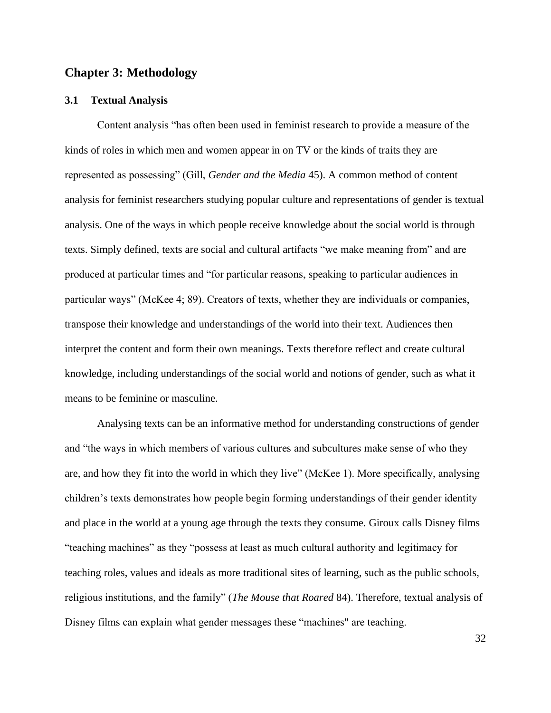## **Chapter 3: Methodology**

#### **3.1 Textual Analysis**

Content analysis "has often been used in feminist research to provide a measure of the kinds of roles in which men and women appear in on TV or the kinds of traits they are represented as possessing" (Gill, *Gender and the Media* 45). A common method of content analysis for feminist researchers studying popular culture and representations of gender is textual analysis. One of the ways in which people receive knowledge about the social world is through texts. Simply defined, texts are social and cultural artifacts "we make meaning from" and are produced at particular times and "for particular reasons, speaking to particular audiences in particular ways" (McKee 4; 89). Creators of texts, whether they are individuals or companies, transpose their knowledge and understandings of the world into their text. Audiences then interpret the content and form their own meanings. Texts therefore reflect and create cultural knowledge, including understandings of the social world and notions of gender, such as what it means to be feminine or masculine.

Analysing texts can be an informative method for understanding constructions of gender and "the ways in which members of various cultures and subcultures make sense of who they are, and how they fit into the world in which they live" (McKee 1). More specifically, analysing children's texts demonstrates how people begin forming understandings of their gender identity and place in the world at a young age through the texts they consume. Giroux calls Disney films "teaching machines" as they "possess at least as much cultural authority and legitimacy for teaching roles, values and ideals as more traditional sites of learning, such as the public schools, religious institutions, and the family" (*The Mouse that Roared* 84). Therefore, textual analysis of Disney films can explain what gender messages these "machines" are teaching.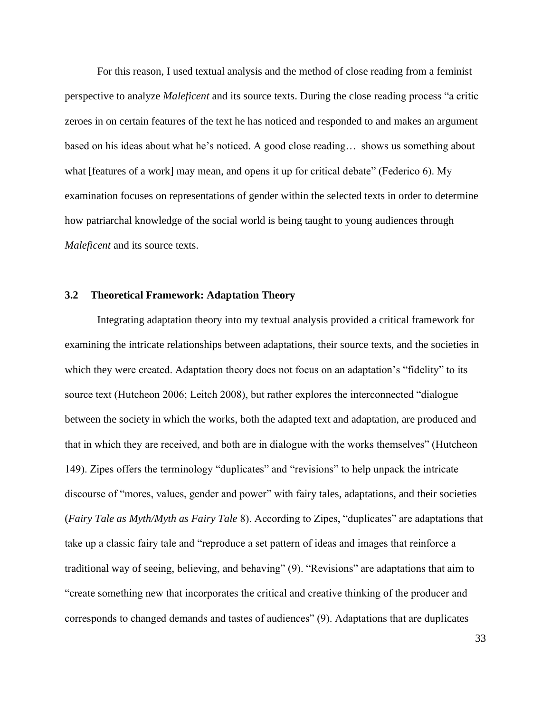For this reason, I used textual analysis and the method of close reading from a feminist perspective to analyze *Maleficent* and its source texts. During the close reading process "a critic zeroes in on certain features of the text he has noticed and responded to and makes an argument based on his ideas about what he's noticed. A good close reading…  shows us something about what [features of a work] may mean, and opens it up for critical debate" (Federico 6). My examination focuses on representations of gender within the selected texts in order to determine how patriarchal knowledge of the social world is being taught to young audiences through *Maleficent* and its source texts.

## **3.2 Theoretical Framework: Adaptation Theory**

Integrating adaptation theory into my textual analysis provided a critical framework for examining the intricate relationships between adaptations, their source texts, and the societies in which they were created. Adaptation theory does not focus on an adaptation's "fidelity" to its source text (Hutcheon 2006; Leitch 2008), but rather explores the interconnected "dialogue between the society in which the works, both the adapted text and adaptation, are produced and that in which they are received, and both are in dialogue with the works themselves" (Hutcheon 149). Zipes offers the terminology "duplicates" and "revisions" to help unpack the intricate discourse of "mores, values, gender and power" with fairy tales, adaptations, and their societies (*Fairy Tale as Myth/Myth as Fairy Tale* 8). According to Zipes, "duplicates" are adaptations that take up a classic fairy tale and "reproduce a set pattern of ideas and images that reinforce a traditional way of seeing, believing, and behaving" (9). "Revisions" are adaptations that aim to "create something new that incorporates the critical and creative thinking of the producer and corresponds to changed demands and tastes of audiences" (9). Adaptations that are duplicates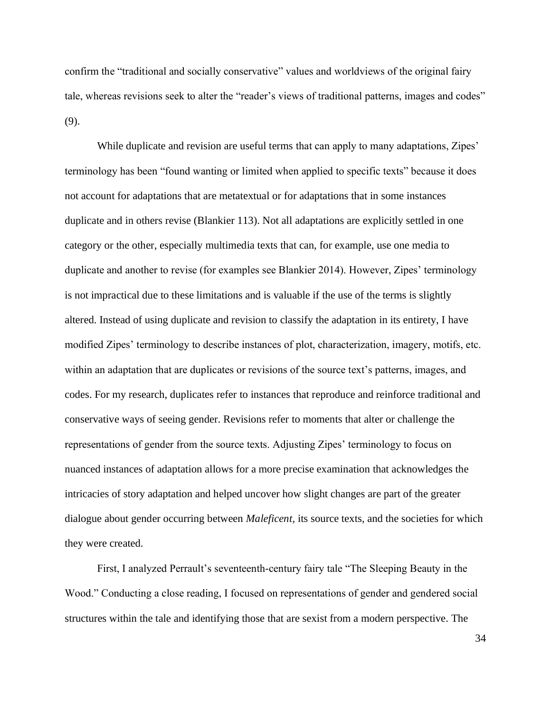confirm the "traditional and socially conservative" values and worldviews of the original fairy tale, whereas revisions seek to alter the "reader's views of traditional patterns, images and codes" (9).

While duplicate and revision are useful terms that can apply to many adaptations, Zipes' terminology has been "found wanting or limited when applied to specific texts" because it does not account for adaptations that are metatextual or for adaptations that in some instances duplicate and in others revise (Blankier 113). Not all adaptations are explicitly settled in one category or the other, especially multimedia texts that can, for example, use one media to duplicate and another to revise (for examples see Blankier 2014). However, Zipes' terminology is not impractical due to these limitations and is valuable if the use of the terms is slightly altered. Instead of using duplicate and revision to classify the adaptation in its entirety, I have modified Zipes' terminology to describe instances of plot, characterization, imagery, motifs, etc. within an adaptation that are duplicates or revisions of the source text's patterns, images, and codes. For my research, duplicates refer to instances that reproduce and reinforce traditional and conservative ways of seeing gender. Revisions refer to moments that alter or challenge the representations of gender from the source texts. Adjusting Zipes' terminology to focus on nuanced instances of adaptation allows for a more precise examination that acknowledges the intricacies of story adaptation and helped uncover how slight changes are part of the greater dialogue about gender occurring between *Maleficent,* its source texts, and the societies for which they were created.

First, I analyzed Perrault's seventeenth-century fairy tale "The Sleeping Beauty in the Wood." Conducting a close reading, I focused on representations of gender and gendered social structures within the tale and identifying those that are sexist from a modern perspective. The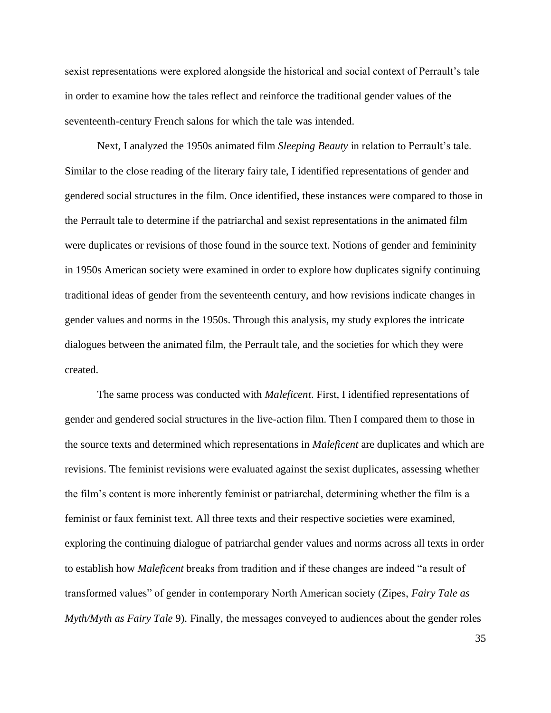sexist representations were explored alongside the historical and social context of Perrault's tale in order to examine how the tales reflect and reinforce the traditional gender values of the seventeenth-century French salons for which the tale was intended.

Next, I analyzed the 1950s animated film *Sleeping Beauty* in relation to Perrault's tale. Similar to the close reading of the literary fairy tale, I identified representations of gender and gendered social structures in the film. Once identified, these instances were compared to those in the Perrault tale to determine if the patriarchal and sexist representations in the animated film were duplicates or revisions of those found in the source text. Notions of gender and femininity in 1950s American society were examined in order to explore how duplicates signify continuing traditional ideas of gender from the seventeenth century, and how revisions indicate changes in gender values and norms in the 1950s. Through this analysis, my study explores the intricate dialogues between the animated film, the Perrault tale, and the societies for which they were created.

The same process was conducted with *Maleficent*. First, I identified representations of gender and gendered social structures in the live-action film. Then I compared them to those in the source texts and determined which representations in *Maleficent* are duplicates and which are revisions. The feminist revisions were evaluated against the sexist duplicates, assessing whether the film's content is more inherently feminist or patriarchal, determining whether the film is a feminist or faux feminist text. All three texts and their respective societies were examined, exploring the continuing dialogue of patriarchal gender values and norms across all texts in order to establish how *Maleficent* breaks from tradition and if these changes are indeed "a result of transformed values" of gender in contemporary North American society (Zipes, *Fairy Tale as Myth/Myth as Fairy Tale* 9). Finally, the messages conveyed to audiences about the gender roles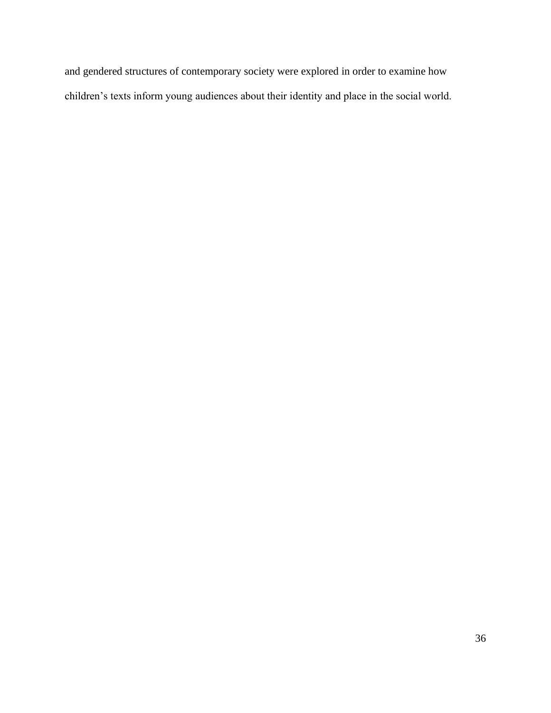and gendered structures of contemporary society were explored in order to examine how children's texts inform young audiences about their identity and place in the social world.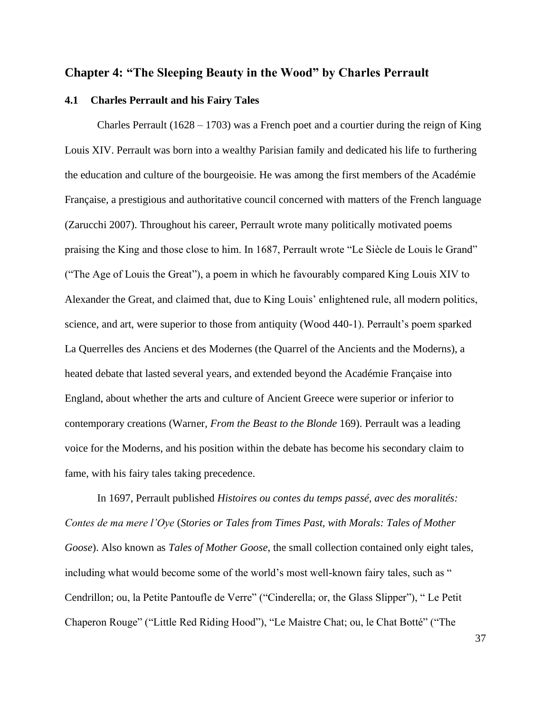# **Chapter 4: "The Sleeping Beauty in the Wood" by Charles Perrault**

### **4.1 Charles Perrault and his Fairy Tales**

Charles Perrault (1628 – 1703) was a French poet and a courtier during the reign of King Louis XIV. Perrault was born into a wealthy Parisian family and dedicated his life to furthering the education and culture of the bourgeoisie. He was among the first members of the Académie Française, a prestigious and authoritative council concerned with matters of the French language (Zarucchi 2007). Throughout his career, Perrault wrote many politically motivated poems praising the King and those close to him. In 1687, Perrault wrote "Le Siècle de Louis le Grand" ("The Age of Louis the Great"), a poem in which he favourably compared King Louis XIV to Alexander the Great, and claimed that, due to King Louis' enlightened rule, all modern politics, science, and art, were superior to those from antiquity (Wood 440-1). Perrault's poem sparked La Querrelles des Anciens et des Modernes (the Quarrel of the Ancients and the Moderns), a heated debate that lasted several years, and extended beyond the Académie Française into England, about whether the arts and culture of Ancient Greece were superior or inferior to contemporary creations (Warner, *From the Beast to the Blonde* 169). Perrault was a leading voice for the Moderns, and his position within the debate has become his secondary claim to fame, with his fairy tales taking precedence.

In 1697, Perrault published *Histoires ou contes du temps passé, avec des moralités: Contes de ma mere l'Oye* (*Stories or Tales from Times Past, with Morals: Tales of Mother Goose*). Also known as *Tales of Mother Goose*, the small collection contained only eight tales, including what would become some of the world's most well-known fairy tales, such as " Cendrillon; ou, la Petite Pantoufle de Verre" ("Cinderella; or, the Glass Slipper"), " Le Petit Chaperon Rouge" ("Little Red Riding Hood"), "Le Maistre Chat; ou, le Chat Botté" ("The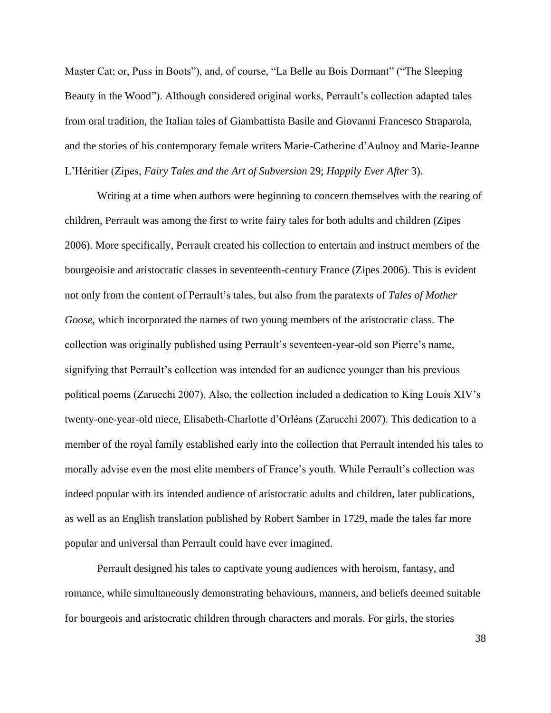Master Cat; or, Puss in Boots"), and, of course, "La Belle au Bois Dormant" ("The Sleeping Beauty in the Wood"). Although considered original works, Perrault's collection adapted tales from oral tradition, the Italian tales of Giambattista Basile and Giovanni Francesco Straparola, and the stories of his contemporary female writers Marie-Catherine d'Aulnoy and Marie-Jeanne L'Héritier (Zipes, *Fairy Tales and the Art of Subversion* 29; *Happily Ever After* 3).

Writing at a time when authors were beginning to concern themselves with the rearing of children, Perrault was among the first to write fairy tales for both adults and children (Zipes 2006). More specifically, Perrault created his collection to entertain and instruct members of the bourgeoisie and aristocratic classes in seventeenth-century France (Zipes 2006). This is evident not only from the content of Perrault's tales, but also from the paratexts of *Tales of Mother Goose*, which incorporated the names of two young members of the aristocratic class. The collection was originally published using Perrault's seventeen-year-old son Pierre's name, signifying that Perrault's collection was intended for an audience younger than his previous political poems (Zarucchi 2007). Also, the collection included a dedication to King Louis XIV's twenty-one-year-old niece, Elisabeth-Charlotte d'Orléans (Zarucchi 2007). This dedication to a member of the royal family established early into the collection that Perrault intended his tales to morally advise even the most elite members of France's youth. While Perrault's collection was indeed popular with its intended audience of aristocratic adults and children, later publications, as well as an English translation published by Robert Samber in 1729, made the tales far more popular and universal than Perrault could have ever imagined.

Perrault designed his tales to captivate young audiences with heroism, fantasy, and romance, while simultaneously demonstrating behaviours, manners, and beliefs deemed suitable for bourgeois and aristocratic children through characters and morals. For girls, the stories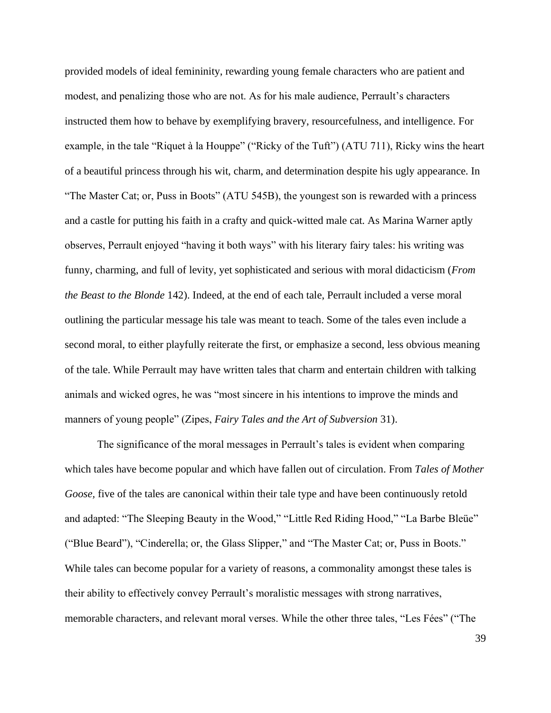provided models of ideal femininity, rewarding young female characters who are patient and modest, and penalizing those who are not. As for his male audience, Perrault's characters instructed them how to behave by exemplifying bravery, resourcefulness, and intelligence. For example, in the tale "Riquet à la Houppe" ("Ricky of the Tuft") (ATU 711), Ricky wins the heart of a beautiful princess through his wit, charm, and determination despite his ugly appearance. In "The Master Cat; or, Puss in Boots" (ATU 545B), the youngest son is rewarded with a princess and a castle for putting his faith in a crafty and quick-witted male cat. As Marina Warner aptly observes, Perrault enjoyed "having it both ways" with his literary fairy tales: his writing was funny, charming, and full of levity, yet sophisticated and serious with moral didacticism (*From the Beast to the Blonde* 142). Indeed, at the end of each tale, Perrault included a verse moral outlining the particular message his tale was meant to teach. Some of the tales even include a second moral, to either playfully reiterate the first, or emphasize a second, less obvious meaning of the tale. While Perrault may have written tales that charm and entertain children with talking animals and wicked ogres, he was "most sincere in his intentions to improve the minds and manners of young people" (Zipes, *Fairy Tales and the Art of Subversion* 31).

The significance of the moral messages in Perrault's tales is evident when comparing which tales have become popular and which have fallen out of circulation. From *Tales of Mother Goose,* five of the tales are canonical within their tale type and have been continuously retold and adapted: "The Sleeping Beauty in the Wood," "Little Red Riding Hood," "La Barbe Bleüe" ("Blue Beard"), "Cinderella; or, the Glass Slipper," and "The Master Cat; or, Puss in Boots." While tales can become popular for a variety of reasons, a commonality amongst these tales is their ability to effectively convey Perrault's moralistic messages with strong narratives, memorable characters, and relevant moral verses. While the other three tales, "Les Fées" ("The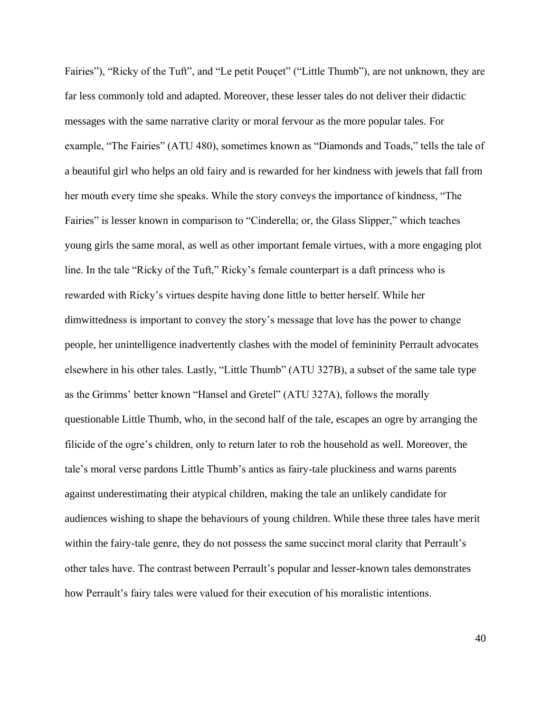Fairies"), "Ricky of the Tuft", and "Le petit Pouçet" ("Little Thumb"), are not unknown, they are far less commonly told and adapted. Moreover, these lesser tales do not deliver their didactic messages with the same narrative clarity or moral fervour as the more popular tales. For example, "The Fairies" (ATU 480), sometimes known as "Diamonds and Toads," tells the tale of a beautiful girl who helps an old fairy and is rewarded for her kindness with jewels that fall from her mouth every time she speaks. While the story conveys the importance of kindness, "The Fairies" is lesser known in comparison to "Cinderella; or, the Glass Slipper," which teaches young girls the same moral, as well as other important female virtues, with a more engaging plot line. In the tale "Ricky of the Tuft," Ricky's female counterpart is a daft princess who is rewarded with Ricky's virtues despite having done little to better herself. While her dimwittedness is important to convey the story's message that love has the power to change people, her unintelligence inadvertently clashes with the model of femininity Perrault advocates elsewhere in his other tales. Lastly, "Little Thumb" (ATU 327B), a subset of the same tale type as the Grimms' better known "Hansel and Gretel" (ATU 327A), follows the morally questionable Little Thumb, who, in the second half of the tale, escapes an ogre by arranging the filicide of the ogre's children, only to return later to rob the household as well. Moreover, the tale's moral verse pardons Little Thumb's antics as fairy-tale pluckiness and warns parents against underestimating their atypical children, making the tale an unlikely candidate for audiences wishing to shape the behaviours of young children. While these three tales have merit within the fairy-tale genre, they do not possess the same succinct moral clarity that Perrault's other tales have. The contrast between Perrault's popular and lesser-known tales demonstrates how Perrault's fairy tales were valued for their execution of his moralistic intentions.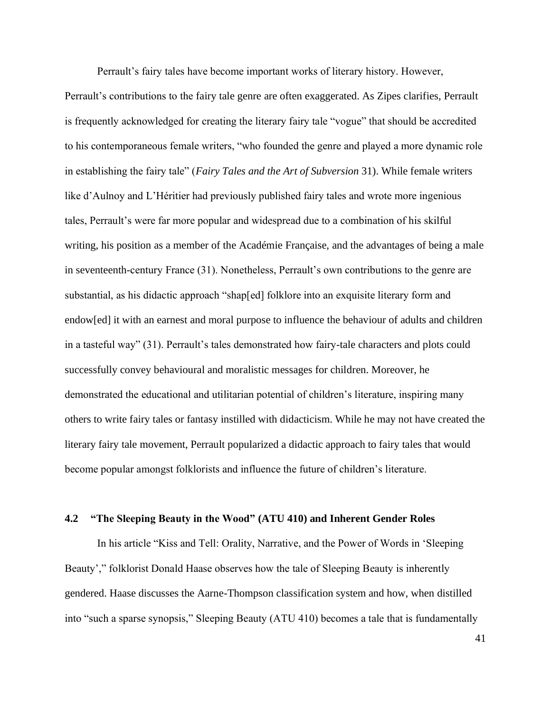Perrault's fairy tales have become important works of literary history. However,

Perrault's contributions to the fairy tale genre are often exaggerated. As Zipes clarifies, Perrault is frequently acknowledged for creating the literary fairy tale "vogue" that should be accredited to his contemporaneous female writers, "who founded the genre and played a more dynamic role in establishing the fairy tale" (*Fairy Tales and the Art of Subversion* 31). While female writers like d'Aulnoy and L'Héritier had previously published fairy tales and wrote more ingenious tales, Perrault's were far more popular and widespread due to a combination of his skilful writing, his position as a member of the Académie Française, and the advantages of being a male in seventeenth-century France (31). Nonetheless, Perrault's own contributions to the genre are substantial, as his didactic approach "shap[ed] folklore into an exquisite literary form and endow[ed] it with an earnest and moral purpose to influence the behaviour of adults and children in a tasteful way" (31). Perrault's tales demonstrated how fairy-tale characters and plots could successfully convey behavioural and moralistic messages for children. Moreover, he demonstrated the educational and utilitarian potential of children's literature, inspiring many others to write fairy tales or fantasy instilled with didacticism. While he may not have created the literary fairy tale movement, Perrault popularized a didactic approach to fairy tales that would become popular amongst folklorists and influence the future of children's literature.

## **4.2 "The Sleeping Beauty in the Wood" (ATU 410) and Inherent Gender Roles**

In his article "Kiss and Tell: Orality, Narrative, and the Power of Words in 'Sleeping Beauty'," folklorist Donald Haase observes how the tale of Sleeping Beauty is inherently gendered. Haase discusses the Aarne-Thompson classification system and how, when distilled into "such a sparse synopsis," Sleeping Beauty (ATU 410) becomes a tale that is fundamentally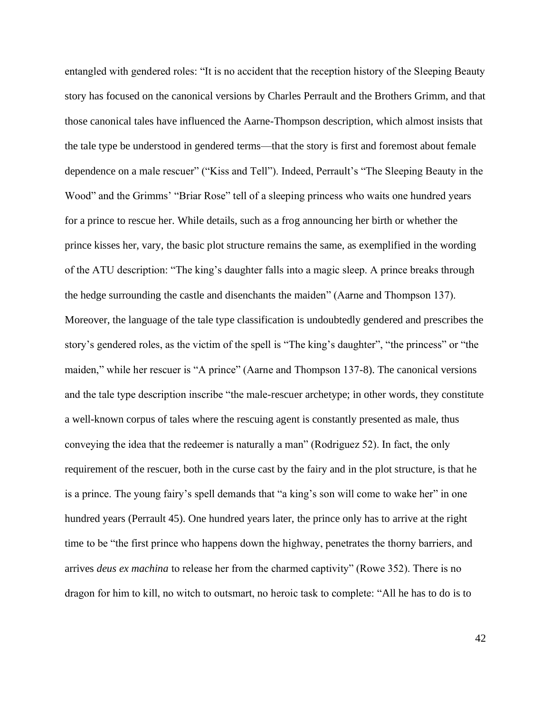entangled with gendered roles: "It is no accident that the reception history of the Sleeping Beauty story has focused on the canonical versions by Charles Perrault and the Brothers Grimm, and that those canonical tales have influenced the Aarne-Thompson description, which almost insists that the tale type be understood in gendered terms—that the story is first and foremost about female dependence on a male rescuer" ("Kiss and Tell"). Indeed, Perrault's "The Sleeping Beauty in the Wood" and the Grimms' "Briar Rose" tell of a sleeping princess who waits one hundred years for a prince to rescue her. While details, such as a frog announcing her birth or whether the prince kisses her, vary, the basic plot structure remains the same, as exemplified in the wording of the ATU description: "The king's daughter falls into a magic sleep. A prince breaks through the hedge surrounding the castle and disenchants the maiden" (Aarne and Thompson 137). Moreover, the language of the tale type classification is undoubtedly gendered and prescribes the story's gendered roles, as the victim of the spell is "The king's daughter", "the princess" or "the maiden," while her rescuer is "A prince" (Aarne and Thompson 137-8). The canonical versions and the tale type description inscribe "the male-rescuer archetype; in other words, they constitute a well-known corpus of tales where the rescuing agent is constantly presented as male, thus conveying the idea that the redeemer is naturally a man" (Rodriguez 52). In fact, the only requirement of the rescuer, both in the curse cast by the fairy and in the plot structure, is that he is a prince. The young fairy's spell demands that "a king's son will come to wake her" in one hundred years (Perrault 45). One hundred years later, the prince only has to arrive at the right time to be "the first prince who happens down the highway, penetrates the thorny barriers, and arrives *deus ex machina* to release her from the charmed captivity" (Rowe 352). There is no dragon for him to kill, no witch to outsmart, no heroic task to complete: "All he has to do is to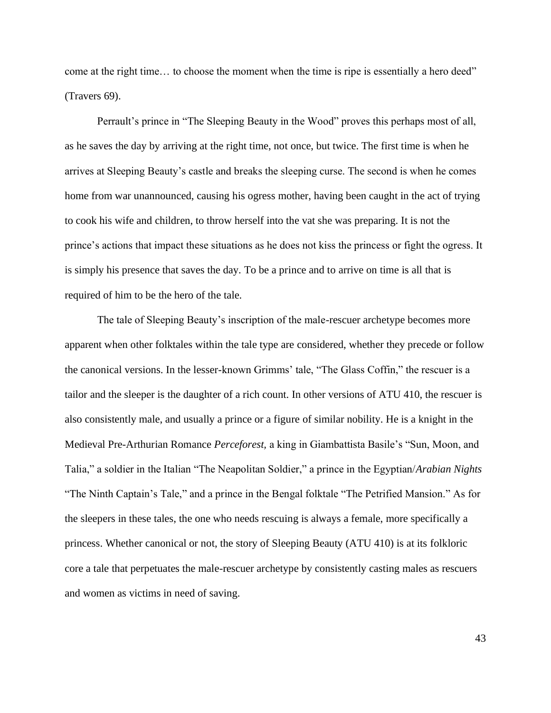come at the right time… to choose the moment when the time is ripe is essentially a hero deed" (Travers 69).

Perrault's prince in "The Sleeping Beauty in the Wood" proves this perhaps most of all, as he saves the day by arriving at the right time, not once, but twice. The first time is when he arrives at Sleeping Beauty's castle and breaks the sleeping curse. The second is when he comes home from war unannounced, causing his ogress mother, having been caught in the act of trying to cook his wife and children, to throw herself into the vat she was preparing. It is not the prince's actions that impact these situations as he does not kiss the princess or fight the ogress. It is simply his presence that saves the day. To be a prince and to arrive on time is all that is required of him to be the hero of the tale.

The tale of Sleeping Beauty's inscription of the male-rescuer archetype becomes more apparent when other folktales within the tale type are considered, whether they precede or follow the canonical versions. In the lesser-known Grimms' tale, "The Glass Coffin," the rescuer is a tailor and the sleeper is the daughter of a rich count. In other versions of ATU 410, the rescuer is also consistently male, and usually a prince or a figure of similar nobility. He is a knight in the Medieval Pre-Arthurian Romance *Perceforest,* a king in Giambattista Basile's "Sun, Moon, and Talia," a soldier in the Italian "The Neapolitan Soldier," a prince in the Egyptian/*Arabian Nights* "The Ninth Captain's Tale," and a prince in the Bengal folktale "The Petrified Mansion." As for the sleepers in these tales, the one who needs rescuing is always a female, more specifically a princess. Whether canonical or not, the story of Sleeping Beauty (ATU 410) is at its folkloric core a tale that perpetuates the male-rescuer archetype by consistently casting males as rescuers and women as victims in need of saving.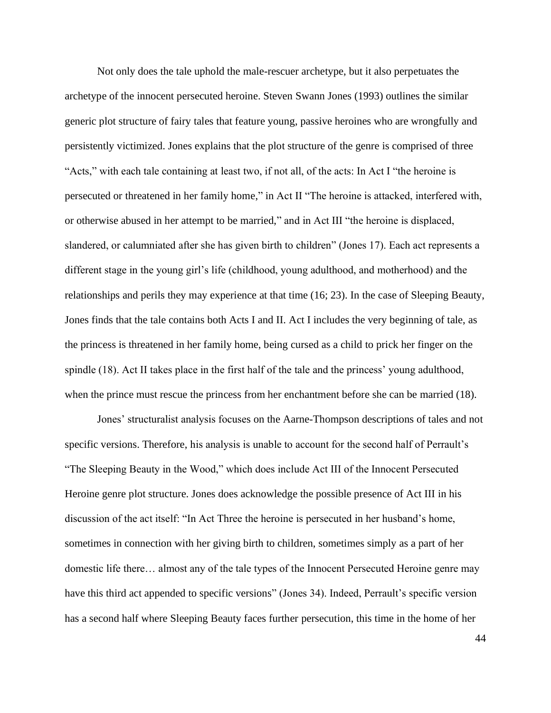Not only does the tale uphold the male-rescuer archetype, but it also perpetuates the archetype of the innocent persecuted heroine. Steven Swann Jones (1993) outlines the similar generic plot structure of fairy tales that feature young, passive heroines who are wrongfully and persistently victimized. Jones explains that the plot structure of the genre is comprised of three "Acts," with each tale containing at least two, if not all, of the acts: In Act I "the heroine is persecuted or threatened in her family home," in Act II "The heroine is attacked, interfered with, or otherwise abused in her attempt to be married," and in Act III "the heroine is displaced, slandered, or calumniated after she has given birth to children" (Jones 17). Each act represents a different stage in the young girl's life (childhood, young adulthood, and motherhood) and the relationships and perils they may experience at that time (16; 23). In the case of Sleeping Beauty, Jones finds that the tale contains both Acts I and II. Act I includes the very beginning of tale, as the princess is threatened in her family home, being cursed as a child to prick her finger on the spindle (18). Act II takes place in the first half of the tale and the princess' young adulthood, when the prince must rescue the princess from her enchantment before she can be married (18).

Jones' structuralist analysis focuses on the Aarne-Thompson descriptions of tales and not specific versions. Therefore, his analysis is unable to account for the second half of Perrault's "The Sleeping Beauty in the Wood," which does include Act III of the Innocent Persecuted Heroine genre plot structure. Jones does acknowledge the possible presence of Act III in his discussion of the act itself: "In Act Three the heroine is persecuted in her husband's home, sometimes in connection with her giving birth to children, sometimes simply as a part of her domestic life there… almost any of the tale types of the Innocent Persecuted Heroine genre may have this third act appended to specific versions" (Jones 34). Indeed, Perrault's specific version has a second half where Sleeping Beauty faces further persecution, this time in the home of her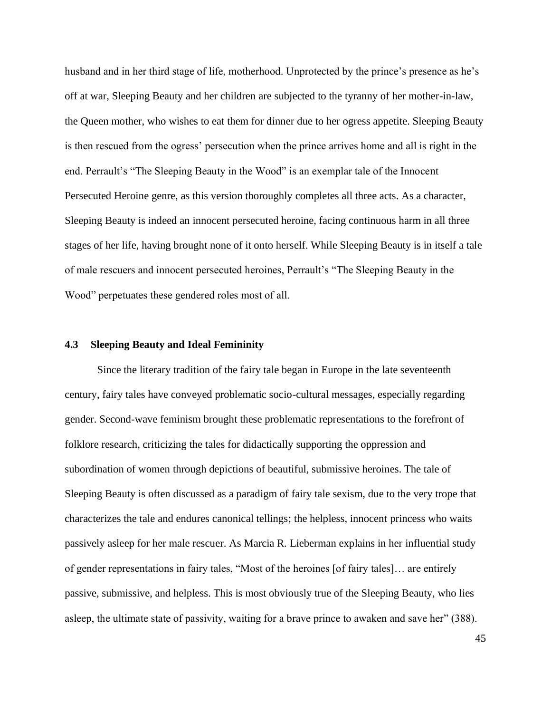husband and in her third stage of life, motherhood. Unprotected by the prince's presence as he's off at war, Sleeping Beauty and her children are subjected to the tyranny of her mother-in-law, the Queen mother, who wishes to eat them for dinner due to her ogress appetite. Sleeping Beauty is then rescued from the ogress' persecution when the prince arrives home and all is right in the end. Perrault's "The Sleeping Beauty in the Wood" is an exemplar tale of the Innocent Persecuted Heroine genre, as this version thoroughly completes all three acts. As a character, Sleeping Beauty is indeed an innocent persecuted heroine, facing continuous harm in all three stages of her life, having brought none of it onto herself. While Sleeping Beauty is in itself a tale of male rescuers and innocent persecuted heroines, Perrault's "The Sleeping Beauty in the Wood" perpetuates these gendered roles most of all.

### **4.3 Sleeping Beauty and Ideal Femininity**

Since the literary tradition of the fairy tale began in Europe in the late seventeenth century, fairy tales have conveyed problematic socio-cultural messages, especially regarding gender. Second-wave feminism brought these problematic representations to the forefront of folklore research, criticizing the tales for didactically supporting the oppression and subordination of women through depictions of beautiful, submissive heroines. The tale of Sleeping Beauty is often discussed as a paradigm of fairy tale sexism, due to the very trope that characterizes the tale and endures canonical tellings; the helpless, innocent princess who waits passively asleep for her male rescuer. As Marcia R. Lieberman explains in her influential study of gender representations in fairy tales, "Most of the heroines [of fairy tales]… are entirely passive, submissive, and helpless. This is most obviously true of the Sleeping Beauty, who lies asleep, the ultimate state of passivity, waiting for a brave prince to awaken and save her" (388).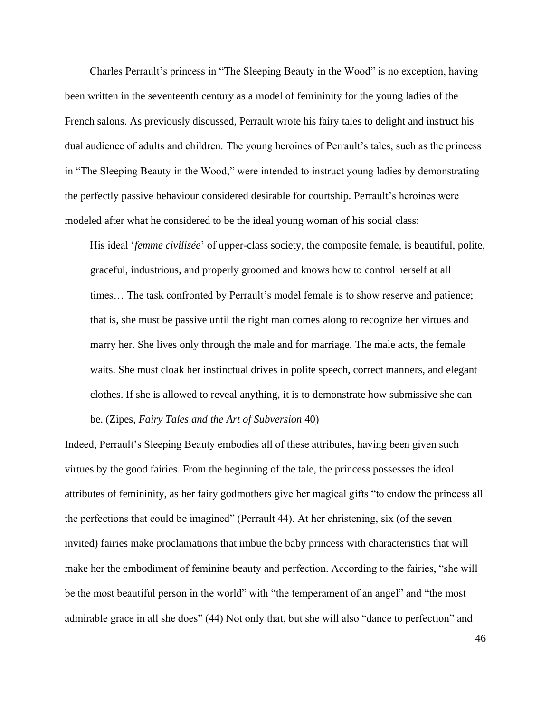Charles Perrault's princess in "The Sleeping Beauty in the Wood" is no exception, having been written in the seventeenth century as a model of femininity for the young ladies of the French salons. As previously discussed, Perrault wrote his fairy tales to delight and instruct his dual audience of adults and children. The young heroines of Perrault's tales, such as the princess in "The Sleeping Beauty in the Wood," were intended to instruct young ladies by demonstrating the perfectly passive behaviour considered desirable for courtship. Perrault's heroines were modeled after what he considered to be the ideal young woman of his social class:

His ideal '*femme civilisée*' of upper-class society, the composite female, is beautiful, polite, graceful, industrious, and properly groomed and knows how to control herself at all times… The task confronted by Perrault's model female is to show reserve and patience; that is, she must be passive until the right man comes along to recognize her virtues and marry her. She lives only through the male and for marriage. The male acts, the female waits. She must cloak her instinctual drives in polite speech, correct manners, and elegant clothes. If she is allowed to reveal anything, it is to demonstrate how submissive she can be. (Zipes, *Fairy Tales and the Art of Subversion* 40)

Indeed, Perrault's Sleeping Beauty embodies all of these attributes, having been given such virtues by the good fairies. From the beginning of the tale, the princess possesses the ideal attributes of femininity, as her fairy godmothers give her magical gifts "to endow the princess all the perfections that could be imagined" (Perrault 44). At her christening, six (of the seven invited) fairies make proclamations that imbue the baby princess with characteristics that will make her the embodiment of feminine beauty and perfection. According to the fairies, "she will be the most beautiful person in the world" with "the temperament of an angel" and "the most admirable grace in all she does" (44) Not only that, but she will also "dance to perfection" and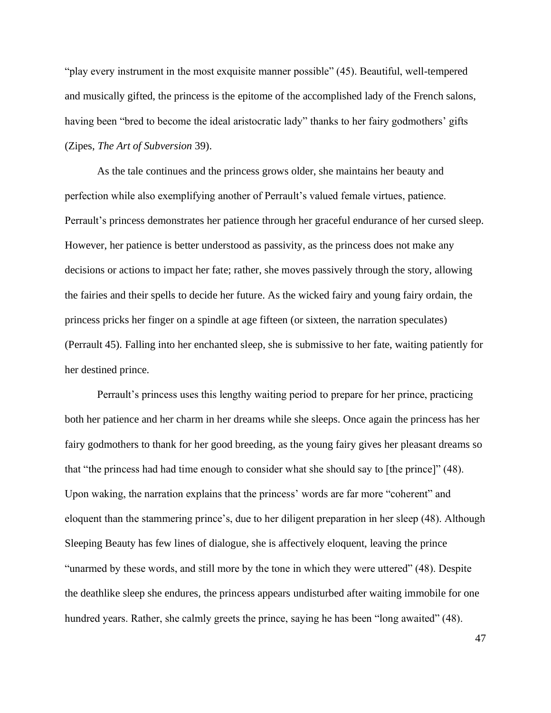"play every instrument in the most exquisite manner possible" (45). Beautiful, well-tempered and musically gifted, the princess is the epitome of the accomplished lady of the French salons, having been "bred to become the ideal aristocratic lady" thanks to her fairy godmothers' gifts (Zipes, *The Art of Subversion* 39).

As the tale continues and the princess grows older, she maintains her beauty and perfection while also exemplifying another of Perrault's valued female virtues, patience. Perrault's princess demonstrates her patience through her graceful endurance of her cursed sleep. However, her patience is better understood as passivity, as the princess does not make any decisions or actions to impact her fate; rather, she moves passively through the story, allowing the fairies and their spells to decide her future. As the wicked fairy and young fairy ordain, the princess pricks her finger on a spindle at age fifteen (or sixteen, the narration speculates) (Perrault 45). Falling into her enchanted sleep, she is submissive to her fate, waiting patiently for her destined prince.

Perrault's princess uses this lengthy waiting period to prepare for her prince, practicing both her patience and her charm in her dreams while she sleeps. Once again the princess has her fairy godmothers to thank for her good breeding, as the young fairy gives her pleasant dreams so that "the princess had had time enough to consider what she should say to [the prince]" (48). Upon waking, the narration explains that the princess' words are far more "coherent" and eloquent than the stammering prince's, due to her diligent preparation in her sleep (48). Although Sleeping Beauty has few lines of dialogue, she is affectively eloquent, leaving the prince "unarmed by these words, and still more by the tone in which they were uttered" (48). Despite the deathlike sleep she endures, the princess appears undisturbed after waiting immobile for one hundred years. Rather, she calmly greets the prince, saying he has been "long awaited" (48).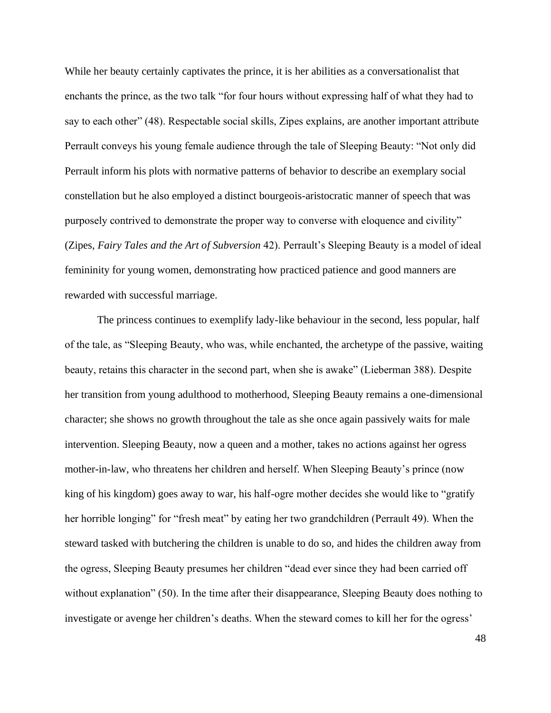While her beauty certainly captivates the prince, it is her abilities as a conversationalist that enchants the prince, as the two talk "for four hours without expressing half of what they had to say to each other" (48). Respectable social skills, Zipes explains, are another important attribute Perrault conveys his young female audience through the tale of Sleeping Beauty: "Not only did Perrault inform his plots with normative patterns of behavior to describe an exemplary social constellation but he also employed a distinct bourgeois-aristocratic manner of speech that was purposely contrived to demonstrate the proper way to converse with eloquence and civility" (Zipes, *Fairy Tales and the Art of Subversion* 42). Perrault's Sleeping Beauty is a model of ideal femininity for young women, demonstrating how practiced patience and good manners are rewarded with successful marriage.

The princess continues to exemplify lady-like behaviour in the second, less popular, half of the tale, as "Sleeping Beauty, who was, while enchanted, the archetype of the passive, waiting beauty, retains this character in the second part, when she is awake" (Lieberman 388). Despite her transition from young adulthood to motherhood, Sleeping Beauty remains a one-dimensional character; she shows no growth throughout the tale as she once again passively waits for male intervention. Sleeping Beauty, now a queen and a mother, takes no actions against her ogress mother-in-law, who threatens her children and herself. When Sleeping Beauty's prince (now king of his kingdom) goes away to war, his half-ogre mother decides she would like to "gratify her horrible longing" for "fresh meat" by eating her two grandchildren (Perrault 49). When the steward tasked with butchering the children is unable to do so, and hides the children away from the ogress, Sleeping Beauty presumes her children "dead ever since they had been carried off without explanation" (50). In the time after their disappearance, Sleeping Beauty does nothing to investigate or avenge her children's deaths. When the steward comes to kill her for the ogress'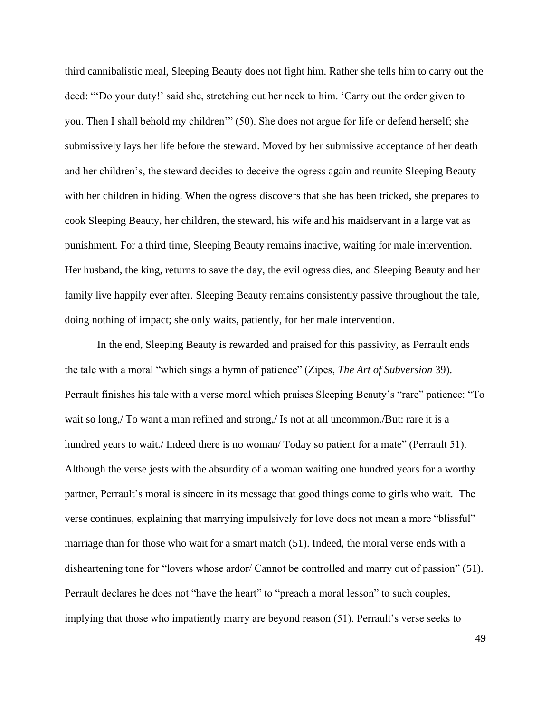third cannibalistic meal, Sleeping Beauty does not fight him. Rather she tells him to carry out the deed: "'Do your duty!' said she, stretching out her neck to him. 'Carry out the order given to you. Then I shall behold my children'" (50). She does not argue for life or defend herself; she submissively lays her life before the steward. Moved by her submissive acceptance of her death and her children's, the steward decides to deceive the ogress again and reunite Sleeping Beauty with her children in hiding. When the ogress discovers that she has been tricked, she prepares to cook Sleeping Beauty, her children, the steward, his wife and his maidservant in a large vat as punishment. For a third time, Sleeping Beauty remains inactive, waiting for male intervention. Her husband, the king, returns to save the day, the evil ogress dies, and Sleeping Beauty and her family live happily ever after. Sleeping Beauty remains consistently passive throughout the tale, doing nothing of impact; she only waits, patiently, for her male intervention.

In the end, Sleeping Beauty is rewarded and praised for this passivity, as Perrault ends the tale with a moral "which sings a hymn of patience" (Zipes, *The Art of Subversion* 39). Perrault finishes his tale with a verse moral which praises Sleeping Beauty's "rare" patience: "To wait so long,/ To want a man refined and strong,/ Is not at all uncommon./But: rare it is a hundred years to wait. Indeed there is no woman Today so patient for a mate" (Perrault 51). Although the verse jests with the absurdity of a woman waiting one hundred years for a worthy partner, Perrault's moral is sincere in its message that good things come to girls who wait. The verse continues, explaining that marrying impulsively for love does not mean a more "blissful" marriage than for those who wait for a smart match (51). Indeed, the moral verse ends with a disheartening tone for "lovers whose ardor/ Cannot be controlled and marry out of passion" (51). Perrault declares he does not "have the heart" to "preach a moral lesson" to such couples, implying that those who impatiently marry are beyond reason (51). Perrault's verse seeks to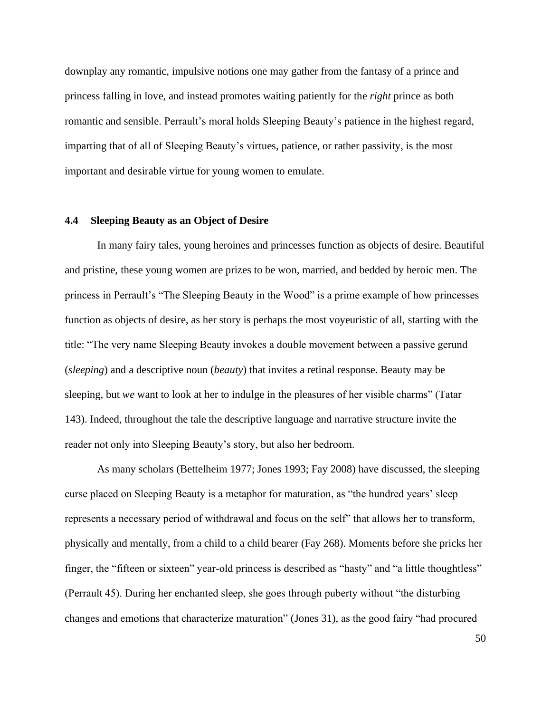downplay any romantic, impulsive notions one may gather from the fantasy of a prince and princess falling in love, and instead promotes waiting patiently for the *right* prince as both romantic and sensible. Perrault's moral holds Sleeping Beauty's patience in the highest regard, imparting that of all of Sleeping Beauty's virtues, patience, or rather passivity, is the most important and desirable virtue for young women to emulate.

#### **4.4 Sleeping Beauty as an Object of Desire**

In many fairy tales, young heroines and princesses function as objects of desire. Beautiful and pristine, these young women are prizes to be won, married, and bedded by heroic men. The princess in Perrault's "The Sleeping Beauty in the Wood" is a prime example of how princesses function as objects of desire, as her story is perhaps the most voyeuristic of all, starting with the title: "The very name Sleeping Beauty invokes a double movement between a passive gerund (*sleeping*) and a descriptive noun (*beauty*) that invites a retinal response. Beauty may be sleeping, but *we* want to look at her to indulge in the pleasures of her visible charms" (Tatar 143). Indeed, throughout the tale the descriptive language and narrative structure invite the reader not only into Sleeping Beauty's story, but also her bedroom.

As many scholars (Bettelheim 1977; Jones 1993; Fay 2008) have discussed, the sleeping curse placed on Sleeping Beauty is a metaphor for maturation, as "the hundred years' sleep represents a necessary period of withdrawal and focus on the self" that allows her to transform, physically and mentally, from a child to a child bearer (Fay 268). Moments before she pricks her finger, the "fifteen or sixteen" year-old princess is described as "hasty" and "a little thoughtless" (Perrault 45). During her enchanted sleep, she goes through puberty without "the disturbing changes and emotions that characterize maturation" (Jones 31), as the good fairy "had procured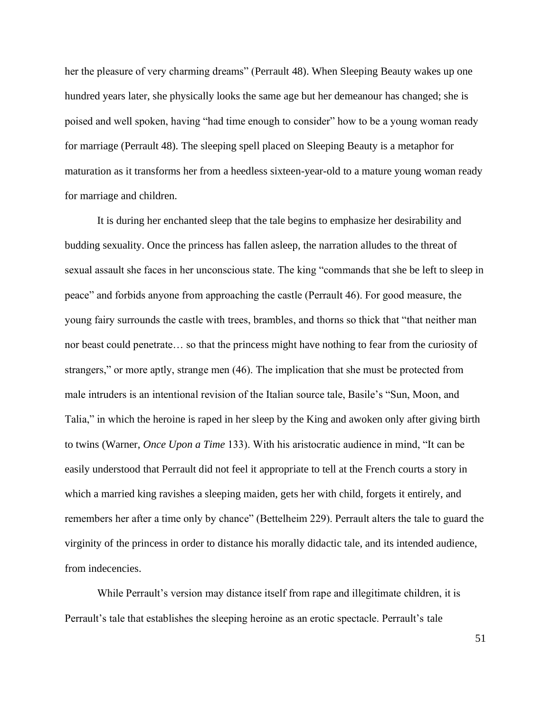her the pleasure of very charming dreams" (Perrault 48). When Sleeping Beauty wakes up one hundred years later, she physically looks the same age but her demeanour has changed; she is poised and well spoken, having "had time enough to consider" how to be a young woman ready for marriage (Perrault 48). The sleeping spell placed on Sleeping Beauty is a metaphor for maturation as it transforms her from a heedless sixteen-year-old to a mature young woman ready for marriage and children.

It is during her enchanted sleep that the tale begins to emphasize her desirability and budding sexuality. Once the princess has fallen asleep, the narration alludes to the threat of sexual assault she faces in her unconscious state. The king "commands that she be left to sleep in peace" and forbids anyone from approaching the castle (Perrault 46). For good measure, the young fairy surrounds the castle with trees, brambles, and thorns so thick that "that neither man nor beast could penetrate… so that the princess might have nothing to fear from the curiosity of strangers," or more aptly, strange men (46). The implication that she must be protected from male intruders is an intentional revision of the Italian source tale, Basile's "Sun, Moon, and Talia," in which the heroine is raped in her sleep by the King and awoken only after giving birth to twins (Warner, *Once Upon a Time* 133). With his aristocratic audience in mind, "It can be easily understood that Perrault did not feel it appropriate to tell at the French courts a story in which a married king ravishes a sleeping maiden, gets her with child, forgets it entirely, and remembers her after a time only by chance" (Bettelheim 229). Perrault alters the tale to guard the virginity of the princess in order to distance his morally didactic tale, and its intended audience, from indecencies.

While Perrault's version may distance itself from rape and illegitimate children, it is Perrault's tale that establishes the sleeping heroine as an erotic spectacle. Perrault's tale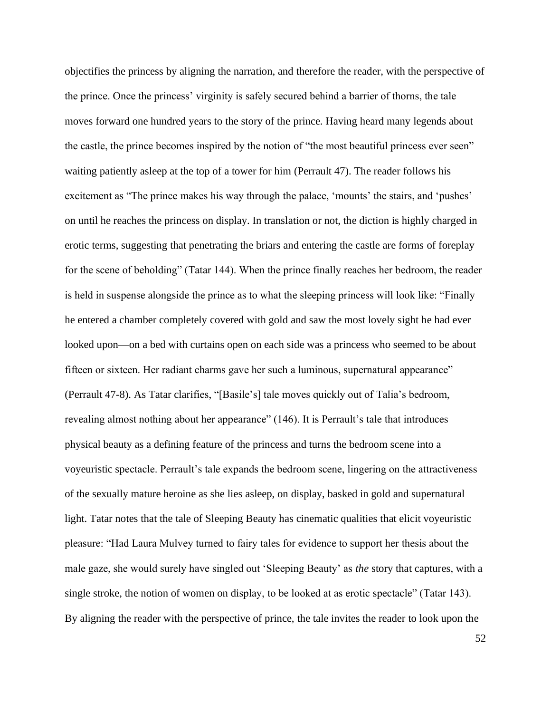objectifies the princess by aligning the narration, and therefore the reader, with the perspective of the prince. Once the princess' virginity is safely secured behind a barrier of thorns, the tale moves forward one hundred years to the story of the prince. Having heard many legends about the castle, the prince becomes inspired by the notion of "the most beautiful princess ever seen" waiting patiently asleep at the top of a tower for him (Perrault 47). The reader follows his excitement as "The prince makes his way through the palace, 'mounts' the stairs, and 'pushes' on until he reaches the princess on display. In translation or not, the diction is highly charged in erotic terms, suggesting that penetrating the briars and entering the castle are forms of foreplay for the scene of beholding" (Tatar 144). When the prince finally reaches her bedroom, the reader is held in suspense alongside the prince as to what the sleeping princess will look like: "Finally he entered a chamber completely covered with gold and saw the most lovely sight he had ever looked upon—on a bed with curtains open on each side was a princess who seemed to be about fifteen or sixteen. Her radiant charms gave her such a luminous, supernatural appearance" (Perrault 47-8). As Tatar clarifies, "[Basile's] tale moves quickly out of Talia's bedroom, revealing almost nothing about her appearance" (146). It is Perrault's tale that introduces physical beauty as a defining feature of the princess and turns the bedroom scene into a voyeuristic spectacle. Perrault's tale expands the bedroom scene, lingering on the attractiveness of the sexually mature heroine as she lies asleep, on display, basked in gold and supernatural light. Tatar notes that the tale of Sleeping Beauty has cinematic qualities that elicit voyeuristic pleasure: "Had Laura Mulvey turned to fairy tales for evidence to support her thesis about the male gaze, she would surely have singled out 'Sleeping Beauty' as *the* story that captures, with a single stroke, the notion of women on display, to be looked at as erotic spectacle" (Tatar 143). By aligning the reader with the perspective of prince, the tale invites the reader to look upon the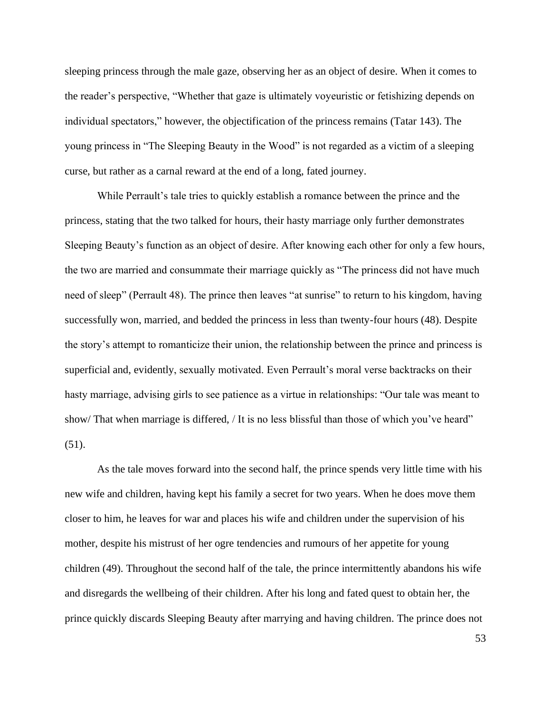sleeping princess through the male gaze, observing her as an object of desire. When it comes to the reader's perspective, "Whether that gaze is ultimately voyeuristic or fetishizing depends on individual spectators," however, the objectification of the princess remains (Tatar 143). The young princess in "The Sleeping Beauty in the Wood" is not regarded as a victim of a sleeping curse, but rather as a carnal reward at the end of a long, fated journey.

While Perrault's tale tries to quickly establish a romance between the prince and the princess, stating that the two talked for hours, their hasty marriage only further demonstrates Sleeping Beauty's function as an object of desire. After knowing each other for only a few hours, the two are married and consummate their marriage quickly as "The princess did not have much need of sleep" (Perrault 48). The prince then leaves "at sunrise" to return to his kingdom, having successfully won, married, and bedded the princess in less than twenty-four hours (48). Despite the story's attempt to romanticize their union, the relationship between the prince and princess is superficial and, evidently, sexually motivated. Even Perrault's moral verse backtracks on their hasty marriage, advising girls to see patience as a virtue in relationships: "Our tale was meant to show/ That when marriage is differed, / It is no less blissful than those of which you've heard" (51).

As the tale moves forward into the second half, the prince spends very little time with his new wife and children, having kept his family a secret for two years. When he does move them closer to him, he leaves for war and places his wife and children under the supervision of his mother, despite his mistrust of her ogre tendencies and rumours of her appetite for young children (49). Throughout the second half of the tale, the prince intermittently abandons his wife and disregards the wellbeing of their children. After his long and fated quest to obtain her, the prince quickly discards Sleeping Beauty after marrying and having children. The prince does not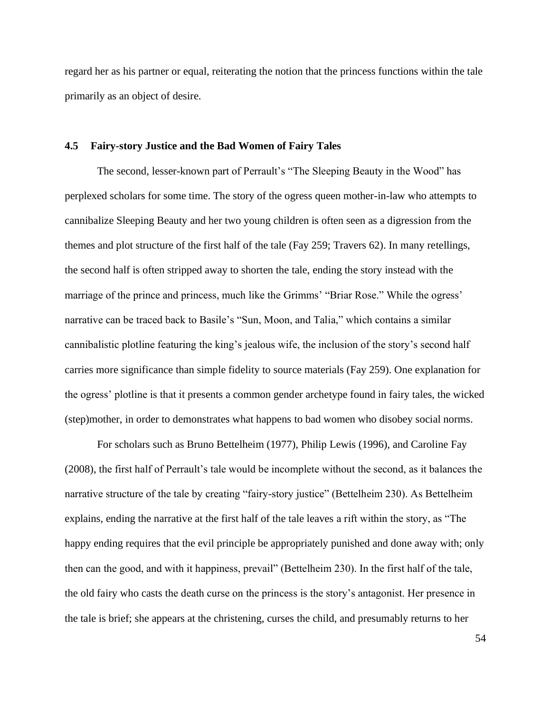regard her as his partner or equal, reiterating the notion that the princess functions within the tale primarily as an object of desire.

#### **4.5 Fairy-story Justice and the Bad Women of Fairy Tales**

The second, lesser-known part of Perrault's "The Sleeping Beauty in the Wood" has perplexed scholars for some time. The story of the ogress queen mother-in-law who attempts to cannibalize Sleeping Beauty and her two young children is often seen as a digression from the themes and plot structure of the first half of the tale (Fay 259; Travers 62). In many retellings, the second half is often stripped away to shorten the tale, ending the story instead with the marriage of the prince and princess, much like the Grimms' "Briar Rose." While the ogress' narrative can be traced back to Basile's "Sun, Moon, and Talia," which contains a similar cannibalistic plotline featuring the king's jealous wife, the inclusion of the story's second half carries more significance than simple fidelity to source materials (Fay 259). One explanation for the ogress' plotline is that it presents a common gender archetype found in fairy tales, the wicked (step)mother, in order to demonstrates what happens to bad women who disobey social norms.

For scholars such as Bruno Bettelheim (1977), Philip Lewis (1996), and Caroline Fay (2008), the first half of Perrault's tale would be incomplete without the second, as it balances the narrative structure of the tale by creating "fairy-story justice" (Bettelheim 230). As Bettelheim explains, ending the narrative at the first half of the tale leaves a rift within the story, as "The happy ending requires that the evil principle be appropriately punished and done away with; only then can the good, and with it happiness, prevail" (Bettelheim 230). In the first half of the tale, the old fairy who casts the death curse on the princess is the story's antagonist. Her presence in the tale is brief; she appears at the christening, curses the child, and presumably returns to her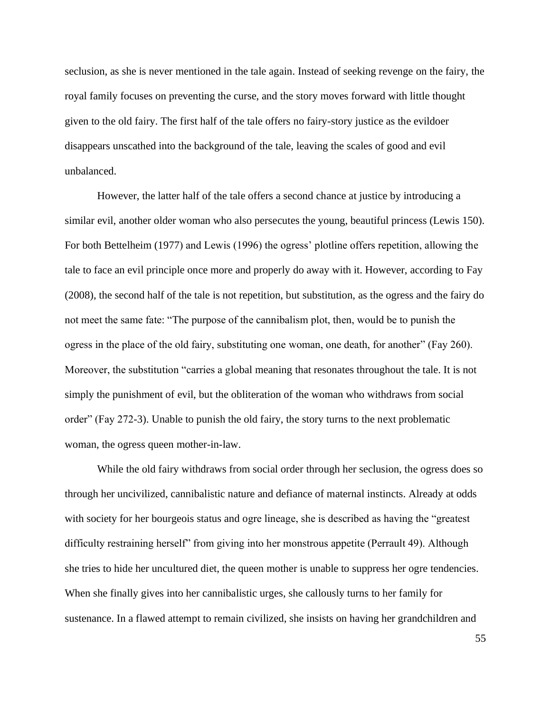seclusion, as she is never mentioned in the tale again. Instead of seeking revenge on the fairy, the royal family focuses on preventing the curse, and the story moves forward with little thought given to the old fairy. The first half of the tale offers no fairy-story justice as the evildoer disappears unscathed into the background of the tale, leaving the scales of good and evil unbalanced.

However, the latter half of the tale offers a second chance at justice by introducing a similar evil, another older woman who also persecutes the young, beautiful princess (Lewis 150). For both Bettelheim (1977) and Lewis (1996) the ogress' plotline offers repetition, allowing the tale to face an evil principle once more and properly do away with it. However, according to Fay (2008), the second half of the tale is not repetition, but substitution, as the ogress and the fairy do not meet the same fate: "The purpose of the cannibalism plot, then, would be to punish the ogress in the place of the old fairy, substituting one woman, one death, for another" (Fay 260). Moreover, the substitution "carries a global meaning that resonates throughout the tale. It is not simply the punishment of evil, but the obliteration of the woman who withdraws from social order" (Fay 272-3). Unable to punish the old fairy, the story turns to the next problematic woman, the ogress queen mother-in-law.

While the old fairy withdraws from social order through her seclusion, the ogress does so through her uncivilized, cannibalistic nature and defiance of maternal instincts. Already at odds with society for her bourgeois status and ogre lineage, she is described as having the "greatest difficulty restraining herself" from giving into her monstrous appetite (Perrault 49). Although she tries to hide her uncultured diet, the queen mother is unable to suppress her ogre tendencies. When she finally gives into her cannibalistic urges, she callously turns to her family for sustenance. In a flawed attempt to remain civilized, she insists on having her grandchildren and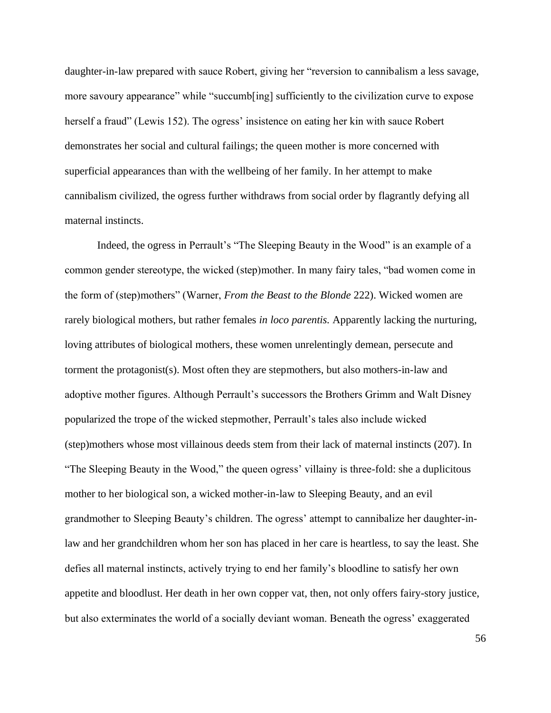daughter-in-law prepared with sauce Robert, giving her "reversion to cannibalism a less savage, more savoury appearance" while "succumb[ing] sufficiently to the civilization curve to expose herself a fraud" (Lewis 152). The ogress' insistence on eating her kin with sauce Robert demonstrates her social and cultural failings; the queen mother is more concerned with superficial appearances than with the wellbeing of her family. In her attempt to make cannibalism civilized, the ogress further withdraws from social order by flagrantly defying all maternal instincts.

Indeed, the ogress in Perrault's "The Sleeping Beauty in the Wood" is an example of a common gender stereotype, the wicked (step)mother. In many fairy tales, "bad women come in the form of (step)mothers" (Warner, *From the Beast to the Blonde* 222). Wicked women are rarely biological mothers, but rather females *in loco parentis.* Apparently lacking the nurturing, loving attributes of biological mothers, these women unrelentingly demean, persecute and torment the protagonist(s). Most often they are stepmothers, but also mothers-in-law and adoptive mother figures. Although Perrault's successors the Brothers Grimm and Walt Disney popularized the trope of the wicked stepmother, Perrault's tales also include wicked (step)mothers whose most villainous deeds stem from their lack of maternal instincts (207). In "The Sleeping Beauty in the Wood," the queen ogress' villainy is three-fold: she a duplicitous mother to her biological son, a wicked mother-in-law to Sleeping Beauty, and an evil grandmother to Sleeping Beauty's children. The ogress' attempt to cannibalize her daughter-inlaw and her grandchildren whom her son has placed in her care is heartless, to say the least. She defies all maternal instincts, actively trying to end her family's bloodline to satisfy her own appetite and bloodlust. Her death in her own copper vat, then, not only offers fairy-story justice, but also exterminates the world of a socially deviant woman. Beneath the ogress' exaggerated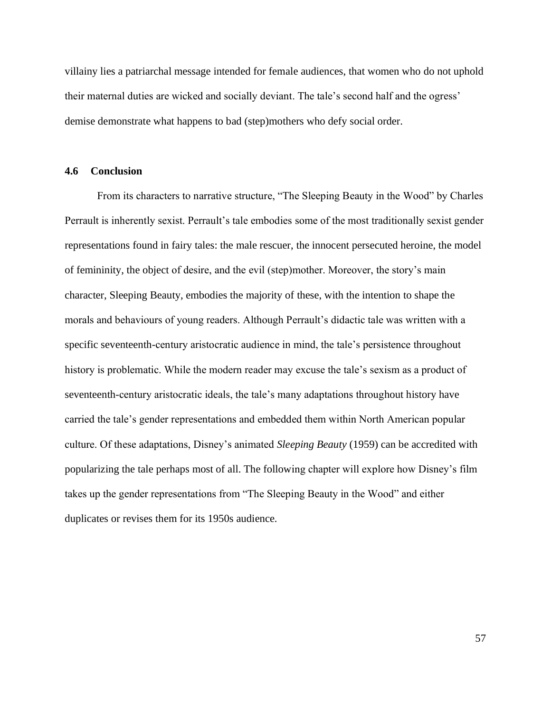villainy lies a patriarchal message intended for female audiences, that women who do not uphold their maternal duties are wicked and socially deviant. The tale's second half and the ogress' demise demonstrate what happens to bad (step)mothers who defy social order.

#### **4.6 Conclusion**

From its characters to narrative structure, "The Sleeping Beauty in the Wood" by Charles Perrault is inherently sexist. Perrault's tale embodies some of the most traditionally sexist gender representations found in fairy tales: the male rescuer, the innocent persecuted heroine, the model of femininity, the object of desire, and the evil (step)mother. Moreover, the story's main character, Sleeping Beauty, embodies the majority of these, with the intention to shape the morals and behaviours of young readers. Although Perrault's didactic tale was written with a specific seventeenth-century aristocratic audience in mind, the tale's persistence throughout history is problematic. While the modern reader may excuse the tale's sexism as a product of seventeenth-century aristocratic ideals, the tale's many adaptations throughout history have carried the tale's gender representations and embedded them within North American popular culture. Of these adaptations, Disney's animated *Sleeping Beauty* (1959) can be accredited with popularizing the tale perhaps most of all. The following chapter will explore how Disney's film takes up the gender representations from "The Sleeping Beauty in the Wood" and either duplicates or revises them for its 1950s audience.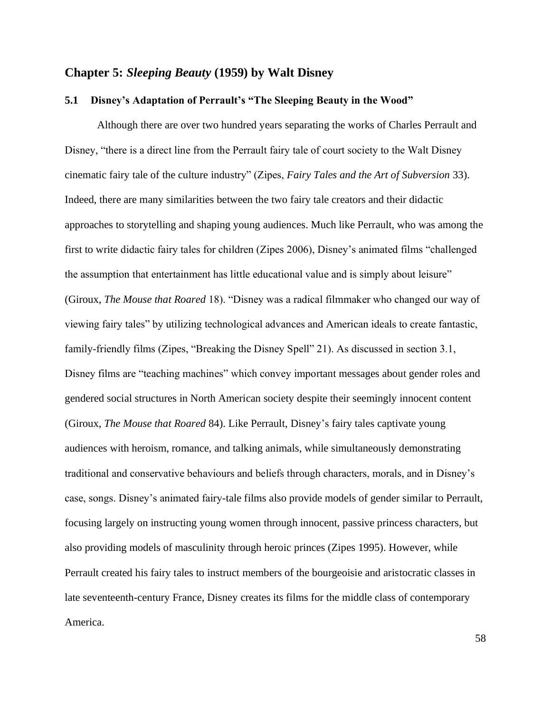## **Chapter 5:** *Sleeping Beauty* **(1959) by Walt Disney**

## **5.1 Disney's Adaptation of Perrault's "The Sleeping Beauty in the Wood"**

Although there are over two hundred years separating the works of Charles Perrault and Disney, "there is a direct line from the Perrault fairy tale of court society to the Walt Disney cinematic fairy tale of the culture industry" (Zipes, *Fairy Tales and the Art of Subversion* 33). Indeed, there are many similarities between the two fairy tale creators and their didactic approaches to storytelling and shaping young audiences. Much like Perrault, who was among the first to write didactic fairy tales for children (Zipes 2006), Disney's animated films "challenged the assumption that entertainment has little educational value and is simply about leisure" (Giroux, *The Mouse that Roared* 18). "Disney was a radical filmmaker who changed our way of viewing fairy tales" by utilizing technological advances and American ideals to create fantastic, family-friendly films (Zipes, "Breaking the Disney Spell" 21). As discussed in section 3.1, Disney films are "teaching machines" which convey important messages about gender roles and gendered social structures in North American society despite their seemingly innocent content (Giroux, *The Mouse that Roared* 84). Like Perrault, Disney's fairy tales captivate young audiences with heroism, romance, and talking animals, while simultaneously demonstrating traditional and conservative behaviours and beliefs through characters, morals, and in Disney's case, songs. Disney's animated fairy-tale films also provide models of gender similar to Perrault, focusing largely on instructing young women through innocent, passive princess characters, but also providing models of masculinity through heroic princes (Zipes 1995). However, while Perrault created his fairy tales to instruct members of the bourgeoisie and aristocratic classes in late seventeenth-century France, Disney creates its films for the middle class of contemporary America.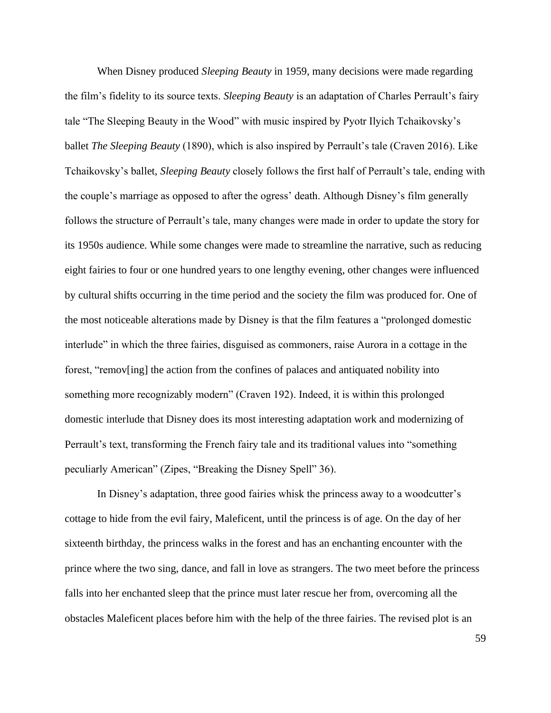When Disney produced *Sleeping Beauty* in 1959, many decisions were made regarding the film's fidelity to its source texts. *Sleeping Beauty* is an adaptation of Charles Perrault's fairy tale "The Sleeping Beauty in the Wood" with music inspired by Pyotr Ilyich Tchaikovsky's ballet *The Sleeping Beauty* (1890), which is also inspired by Perrault's tale (Craven 2016). Like Tchaikovsky's ballet, *Sleeping Beauty* closely follows the first half of Perrault's tale, ending with the couple's marriage as opposed to after the ogress' death. Although Disney's film generally follows the structure of Perrault's tale, many changes were made in order to update the story for its 1950s audience. While some changes were made to streamline the narrative, such as reducing eight fairies to four or one hundred years to one lengthy evening, other changes were influenced by cultural shifts occurring in the time period and the society the film was produced for. One of the most noticeable alterations made by Disney is that the film features a "prolonged domestic interlude" in which the three fairies, disguised as commoners, raise Aurora in a cottage in the forest, "remov[ing] the action from the confines of palaces and antiquated nobility into something more recognizably modern" (Craven 192). Indeed, it is within this prolonged domestic interlude that Disney does its most interesting adaptation work and modernizing of Perrault's text, transforming the French fairy tale and its traditional values into "something peculiarly American" (Zipes, "Breaking the Disney Spell" 36).

In Disney's adaptation, three good fairies whisk the princess away to a woodcutter's cottage to hide from the evil fairy, Maleficent, until the princess is of age. On the day of her sixteenth birthday, the princess walks in the forest and has an enchanting encounter with the prince where the two sing, dance, and fall in love as strangers. The two meet before the princess falls into her enchanted sleep that the prince must later rescue her from, overcoming all the obstacles Maleficent places before him with the help of the three fairies. The revised plot is an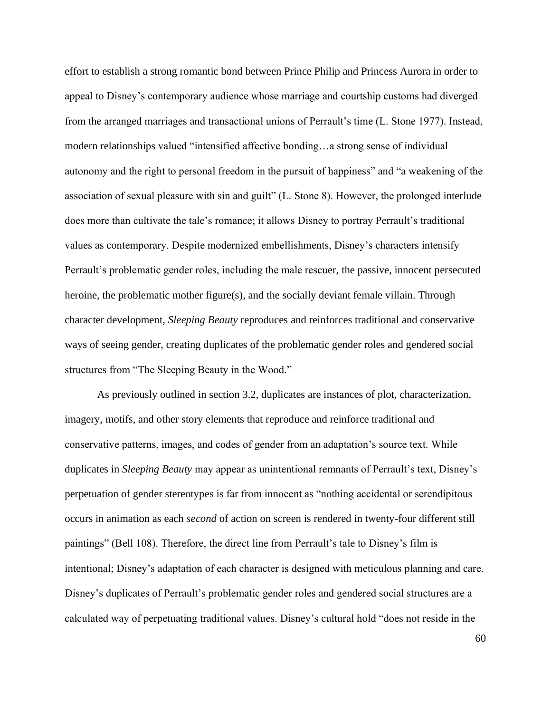effort to establish a strong romantic bond between Prince Philip and Princess Aurora in order to appeal to Disney's contemporary audience whose marriage and courtship customs had diverged from the arranged marriages and transactional unions of Perrault's time (L. Stone 1977). Instead, modern relationships valued "intensified affective bonding…a strong sense of individual autonomy and the right to personal freedom in the pursuit of happiness" and "a weakening of the association of sexual pleasure with sin and guilt" (L. Stone 8). However, the prolonged interlude does more than cultivate the tale's romance; it allows Disney to portray Perrault's traditional values as contemporary. Despite modernized embellishments, Disney's characters intensify Perrault's problematic gender roles, including the male rescuer, the passive, innocent persecuted heroine, the problematic mother figure(s), and the socially deviant female villain. Through character development, *Sleeping Beauty* reproduces and reinforces traditional and conservative ways of seeing gender, creating duplicates of the problematic gender roles and gendered social structures from "The Sleeping Beauty in the Wood."

As previously outlined in section 3.2, duplicates are instances of plot, characterization, imagery, motifs, and other story elements that reproduce and reinforce traditional and conservative patterns, images, and codes of gender from an adaptation's source text. While duplicates in *Sleeping Beauty* may appear as unintentional remnants of Perrault's text, Disney's perpetuation of gender stereotypes is far from innocent as "nothing accidental or serendipitous occurs in animation as each *second* of action on screen is rendered in twenty-four different still paintings" (Bell 108). Therefore, the direct line from Perrault's tale to Disney's film is intentional; Disney's adaptation of each character is designed with meticulous planning and care. Disney's duplicates of Perrault's problematic gender roles and gendered social structures are a calculated way of perpetuating traditional values. Disney's cultural hold "does not reside in the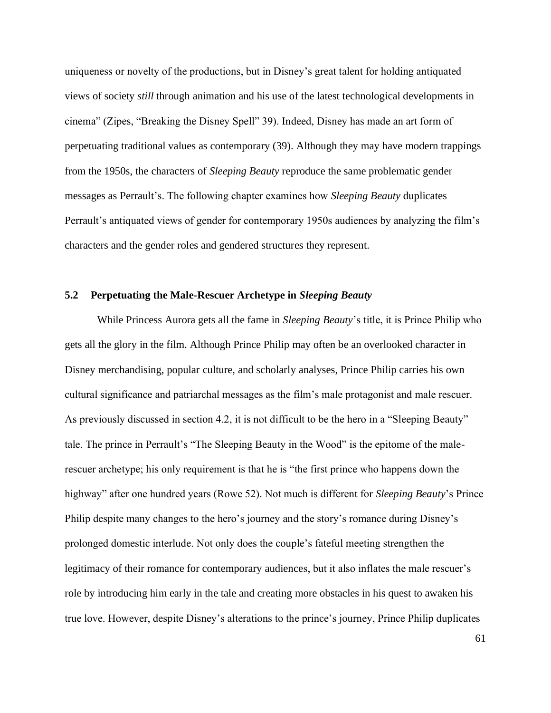uniqueness or novelty of the productions, but in Disney's great talent for holding antiquated views of society *still* through animation and his use of the latest technological developments in cinema" (Zipes, "Breaking the Disney Spell" 39). Indeed, Disney has made an art form of perpetuating traditional values as contemporary (39). Although they may have modern trappings from the 1950s, the characters of *Sleeping Beauty* reproduce the same problematic gender messages as Perrault's. The following chapter examines how *Sleeping Beauty* duplicates Perrault's antiquated views of gender for contemporary 1950s audiences by analyzing the film's characters and the gender roles and gendered structures they represent.

## **5.2 Perpetuating the Male-Rescuer Archetype in** *Sleeping Beauty*

While Princess Aurora gets all the fame in *Sleeping Beauty*'s title, it is Prince Philip who gets all the glory in the film. Although Prince Philip may often be an overlooked character in Disney merchandising, popular culture, and scholarly analyses, Prince Philip carries his own cultural significance and patriarchal messages as the film's male protagonist and male rescuer. As previously discussed in section 4.2, it is not difficult to be the hero in a "Sleeping Beauty" tale. The prince in Perrault's "The Sleeping Beauty in the Wood" is the epitome of the malerescuer archetype; his only requirement is that he is "the first prince who happens down the highway" after one hundred years (Rowe 52). Not much is different for *Sleeping Beauty*'s Prince Philip despite many changes to the hero's journey and the story's romance during Disney's prolonged domestic interlude. Not only does the couple's fateful meeting strengthen the legitimacy of their romance for contemporary audiences, but it also inflates the male rescuer's role by introducing him early in the tale and creating more obstacles in his quest to awaken his true love. However, despite Disney's alterations to the prince's journey, Prince Philip duplicates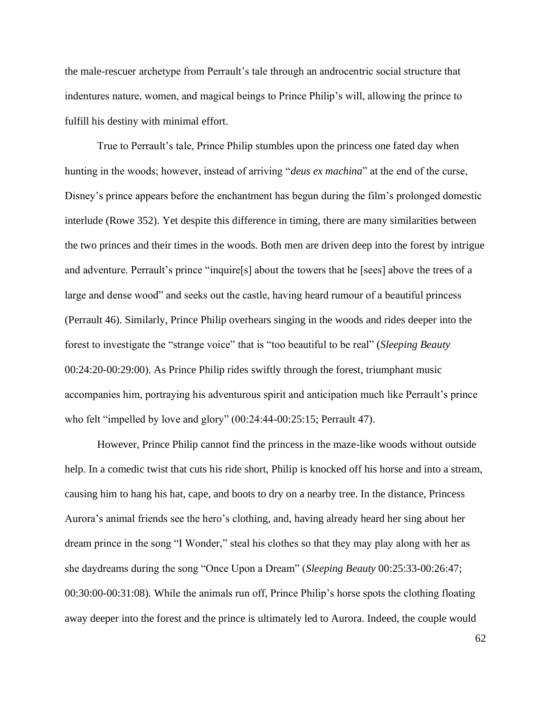the male-rescuer archetype from Perrault's tale through an androcentric social structure that indentures nature, women, and magical beings to Prince Philip's will, allowing the prince to fulfill his destiny with minimal effort.

True to Perrault's tale, Prince Philip stumbles upon the princess one fated day when hunting in the woods; however, instead of arriving "*deus ex machina*" at the end of the curse, Disney's prince appears before the enchantment has begun during the film's prolonged domestic interlude (Rowe 352). Yet despite this difference in timing, there are many similarities between the two princes and their times in the woods. Both men are driven deep into the forest by intrigue and adventure. Perrault's prince "inquire[s] about the towers that he [sees] above the trees of a large and dense wood" and seeks out the castle, having heard rumour of a beautiful princess (Perrault 46). Similarly, Prince Philip overhears singing in the woods and rides deeper into the forest to investigate the "strange voice" that is "too beautiful to be real" (*Sleeping Beauty*  00:24:20-00:29:00). As Prince Philip rides swiftly through the forest, triumphant music accompanies him, portraying his adventurous spirit and anticipation much like Perrault's prince who felt "impelled by love and glory" (00:24:44-00:25:15; Perrault 47).

However, Prince Philip cannot find the princess in the maze-like woods without outside help. In a comedic twist that cuts his ride short, Philip is knocked off his horse and into a stream, causing him to hang his hat, cape, and boots to dry on a nearby tree. In the distance, Princess Aurora's animal friends see the hero's clothing, and, having already heard her sing about her dream prince in the song "I Wonder," steal his clothes so that they may play along with her as she daydreams during the song "Once Upon a Dream" (*Sleeping Beauty* 00:25:33-00:26:47; 00:30:00-00:31:08). While the animals run off, Prince Philip's horse spots the clothing floating away deeper into the forest and the prince is ultimately led to Aurora. Indeed, the couple would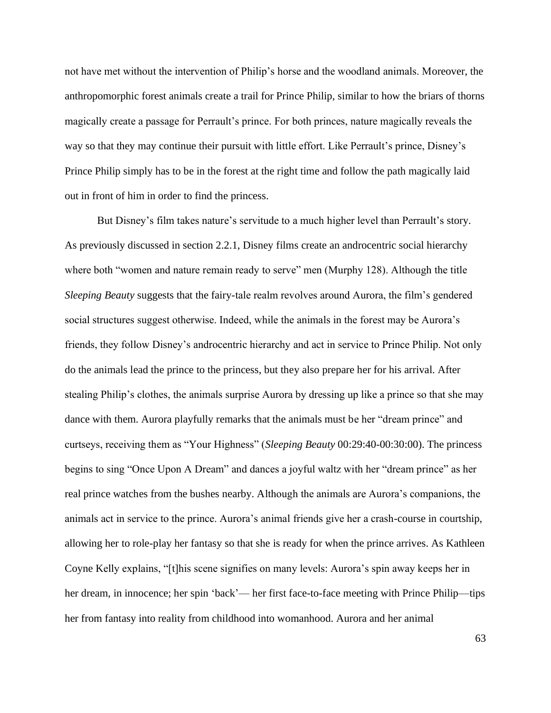not have met without the intervention of Philip's horse and the woodland animals. Moreover, the anthropomorphic forest animals create a trail for Prince Philip, similar to how the briars of thorns magically create a passage for Perrault's prince. For both princes, nature magically reveals the way so that they may continue their pursuit with little effort. Like Perrault's prince, Disney's Prince Philip simply has to be in the forest at the right time and follow the path magically laid out in front of him in order to find the princess.

But Disney's film takes nature's servitude to a much higher level than Perrault's story. As previously discussed in section 2.2.1, Disney films create an androcentric social hierarchy where both "women and nature remain ready to serve" men (Murphy 128). Although the title *Sleeping Beauty* suggests that the fairy-tale realm revolves around Aurora, the film's gendered social structures suggest otherwise. Indeed, while the animals in the forest may be Aurora's friends, they follow Disney's androcentric hierarchy and act in service to Prince Philip. Not only do the animals lead the prince to the princess, but they also prepare her for his arrival. After stealing Philip's clothes, the animals surprise Aurora by dressing up like a prince so that she may dance with them. Aurora playfully remarks that the animals must be her "dream prince" and curtseys, receiving them as "Your Highness" (*Sleeping Beauty* 00:29:40-00:30:00). The princess begins to sing "Once Upon A Dream" and dances a joyful waltz with her "dream prince" as her real prince watches from the bushes nearby. Although the animals are Aurora's companions, the animals act in service to the prince. Aurora's animal friends give her a crash-course in courtship, allowing her to role-play her fantasy so that she is ready for when the prince arrives. As Kathleen Coyne Kelly explains, "[t]his scene signifies on many levels: Aurora's spin away keeps her in her dream, in innocence; her spin 'back'— her first face-to-face meeting with Prince Philip—tips her from fantasy into reality from childhood into womanhood. Aurora and her animal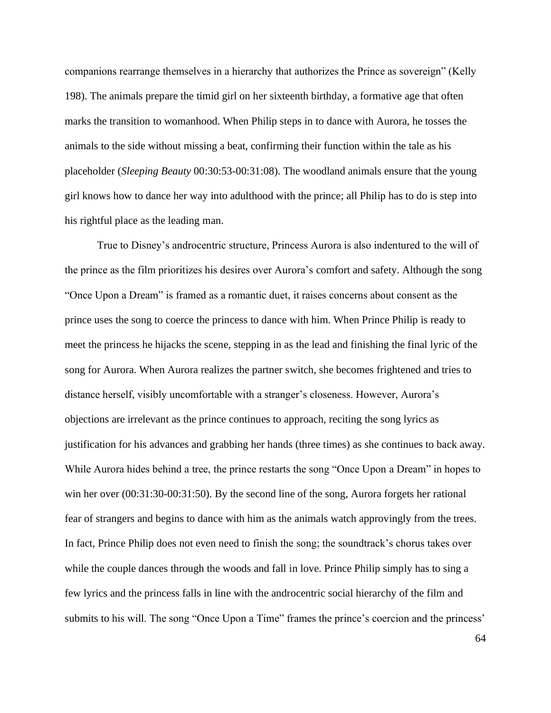companions rearrange themselves in a hierarchy that authorizes the Prince as sovereign" (Kelly 198). The animals prepare the timid girl on her sixteenth birthday, a formative age that often marks the transition to womanhood. When Philip steps in to dance with Aurora, he tosses the animals to the side without missing a beat, confirming their function within the tale as his placeholder (*Sleeping Beauty* 00:30:53-00:31:08). The woodland animals ensure that the young girl knows how to dance her way into adulthood with the prince; all Philip has to do is step into his rightful place as the leading man.

True to Disney's androcentric structure, Princess Aurora is also indentured to the will of the prince as the film prioritizes his desires over Aurora's comfort and safety. Although the song "Once Upon a Dream" is framed as a romantic duet, it raises concerns about consent as the prince uses the song to coerce the princess to dance with him. When Prince Philip is ready to meet the princess he hijacks the scene, stepping in as the lead and finishing the final lyric of the song for Aurora. When Aurora realizes the partner switch, she becomes frightened and tries to distance herself, visibly uncomfortable with a stranger's closeness. However, Aurora's objections are irrelevant as the prince continues to approach, reciting the song lyrics as justification for his advances and grabbing her hands (three times) as she continues to back away. While Aurora hides behind a tree, the prince restarts the song "Once Upon a Dream" in hopes to win her over (00:31:30-00:31:50). By the second line of the song, Aurora forgets her rational fear of strangers and begins to dance with him as the animals watch approvingly from the trees. In fact, Prince Philip does not even need to finish the song; the soundtrack's chorus takes over while the couple dances through the woods and fall in love. Prince Philip simply has to sing a few lyrics and the princess falls in line with the androcentric social hierarchy of the film and submits to his will. The song "Once Upon a Time" frames the prince's coercion and the princess'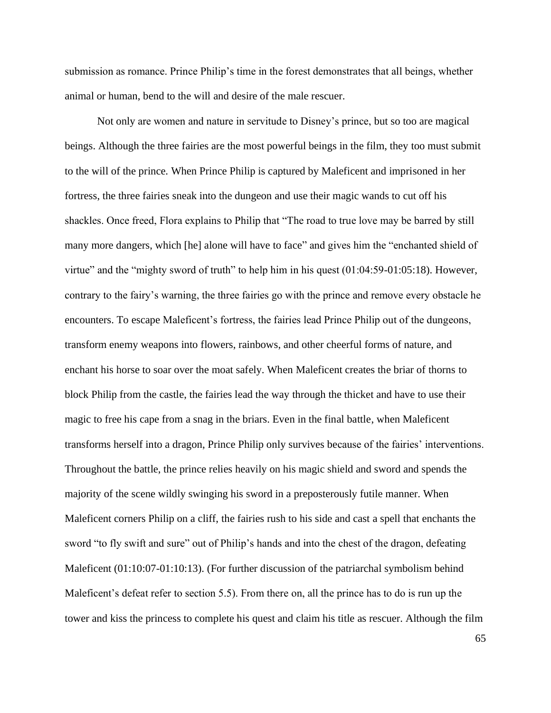submission as romance. Prince Philip's time in the forest demonstrates that all beings, whether animal or human, bend to the will and desire of the male rescuer.

Not only are women and nature in servitude to Disney's prince, but so too are magical beings. Although the three fairies are the most powerful beings in the film, they too must submit to the will of the prince. When Prince Philip is captured by Maleficent and imprisoned in her fortress, the three fairies sneak into the dungeon and use their magic wands to cut off his shackles. Once freed, Flora explains to Philip that "The road to true love may be barred by still many more dangers, which [he] alone will have to face" and gives him the "enchanted shield of virtue" and the "mighty sword of truth" to help him in his quest (01:04:59-01:05:18). However, contrary to the fairy's warning, the three fairies go with the prince and remove every obstacle he encounters. To escape Maleficent's fortress, the fairies lead Prince Philip out of the dungeons, transform enemy weapons into flowers, rainbows, and other cheerful forms of nature, and enchant his horse to soar over the moat safely. When Maleficent creates the briar of thorns to block Philip from the castle, the fairies lead the way through the thicket and have to use their magic to free his cape from a snag in the briars. Even in the final battle, when Maleficent transforms herself into a dragon, Prince Philip only survives because of the fairies' interventions. Throughout the battle, the prince relies heavily on his magic shield and sword and spends the majority of the scene wildly swinging his sword in a preposterously futile manner. When Maleficent corners Philip on a cliff, the fairies rush to his side and cast a spell that enchants the sword "to fly swift and sure" out of Philip's hands and into the chest of the dragon, defeating Maleficent (01:10:07-01:10:13). (For further discussion of the patriarchal symbolism behind Maleficent's defeat refer to section 5.5). From there on, all the prince has to do is run up the tower and kiss the princess to complete his quest and claim his title as rescuer. Although the film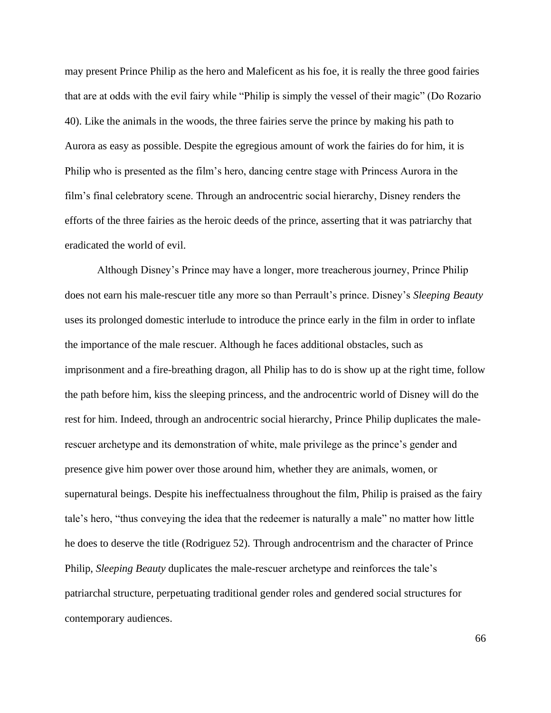may present Prince Philip as the hero and Maleficent as his foe, it is really the three good fairies that are at odds with the evil fairy while "Philip is simply the vessel of their magic" (Do Rozario 40). Like the animals in the woods, the three fairies serve the prince by making his path to Aurora as easy as possible. Despite the egregious amount of work the fairies do for him, it is Philip who is presented as the film's hero, dancing centre stage with Princess Aurora in the film's final celebratory scene. Through an androcentric social hierarchy, Disney renders the efforts of the three fairies as the heroic deeds of the prince, asserting that it was patriarchy that eradicated the world of evil.

Although Disney's Prince may have a longer, more treacherous journey, Prince Philip does not earn his male-rescuer title any more so than Perrault's prince. Disney's *Sleeping Beauty* uses its prolonged domestic interlude to introduce the prince early in the film in order to inflate the importance of the male rescuer. Although he faces additional obstacles, such as imprisonment and a fire-breathing dragon, all Philip has to do is show up at the right time, follow the path before him, kiss the sleeping princess, and the androcentric world of Disney will do the rest for him. Indeed, through an androcentric social hierarchy, Prince Philip duplicates the malerescuer archetype and its demonstration of white, male privilege as the prince's gender and presence give him power over those around him, whether they are animals, women, or supernatural beings. Despite his ineffectualness throughout the film, Philip is praised as the fairy tale's hero, "thus conveying the idea that the redeemer is naturally a male" no matter how little he does to deserve the title (Rodriguez 52). Through androcentrism and the character of Prince Philip, *Sleeping Beauty* duplicates the male-rescuer archetype and reinforces the tale's patriarchal structure, perpetuating traditional gender roles and gendered social structures for contemporary audiences.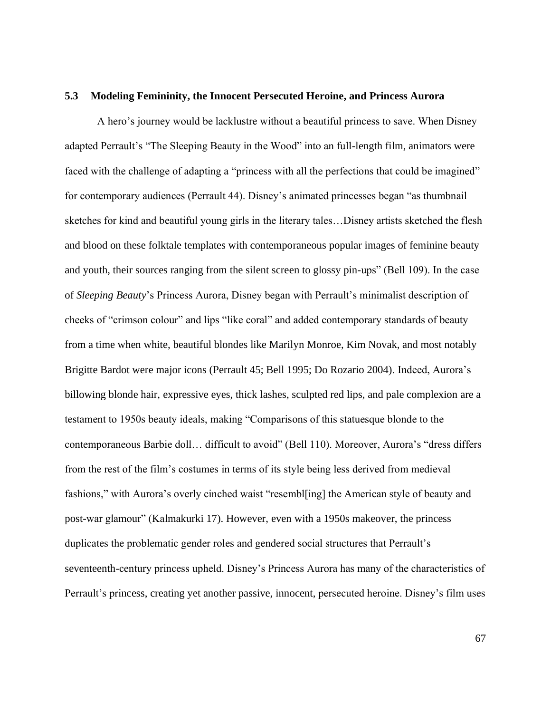### **5.3 Modeling Femininity, the Innocent Persecuted Heroine, and Princess Aurora**

A hero's journey would be lacklustre without a beautiful princess to save. When Disney adapted Perrault's "The Sleeping Beauty in the Wood" into an full-length film, animators were faced with the challenge of adapting a "princess with all the perfections that could be imagined" for contemporary audiences (Perrault 44). Disney's animated princesses began "as thumbnail sketches for kind and beautiful young girls in the literary tales…Disney artists sketched the flesh and blood on these folktale templates with contemporaneous popular images of feminine beauty and youth, their sources ranging from the silent screen to glossy pin-ups" (Bell 109). In the case of *Sleeping Beauty*'s Princess Aurora, Disney began with Perrault's minimalist description of cheeks of "crimson colour" and lips "like coral" and added contemporary standards of beauty from a time when white, beautiful blondes like Marilyn Monroe, Kim Novak, and most notably Brigitte Bardot were major icons (Perrault 45; Bell 1995; Do Rozario 2004). Indeed, Aurora's billowing blonde hair, expressive eyes, thick lashes, sculpted red lips, and pale complexion are a testament to 1950s beauty ideals, making "Comparisons of this statuesque blonde to the contemporaneous Barbie doll… difficult to avoid" (Bell 110). Moreover, Aurora's "dress differs from the rest of the film's costumes in terms of its style being less derived from medieval fashions," with Aurora's overly cinched waist "resembl[ing] the American style of beauty and post-war glamour" (Kalmakurki 17). However, even with a 1950s makeover, the princess duplicates the problematic gender roles and gendered social structures that Perrault's seventeenth-century princess upheld. Disney's Princess Aurora has many of the characteristics of Perrault's princess, creating yet another passive, innocent, persecuted heroine. Disney's film uses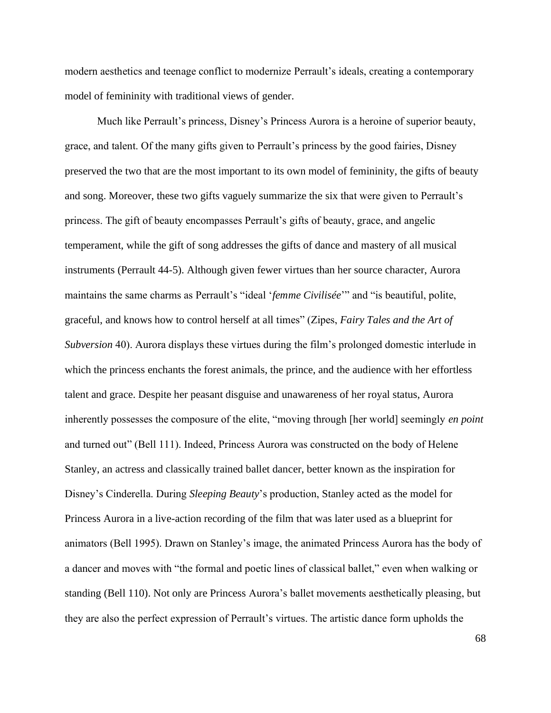modern aesthetics and teenage conflict to modernize Perrault's ideals, creating a contemporary model of femininity with traditional views of gender.

Much like Perrault's princess, Disney's Princess Aurora is a heroine of superior beauty, grace, and talent. Of the many gifts given to Perrault's princess by the good fairies, Disney preserved the two that are the most important to its own model of femininity, the gifts of beauty and song. Moreover, these two gifts vaguely summarize the six that were given to Perrault's princess. The gift of beauty encompasses Perrault's gifts of beauty, grace, and angelic temperament, while the gift of song addresses the gifts of dance and mastery of all musical instruments (Perrault 44-5). Although given fewer virtues than her source character, Aurora maintains the same charms as Perrault's "ideal '*femme Civilisée*'" and "is beautiful, polite, graceful, and knows how to control herself at all times" (Zipes, *Fairy Tales and the Art of Subversion* 40). Aurora displays these virtues during the film's prolonged domestic interlude in which the princess enchants the forest animals, the prince, and the audience with her effortless talent and grace. Despite her peasant disguise and unawareness of her royal status, Aurora inherently possesses the composure of the elite, "moving through [her world] seemingly *en point*  and turned out" (Bell 111). Indeed, Princess Aurora was constructed on the body of Helene Stanley, an actress and classically trained ballet dancer, better known as the inspiration for Disney's Cinderella. During *Sleeping Beauty*'s production, Stanley acted as the model for Princess Aurora in a live-action recording of the film that was later used as a blueprint for animators (Bell 1995). Drawn on Stanley's image, the animated Princess Aurora has the body of a dancer and moves with "the formal and poetic lines of classical ballet," even when walking or standing (Bell 110). Not only are Princess Aurora's ballet movements aesthetically pleasing, but they are also the perfect expression of Perrault's virtues. The artistic dance form upholds the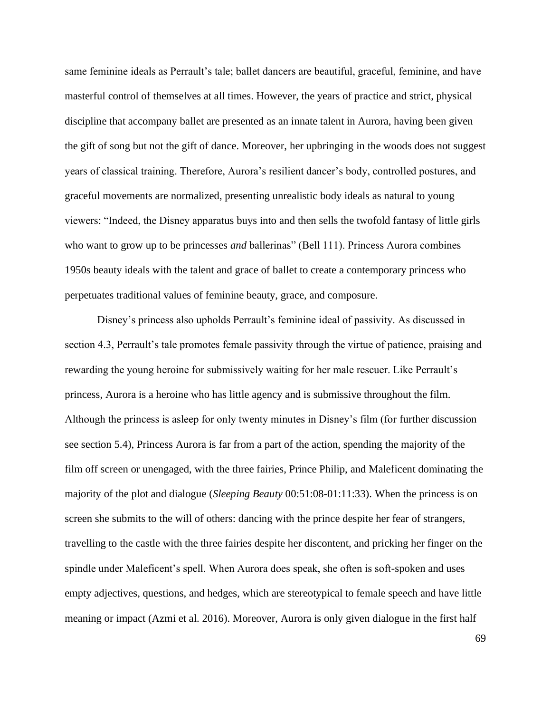same feminine ideals as Perrault's tale; ballet dancers are beautiful, graceful, feminine, and have masterful control of themselves at all times. However, the years of practice and strict, physical discipline that accompany ballet are presented as an innate talent in Aurora, having been given the gift of song but not the gift of dance. Moreover, her upbringing in the woods does not suggest years of classical training. Therefore, Aurora's resilient dancer's body, controlled postures, and graceful movements are normalized, presenting unrealistic body ideals as natural to young viewers: "Indeed, the Disney apparatus buys into and then sells the twofold fantasy of little girls who want to grow up to be princesses *and* ballerinas" (Bell 111). Princess Aurora combines 1950s beauty ideals with the talent and grace of ballet to create a contemporary princess who perpetuates traditional values of feminine beauty, grace, and composure.

Disney's princess also upholds Perrault's feminine ideal of passivity. As discussed in section 4.3, Perrault's tale promotes female passivity through the virtue of patience, praising and rewarding the young heroine for submissively waiting for her male rescuer. Like Perrault's princess, Aurora is a heroine who has little agency and is submissive throughout the film. Although the princess is asleep for only twenty minutes in Disney's film (for further discussion see section 5.4), Princess Aurora is far from a part of the action, spending the majority of the film off screen or unengaged, with the three fairies, Prince Philip, and Maleficent dominating the majority of the plot and dialogue (*Sleeping Beauty* 00:51:08-01:11:33). When the princess is on screen she submits to the will of others: dancing with the prince despite her fear of strangers, travelling to the castle with the three fairies despite her discontent, and pricking her finger on the spindle under Maleficent's spell. When Aurora does speak, she often is soft-spoken and uses empty adjectives, questions, and hedges, which are stereotypical to female speech and have little meaning or impact (Azmi et al. 2016). Moreover, Aurora is only given dialogue in the first half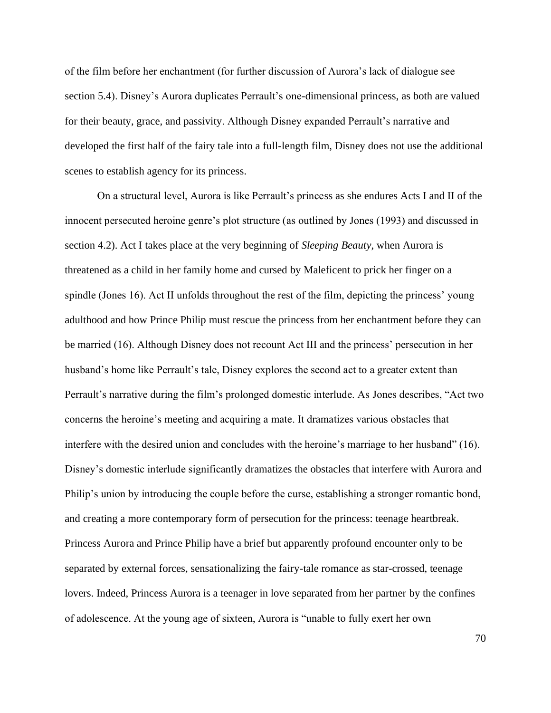of the film before her enchantment (for further discussion of Aurora's lack of dialogue see section 5.4). Disney's Aurora duplicates Perrault's one-dimensional princess, as both are valued for their beauty, grace, and passivity. Although Disney expanded Perrault's narrative and developed the first half of the fairy tale into a full-length film, Disney does not use the additional scenes to establish agency for its princess.

On a structural level, Aurora is like Perrault's princess as she endures Acts I and II of the innocent persecuted heroine genre's plot structure (as outlined by Jones (1993) and discussed in section 4.2). Act I takes place at the very beginning of *Sleeping Beauty*, when Aurora is threatened as a child in her family home and cursed by Maleficent to prick her finger on a spindle (Jones 16). Act II unfolds throughout the rest of the film, depicting the princess' young adulthood and how Prince Philip must rescue the princess from her enchantment before they can be married (16). Although Disney does not recount Act III and the princess' persecution in her husband's home like Perrault's tale, Disney explores the second act to a greater extent than Perrault's narrative during the film's prolonged domestic interlude. As Jones describes, "Act two concerns the heroine's meeting and acquiring a mate. It dramatizes various obstacles that interfere with the desired union and concludes with the heroine's marriage to her husband" (16). Disney's domestic interlude significantly dramatizes the obstacles that interfere with Aurora and Philip's union by introducing the couple before the curse, establishing a stronger romantic bond, and creating a more contemporary form of persecution for the princess: teenage heartbreak. Princess Aurora and Prince Philip have a brief but apparently profound encounter only to be separated by external forces, sensationalizing the fairy-tale romance as star-crossed, teenage lovers. Indeed, Princess Aurora is a teenager in love separated from her partner by the confines of adolescence. At the young age of sixteen, Aurora is "unable to fully exert her own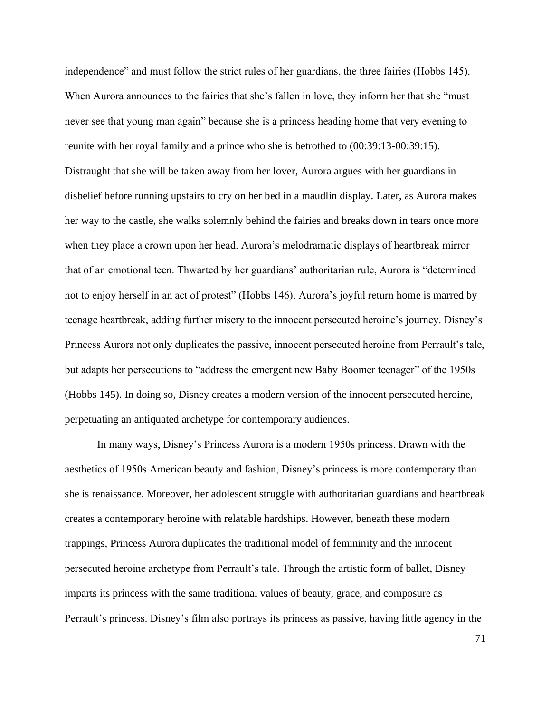independence" and must follow the strict rules of her guardians, the three fairies (Hobbs 145). When Aurora announces to the fairies that she's fallen in love, they inform her that she "must never see that young man again" because she is a princess heading home that very evening to reunite with her royal family and a prince who she is betrothed to (00:39:13-00:39:15). Distraught that she will be taken away from her lover, Aurora argues with her guardians in disbelief before running upstairs to cry on her bed in a maudlin display. Later, as Aurora makes her way to the castle, she walks solemnly behind the fairies and breaks down in tears once more when they place a crown upon her head. Aurora's melodramatic displays of heartbreak mirror that of an emotional teen. Thwarted by her guardians' authoritarian rule, Aurora is "determined not to enjoy herself in an act of protest" (Hobbs 146). Aurora's joyful return home is marred by teenage heartbreak, adding further misery to the innocent persecuted heroine's journey. Disney's Princess Aurora not only duplicates the passive, innocent persecuted heroine from Perrault's tale, but adapts her persecutions to "address the emergent new Baby Boomer teenager" of the 1950s (Hobbs 145). In doing so, Disney creates a modern version of the innocent persecuted heroine, perpetuating an antiquated archetype for contemporary audiences.

In many ways, Disney's Princess Aurora is a modern 1950s princess. Drawn with the aesthetics of 1950s American beauty and fashion, Disney's princess is more contemporary than she is renaissance. Moreover, her adolescent struggle with authoritarian guardians and heartbreak creates a contemporary heroine with relatable hardships. However, beneath these modern trappings, Princess Aurora duplicates the traditional model of femininity and the innocent persecuted heroine archetype from Perrault's tale. Through the artistic form of ballet, Disney imparts its princess with the same traditional values of beauty, grace, and composure as Perrault's princess. Disney's film also portrays its princess as passive, having little agency in the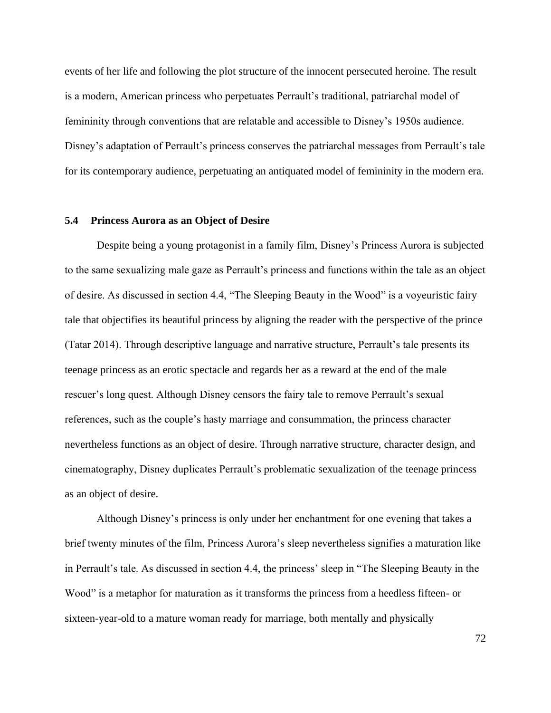events of her life and following the plot structure of the innocent persecuted heroine. The result is a modern, American princess who perpetuates Perrault's traditional, patriarchal model of femininity through conventions that are relatable and accessible to Disney's 1950s audience. Disney's adaptation of Perrault's princess conserves the patriarchal messages from Perrault's tale for its contemporary audience, perpetuating an antiquated model of femininity in the modern era.

### **5.4 Princess Aurora as an Object of Desire**

Despite being a young protagonist in a family film, Disney's Princess Aurora is subjected to the same sexualizing male gaze as Perrault's princess and functions within the tale as an object of desire. As discussed in section 4.4, "The Sleeping Beauty in the Wood" is a voyeuristic fairy tale that objectifies its beautiful princess by aligning the reader with the perspective of the prince (Tatar 2014). Through descriptive language and narrative structure, Perrault's tale presents its teenage princess as an erotic spectacle and regards her as a reward at the end of the male rescuer's long quest. Although Disney censors the fairy tale to remove Perrault's sexual references, such as the couple's hasty marriage and consummation, the princess character nevertheless functions as an object of desire. Through narrative structure, character design, and cinematography, Disney duplicates Perrault's problematic sexualization of the teenage princess as an object of desire.

Although Disney's princess is only under her enchantment for one evening that takes a brief twenty minutes of the film, Princess Aurora's sleep nevertheless signifies a maturation like in Perrault's tale. As discussed in section 4.4, the princess' sleep in "The Sleeping Beauty in the Wood" is a metaphor for maturation as it transforms the princess from a heedless fifteen- or sixteen-year-old to a mature woman ready for marriage, both mentally and physically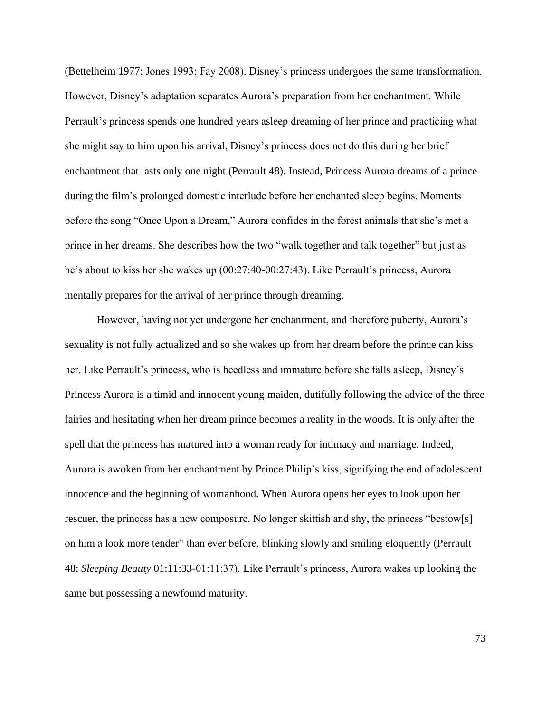(Bettelheim 1977; Jones 1993; Fay 2008). Disney's princess undergoes the same transformation. However, Disney's adaptation separates Aurora's preparation from her enchantment. While Perrault's princess spends one hundred years asleep dreaming of her prince and practicing what she might say to him upon his arrival, Disney's princess does not do this during her brief enchantment that lasts only one night (Perrault 48). Instead, Princess Aurora dreams of a prince during the film's prolonged domestic interlude before her enchanted sleep begins. Moments before the song "Once Upon a Dream," Aurora confides in the forest animals that she's met a prince in her dreams. She describes how the two "walk together and talk together" but just as he's about to kiss her she wakes up (00:27:40-00:27:43). Like Perrault's princess, Aurora mentally prepares for the arrival of her prince through dreaming.

However, having not yet undergone her enchantment, and therefore puberty, Aurora's sexuality is not fully actualized and so she wakes up from her dream before the prince can kiss her. Like Perrault's princess, who is heedless and immature before she falls asleep, Disney's Princess Aurora is a timid and innocent young maiden, dutifully following the advice of the three fairies and hesitating when her dream prince becomes a reality in the woods. It is only after the spell that the princess has matured into a woman ready for intimacy and marriage. Indeed, Aurora is awoken from her enchantment by Prince Philip's kiss, signifying the end of adolescent innocence and the beginning of womanhood. When Aurora opens her eyes to look upon her rescuer, the princess has a new composure. No longer skittish and shy, the princess "bestow[s] on him a look more tender" than ever before, blinking slowly and smiling eloquently (Perrault 48; *Sleeping Beauty* 01:11:33-01:11:37). Like Perrault's princess, Aurora wakes up looking the same but possessing a newfound maturity.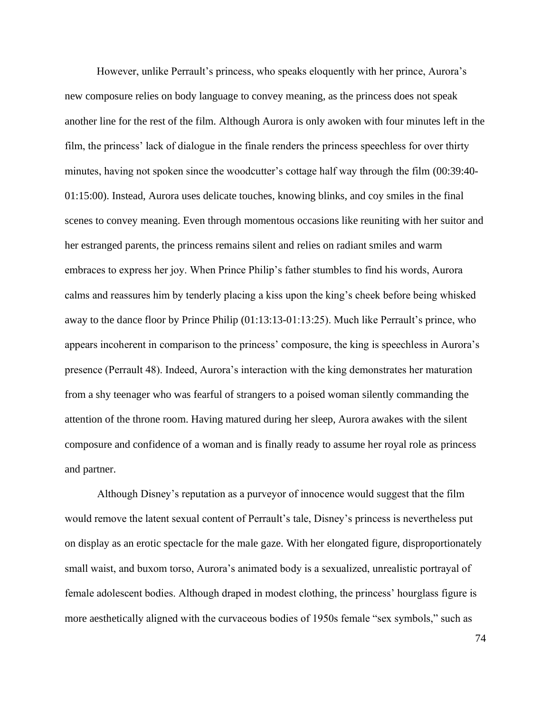However, unlike Perrault's princess, who speaks eloquently with her prince, Aurora's new composure relies on body language to convey meaning, as the princess does not speak another line for the rest of the film. Although Aurora is only awoken with four minutes left in the film, the princess' lack of dialogue in the finale renders the princess speechless for over thirty minutes, having not spoken since the woodcutter's cottage half way through the film (00:39:40- 01:15:00). Instead, Aurora uses delicate touches, knowing blinks, and coy smiles in the final scenes to convey meaning. Even through momentous occasions like reuniting with her suitor and her estranged parents, the princess remains silent and relies on radiant smiles and warm embraces to express her joy. When Prince Philip's father stumbles to find his words, Aurora calms and reassures him by tenderly placing a kiss upon the king's cheek before being whisked away to the dance floor by Prince Philip (01:13:13-01:13:25). Much like Perrault's prince, who appears incoherent in comparison to the princess' composure, the king is speechless in Aurora's presence (Perrault 48). Indeed, Aurora's interaction with the king demonstrates her maturation from a shy teenager who was fearful of strangers to a poised woman silently commanding the attention of the throne room. Having matured during her sleep, Aurora awakes with the silent composure and confidence of a woman and is finally ready to assume her royal role as princess and partner.

Although Disney's reputation as a purveyor of innocence would suggest that the film would remove the latent sexual content of Perrault's tale, Disney's princess is nevertheless put on display as an erotic spectacle for the male gaze. With her elongated figure, disproportionately small waist, and buxom torso, Aurora's animated body is a sexualized, unrealistic portrayal of female adolescent bodies. Although draped in modest clothing, the princess' hourglass figure is more aesthetically aligned with the curvaceous bodies of 1950s female "sex symbols," such as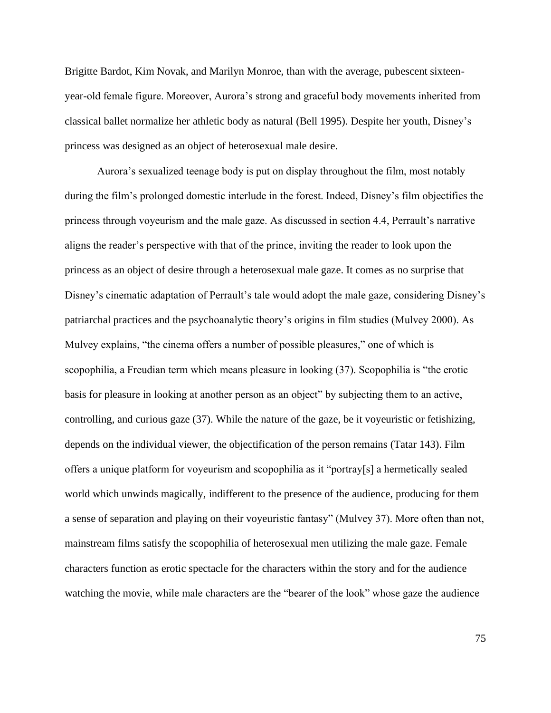Brigitte Bardot, Kim Novak, and Marilyn Monroe, than with the average, pubescent sixteenyear-old female figure. Moreover, Aurora's strong and graceful body movements inherited from classical ballet normalize her athletic body as natural (Bell 1995). Despite her youth, Disney's princess was designed as an object of heterosexual male desire.

Aurora's sexualized teenage body is put on display throughout the film, most notably during the film's prolonged domestic interlude in the forest. Indeed, Disney's film objectifies the princess through voyeurism and the male gaze. As discussed in section 4.4, Perrault's narrative aligns the reader's perspective with that of the prince, inviting the reader to look upon the princess as an object of desire through a heterosexual male gaze. It comes as no surprise that Disney's cinematic adaptation of Perrault's tale would adopt the male gaze, considering Disney's patriarchal practices and the psychoanalytic theory's origins in film studies (Mulvey 2000). As Mulvey explains, "the cinema offers a number of possible pleasures," one of which is scopophilia, a Freudian term which means pleasure in looking (37). Scopophilia is "the erotic basis for pleasure in looking at another person as an object" by subjecting them to an active, controlling, and curious gaze (37). While the nature of the gaze, be it voyeuristic or fetishizing, depends on the individual viewer, the objectification of the person remains (Tatar 143). Film offers a unique platform for voyeurism and scopophilia as it "portray[s] a hermetically sealed world which unwinds magically, indifferent to the presence of the audience, producing for them a sense of separation and playing on their voyeuristic fantasy" (Mulvey 37). More often than not, mainstream films satisfy the scopophilia of heterosexual men utilizing the male gaze. Female characters function as erotic spectacle for the characters within the story and for the audience watching the movie, while male characters are the "bearer of the look" whose gaze the audience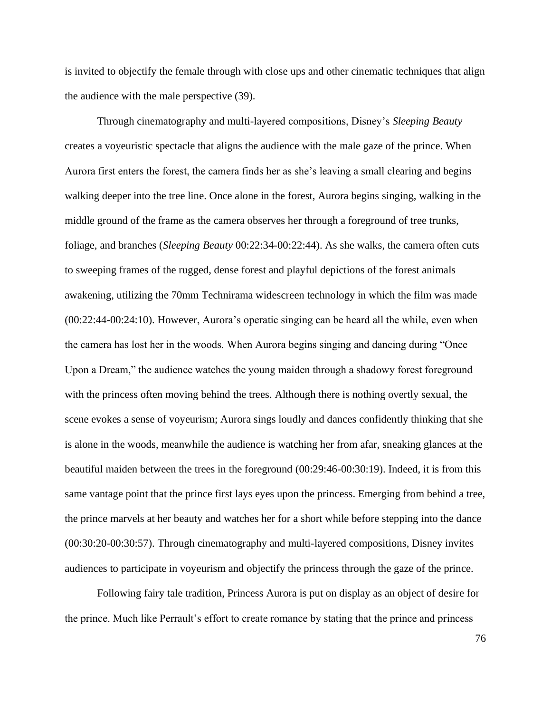is invited to objectify the female through with close ups and other cinematic techniques that align the audience with the male perspective (39).

Through cinematography and multi-layered compositions, Disney's *Sleeping Beauty*  creates a voyeuristic spectacle that aligns the audience with the male gaze of the prince. When Aurora first enters the forest, the camera finds her as she's leaving a small clearing and begins walking deeper into the tree line. Once alone in the forest, Aurora begins singing, walking in the middle ground of the frame as the camera observes her through a foreground of tree trunks, foliage, and branches (*Sleeping Beauty* 00:22:34-00:22:44). As she walks, the camera often cuts to sweeping frames of the rugged, dense forest and playful depictions of the forest animals awakening, utilizing the 70mm Technirama widescreen technology in which the film was made (00:22:44-00:24:10). However, Aurora's operatic singing can be heard all the while, even when the camera has lost her in the woods. When Aurora begins singing and dancing during "Once Upon a Dream," the audience watches the young maiden through a shadowy forest foreground with the princess often moving behind the trees. Although there is nothing overtly sexual, the scene evokes a sense of voyeurism; Aurora sings loudly and dances confidently thinking that she is alone in the woods, meanwhile the audience is watching her from afar, sneaking glances at the beautiful maiden between the trees in the foreground (00:29:46-00:30:19). Indeed, it is from this same vantage point that the prince first lays eyes upon the princess. Emerging from behind a tree, the prince marvels at her beauty and watches her for a short while before stepping into the dance (00:30:20-00:30:57). Through cinematography and multi-layered compositions, Disney invites audiences to participate in voyeurism and objectify the princess through the gaze of the prince.

Following fairy tale tradition, Princess Aurora is put on display as an object of desire for the prince. Much like Perrault's effort to create romance by stating that the prince and princess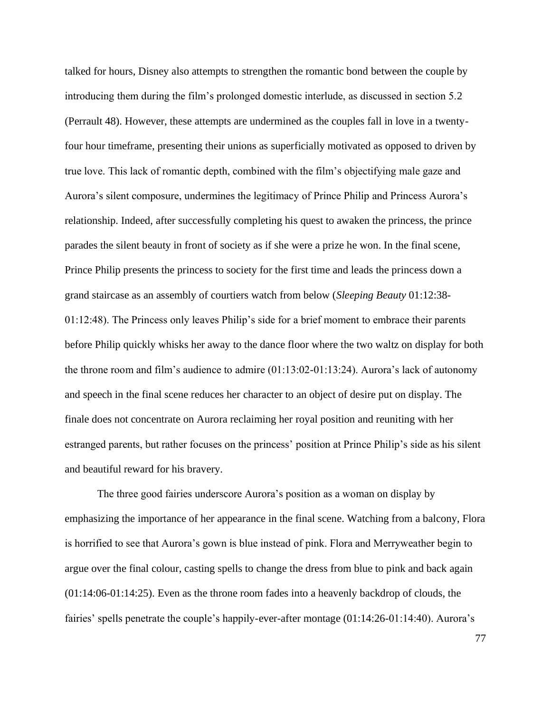talked for hours, Disney also attempts to strengthen the romantic bond between the couple by introducing them during the film's prolonged domestic interlude, as discussed in section 5.2 (Perrault 48). However, these attempts are undermined as the couples fall in love in a twentyfour hour timeframe, presenting their unions as superficially motivated as opposed to driven by true love. This lack of romantic depth, combined with the film's objectifying male gaze and Aurora's silent composure, undermines the legitimacy of Prince Philip and Princess Aurora's relationship. Indeed, after successfully completing his quest to awaken the princess, the prince parades the silent beauty in front of society as if she were a prize he won. In the final scene, Prince Philip presents the princess to society for the first time and leads the princess down a grand staircase as an assembly of courtiers watch from below (*Sleeping Beauty* 01:12:38- 01:12:48). The Princess only leaves Philip's side for a brief moment to embrace their parents before Philip quickly whisks her away to the dance floor where the two waltz on display for both the throne room and film's audience to admire (01:13:02-01:13:24). Aurora's lack of autonomy and speech in the final scene reduces her character to an object of desire put on display. The finale does not concentrate on Aurora reclaiming her royal position and reuniting with her estranged parents, but rather focuses on the princess' position at Prince Philip's side as his silent and beautiful reward for his bravery.

The three good fairies underscore Aurora's position as a woman on display by emphasizing the importance of her appearance in the final scene. Watching from a balcony, Flora is horrified to see that Aurora's gown is blue instead of pink. Flora and Merryweather begin to argue over the final colour, casting spells to change the dress from blue to pink and back again (01:14:06-01:14:25). Even as the throne room fades into a heavenly backdrop of clouds, the fairies' spells penetrate the couple's happily-ever-after montage (01:14:26-01:14:40). Aurora's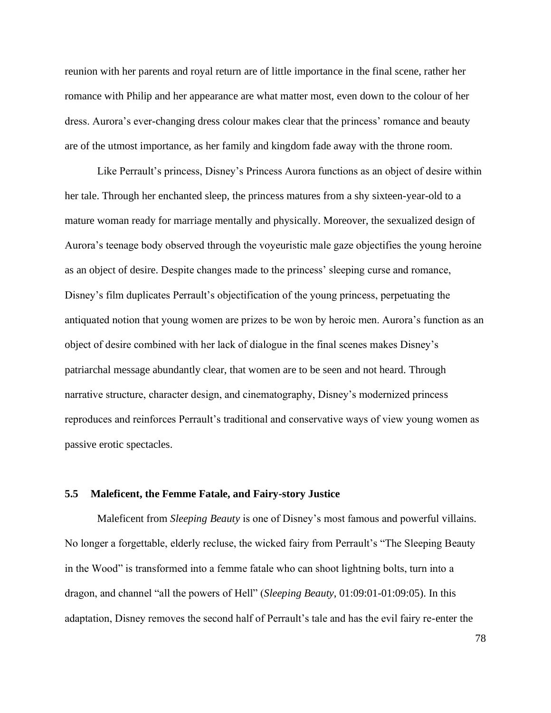reunion with her parents and royal return are of little importance in the final scene, rather her romance with Philip and her appearance are what matter most, even down to the colour of her dress. Aurora's ever-changing dress colour makes clear that the princess' romance and beauty are of the utmost importance, as her family and kingdom fade away with the throne room.

Like Perrault's princess, Disney's Princess Aurora functions as an object of desire within her tale. Through her enchanted sleep, the princess matures from a shy sixteen-year-old to a mature woman ready for marriage mentally and physically. Moreover, the sexualized design of Aurora's teenage body observed through the voyeuristic male gaze objectifies the young heroine as an object of desire. Despite changes made to the princess' sleeping curse and romance, Disney's film duplicates Perrault's objectification of the young princess, perpetuating the antiquated notion that young women are prizes to be won by heroic men. Aurora's function as an object of desire combined with her lack of dialogue in the final scenes makes Disney's patriarchal message abundantly clear, that women are to be seen and not heard. Through narrative structure, character design, and cinematography, Disney's modernized princess reproduces and reinforces Perrault's traditional and conservative ways of view young women as passive erotic spectacles.

## **5.5 Maleficent, the Femme Fatale, and Fairy-story Justice**

Maleficent from *Sleeping Beauty* is one of Disney's most famous and powerful villains. No longer a forgettable, elderly recluse, the wicked fairy from Perrault's "The Sleeping Beauty in the Wood" is transformed into a femme fatale who can shoot lightning bolts, turn into a dragon, and channel "all the powers of Hell" (*Sleeping Beauty*, 01:09:01-01:09:05). In this adaptation, Disney removes the second half of Perrault's tale and has the evil fairy re-enter the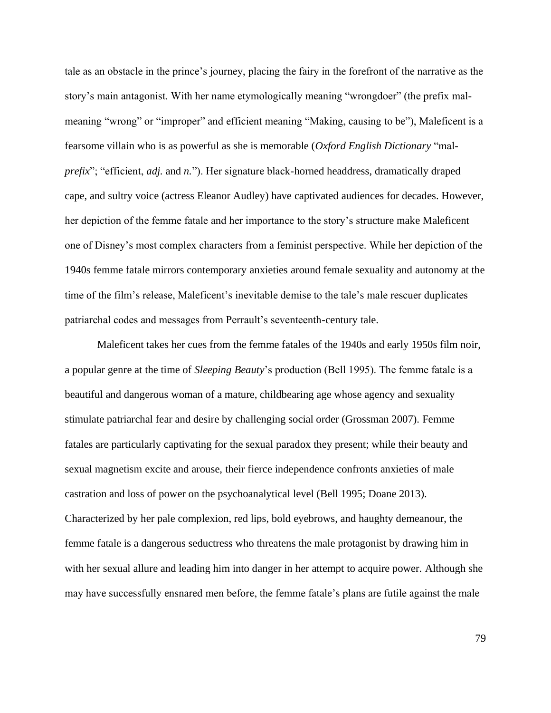tale as an obstacle in the prince's journey, placing the fairy in the forefront of the narrative as the story's main antagonist. With her name etymologically meaning "wrongdoer" (the prefix malmeaning "wrong" or "improper" and efficient meaning "Making, causing to be"), Maleficent is a fearsome villain who is as powerful as she is memorable (*Oxford English Dictionary* "mal*prefix*"; "efficient, *adj.* and *n.*"). Her signature black-horned headdress, dramatically draped cape, and sultry voice (actress Eleanor Audley) have captivated audiences for decades. However, her depiction of the femme fatale and her importance to the story's structure make Maleficent one of Disney's most complex characters from a feminist perspective. While her depiction of the 1940s femme fatale mirrors contemporary anxieties around female sexuality and autonomy at the time of the film's release, Maleficent's inevitable demise to the tale's male rescuer duplicates patriarchal codes and messages from Perrault's seventeenth-century tale.

Maleficent takes her cues from the femme fatales of the 1940s and early 1950s film noir, a popular genre at the time of *Sleeping Beauty*'s production (Bell 1995). The femme fatale is a beautiful and dangerous woman of a mature, childbearing age whose agency and sexuality stimulate patriarchal fear and desire by challenging social order (Grossman 2007). Femme fatales are particularly captivating for the sexual paradox they present; while their beauty and sexual magnetism excite and arouse, their fierce independence confronts anxieties of male castration and loss of power on the psychoanalytical level (Bell 1995; Doane 2013). Characterized by her pale complexion, red lips, bold eyebrows, and haughty demeanour, the femme fatale is a dangerous seductress who threatens the male protagonist by drawing him in with her sexual allure and leading him into danger in her attempt to acquire power. Although she may have successfully ensnared men before, the femme fatale's plans are futile against the male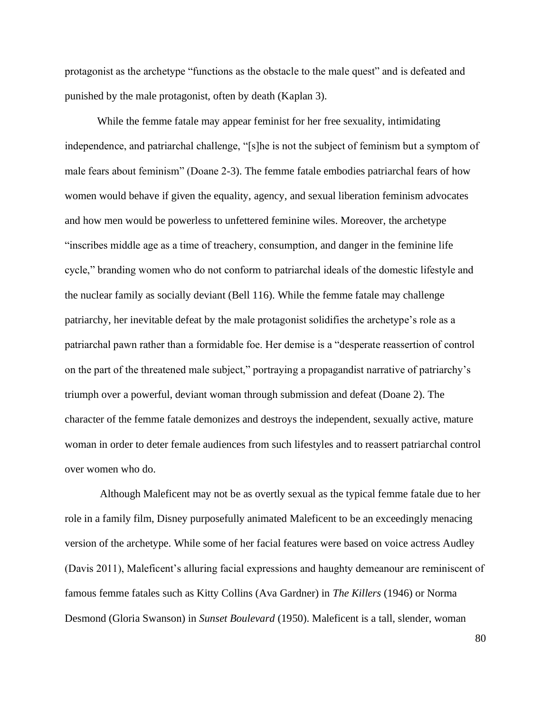protagonist as the archetype "functions as the obstacle to the male quest" and is defeated and punished by the male protagonist, often by death (Kaplan 3).

While the femme fatale may appear feminist for her free sexuality, intimidating independence, and patriarchal challenge, "[s]he is not the subject of feminism but a symptom of male fears about feminism" (Doane 2-3). The femme fatale embodies patriarchal fears of how women would behave if given the equality, agency, and sexual liberation feminism advocates and how men would be powerless to unfettered feminine wiles. Moreover, the archetype "inscribes middle age as a time of treachery, consumption, and danger in the feminine life cycle," branding women who do not conform to patriarchal ideals of the domestic lifestyle and the nuclear family as socially deviant (Bell 116). While the femme fatale may challenge patriarchy, her inevitable defeat by the male protagonist solidifies the archetype's role as a patriarchal pawn rather than a formidable foe. Her demise is a "desperate reassertion of control on the part of the threatened male subject," portraying a propagandist narrative of patriarchy's triumph over a powerful, deviant woman through submission and defeat (Doane 2). The character of the femme fatale demonizes and destroys the independent, sexually active, mature woman in order to deter female audiences from such lifestyles and to reassert patriarchal control over women who do.

Although Maleficent may not be as overtly sexual as the typical femme fatale due to her role in a family film, Disney purposefully animated Maleficent to be an exceedingly menacing version of the archetype. While some of her facial features were based on voice actress Audley (Davis 2011), Maleficent's alluring facial expressions and haughty demeanour are reminiscent of famous femme fatales such as Kitty Collins (Ava Gardner) in *The Killers* (1946) or Norma Desmond (Gloria Swanson) in *Sunset Boulevard* (1950). Maleficent is a tall, slender, woman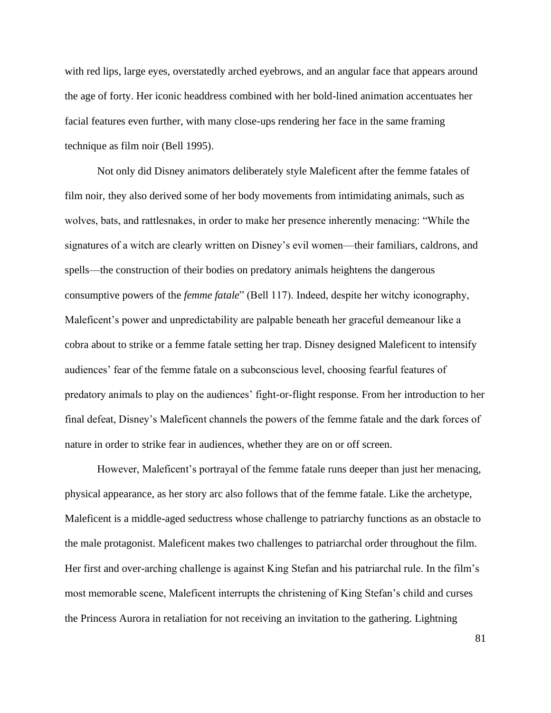with red lips, large eyes, overstatedly arched eyebrows, and an angular face that appears around the age of forty. Her iconic headdress combined with her bold-lined animation accentuates her facial features even further, with many close-ups rendering her face in the same framing technique as film noir (Bell 1995).

Not only did Disney animators deliberately style Maleficent after the femme fatales of film noir, they also derived some of her body movements from intimidating animals, such as wolves, bats, and rattlesnakes, in order to make her presence inherently menacing: "While the signatures of a witch are clearly written on Disney's evil women—their familiars, caldrons, and spells—the construction of their bodies on predatory animals heightens the dangerous consumptive powers of the *femme fatale*" (Bell 117). Indeed, despite her witchy iconography, Maleficent's power and unpredictability are palpable beneath her graceful demeanour like a cobra about to strike or a femme fatale setting her trap. Disney designed Maleficent to intensify audiences' fear of the femme fatale on a subconscious level, choosing fearful features of predatory animals to play on the audiences' fight-or-flight response. From her introduction to her final defeat, Disney's Maleficent channels the powers of the femme fatale and the dark forces of nature in order to strike fear in audiences, whether they are on or off screen.

However, Maleficent's portrayal of the femme fatale runs deeper than just her menacing, physical appearance, as her story arc also follows that of the femme fatale. Like the archetype, Maleficent is a middle-aged seductress whose challenge to patriarchy functions as an obstacle to the male protagonist. Maleficent makes two challenges to patriarchal order throughout the film. Her first and over-arching challenge is against King Stefan and his patriarchal rule. In the film's most memorable scene, Maleficent interrupts the christening of King Stefan's child and curses the Princess Aurora in retaliation for not receiving an invitation to the gathering. Lightning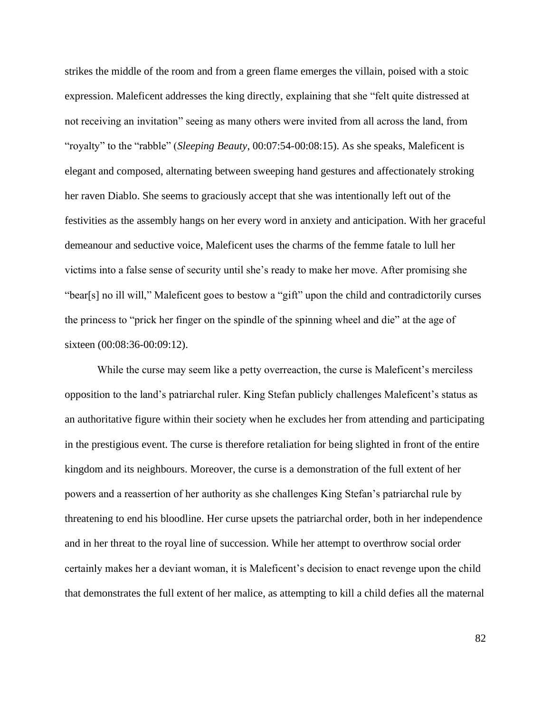strikes the middle of the room and from a green flame emerges the villain, poised with a stoic expression. Maleficent addresses the king directly, explaining that she "felt quite distressed at not receiving an invitation" seeing as many others were invited from all across the land, from "royalty" to the "rabble" (*Sleeping Beauty*, 00:07:54-00:08:15). As she speaks, Maleficent is elegant and composed, alternating between sweeping hand gestures and affectionately stroking her raven Diablo. She seems to graciously accept that she was intentionally left out of the festivities as the assembly hangs on her every word in anxiety and anticipation. With her graceful demeanour and seductive voice, Maleficent uses the charms of the femme fatale to lull her victims into a false sense of security until she's ready to make her move. After promising she "bear[s] no ill will," Maleficent goes to bestow a "gift" upon the child and contradictorily curses the princess to "prick her finger on the spindle of the spinning wheel and die" at the age of sixteen (00:08:36-00:09:12).

While the curse may seem like a petty overreaction, the curse is Maleficent's merciless opposition to the land's patriarchal ruler. King Stefan publicly challenges Maleficent's status as an authoritative figure within their society when he excludes her from attending and participating in the prestigious event. The curse is therefore retaliation for being slighted in front of the entire kingdom and its neighbours. Moreover, the curse is a demonstration of the full extent of her powers and a reassertion of her authority as she challenges King Stefan's patriarchal rule by threatening to end his bloodline. Her curse upsets the patriarchal order, both in her independence and in her threat to the royal line of succession. While her attempt to overthrow social order certainly makes her a deviant woman, it is Maleficent's decision to enact revenge upon the child that demonstrates the full extent of her malice, as attempting to kill a child defies all the maternal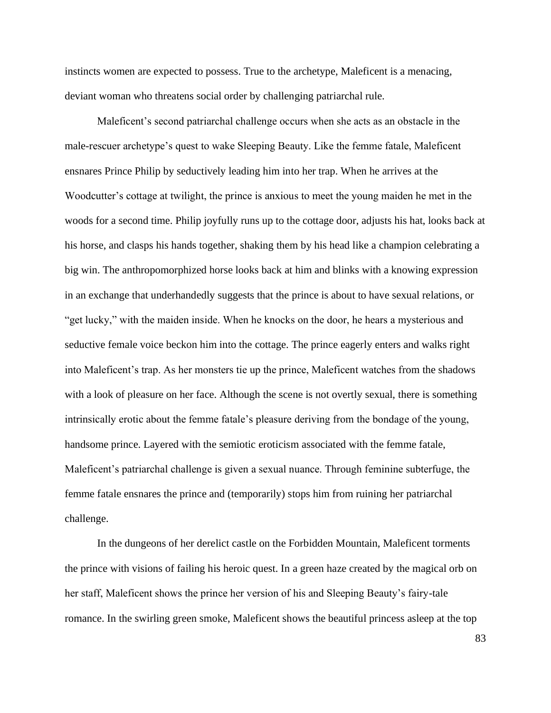instincts women are expected to possess. True to the archetype, Maleficent is a menacing, deviant woman who threatens social order by challenging patriarchal rule.

Maleficent's second patriarchal challenge occurs when she acts as an obstacle in the male-rescuer archetype's quest to wake Sleeping Beauty. Like the femme fatale, Maleficent ensnares Prince Philip by seductively leading him into her trap. When he arrives at the Woodcutter's cottage at twilight, the prince is anxious to meet the young maiden he met in the woods for a second time. Philip joyfully runs up to the cottage door, adjusts his hat, looks back at his horse, and clasps his hands together, shaking them by his head like a champion celebrating a big win. The anthropomorphized horse looks back at him and blinks with a knowing expression in an exchange that underhandedly suggests that the prince is about to have sexual relations, or "get lucky," with the maiden inside. When he knocks on the door, he hears a mysterious and seductive female voice beckon him into the cottage. The prince eagerly enters and walks right into Maleficent's trap. As her monsters tie up the prince, Maleficent watches from the shadows with a look of pleasure on her face. Although the scene is not overtly sexual, there is something intrinsically erotic about the femme fatale's pleasure deriving from the bondage of the young, handsome prince. Layered with the semiotic eroticism associated with the femme fatale, Maleficent's patriarchal challenge is given a sexual nuance. Through feminine subterfuge, the femme fatale ensnares the prince and (temporarily) stops him from ruining her patriarchal challenge.

In the dungeons of her derelict castle on the Forbidden Mountain, Maleficent torments the prince with visions of failing his heroic quest. In a green haze created by the magical orb on her staff, Maleficent shows the prince her version of his and Sleeping Beauty's fairy-tale romance. In the swirling green smoke, Maleficent shows the beautiful princess asleep at the top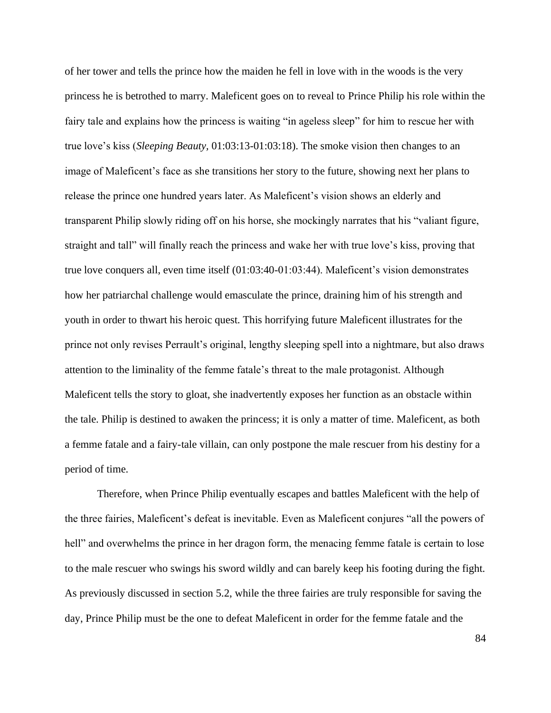of her tower and tells the prince how the maiden he fell in love with in the woods is the very princess he is betrothed to marry. Maleficent goes on to reveal to Prince Philip his role within the fairy tale and explains how the princess is waiting "in ageless sleep" for him to rescue her with true love's kiss (*Sleeping Beauty,* 01:03:13-01:03:18). The smoke vision then changes to an image of Maleficent's face as she transitions her story to the future, showing next her plans to release the prince one hundred years later. As Maleficent's vision shows an elderly and transparent Philip slowly riding off on his horse, she mockingly narrates that his "valiant figure, straight and tall" will finally reach the princess and wake her with true love's kiss, proving that true love conquers all, even time itself (01:03:40-01:03:44). Maleficent's vision demonstrates how her patriarchal challenge would emasculate the prince, draining him of his strength and youth in order to thwart his heroic quest. This horrifying future Maleficent illustrates for the prince not only revises Perrault's original, lengthy sleeping spell into a nightmare, but also draws attention to the liminality of the femme fatale's threat to the male protagonist. Although Maleficent tells the story to gloat, she inadvertently exposes her function as an obstacle within the tale. Philip is destined to awaken the princess; it is only a matter of time. Maleficent, as both a femme fatale and a fairy-tale villain, can only postpone the male rescuer from his destiny for a period of time.

Therefore, when Prince Philip eventually escapes and battles Maleficent with the help of the three fairies, Maleficent's defeat is inevitable. Even as Maleficent conjures "all the powers of hell" and overwhelms the prince in her dragon form, the menacing femme fatale is certain to lose to the male rescuer who swings his sword wildly and can barely keep his footing during the fight. As previously discussed in section 5.2, while the three fairies are truly responsible for saving the day, Prince Philip must be the one to defeat Maleficent in order for the femme fatale and the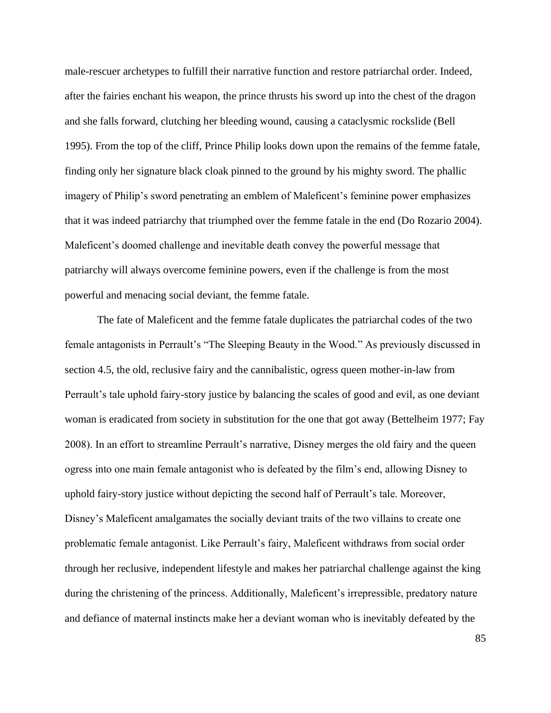male-rescuer archetypes to fulfill their narrative function and restore patriarchal order. Indeed, after the fairies enchant his weapon, the prince thrusts his sword up into the chest of the dragon and she falls forward, clutching her bleeding wound, causing a cataclysmic rockslide (Bell 1995). From the top of the cliff, Prince Philip looks down upon the remains of the femme fatale, finding only her signature black cloak pinned to the ground by his mighty sword. The phallic imagery of Philip's sword penetrating an emblem of Maleficent's feminine power emphasizes that it was indeed patriarchy that triumphed over the femme fatale in the end (Do Rozario 2004). Maleficent's doomed challenge and inevitable death convey the powerful message that patriarchy will always overcome feminine powers, even if the challenge is from the most powerful and menacing social deviant, the femme fatale.

The fate of Maleficent and the femme fatale duplicates the patriarchal codes of the two female antagonists in Perrault's "The Sleeping Beauty in the Wood." As previously discussed in section 4.5, the old, reclusive fairy and the cannibalistic, ogress queen mother-in-law from Perrault's tale uphold fairy-story justice by balancing the scales of good and evil, as one deviant woman is eradicated from society in substitution for the one that got away (Bettelheim 1977; Fay 2008). In an effort to streamline Perrault's narrative, Disney merges the old fairy and the queen ogress into one main female antagonist who is defeated by the film's end, allowing Disney to uphold fairy-story justice without depicting the second half of Perrault's tale. Moreover, Disney's Maleficent amalgamates the socially deviant traits of the two villains to create one problematic female antagonist. Like Perrault's fairy, Maleficent withdraws from social order through her reclusive, independent lifestyle and makes her patriarchal challenge against the king during the christening of the princess. Additionally, Maleficent's irrepressible, predatory nature and defiance of maternal instincts make her a deviant woman who is inevitably defeated by the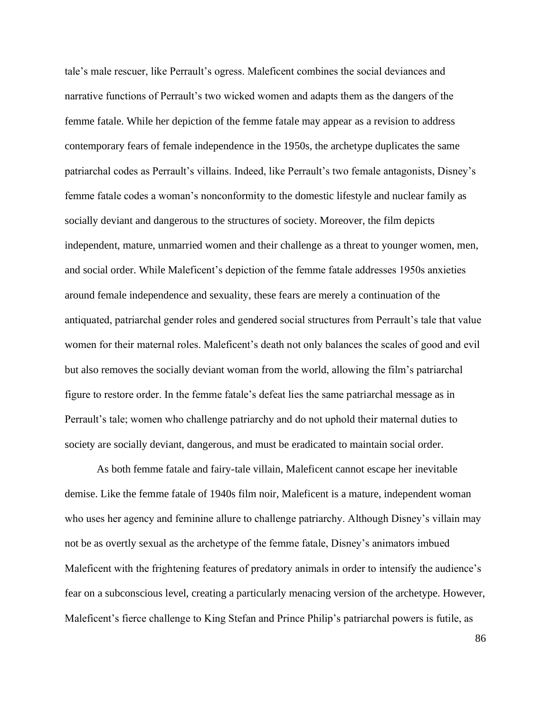tale's male rescuer, like Perrault's ogress. Maleficent combines the social deviances and narrative functions of Perrault's two wicked women and adapts them as the dangers of the femme fatale. While her depiction of the femme fatale may appear as a revision to address contemporary fears of female independence in the 1950s, the archetype duplicates the same patriarchal codes as Perrault's villains. Indeed, like Perrault's two female antagonists, Disney's femme fatale codes a woman's nonconformity to the domestic lifestyle and nuclear family as socially deviant and dangerous to the structures of society. Moreover, the film depicts independent, mature, unmarried women and their challenge as a threat to younger women, men, and social order. While Maleficent's depiction of the femme fatale addresses 1950s anxieties around female independence and sexuality, these fears are merely a continuation of the antiquated, patriarchal gender roles and gendered social structures from Perrault's tale that value women for their maternal roles. Maleficent's death not only balances the scales of good and evil but also removes the socially deviant woman from the world, allowing the film's patriarchal figure to restore order. In the femme fatale's defeat lies the same patriarchal message as in Perrault's tale; women who challenge patriarchy and do not uphold their maternal duties to society are socially deviant, dangerous, and must be eradicated to maintain social order.

As both femme fatale and fairy-tale villain, Maleficent cannot escape her inevitable demise. Like the femme fatale of 1940s film noir, Maleficent is a mature, independent woman who uses her agency and feminine allure to challenge patriarchy. Although Disney's villain may not be as overtly sexual as the archetype of the femme fatale, Disney's animators imbued Maleficent with the frightening features of predatory animals in order to intensify the audience's fear on a subconscious level, creating a particularly menacing version of the archetype. However, Maleficent's fierce challenge to King Stefan and Prince Philip's patriarchal powers is futile, as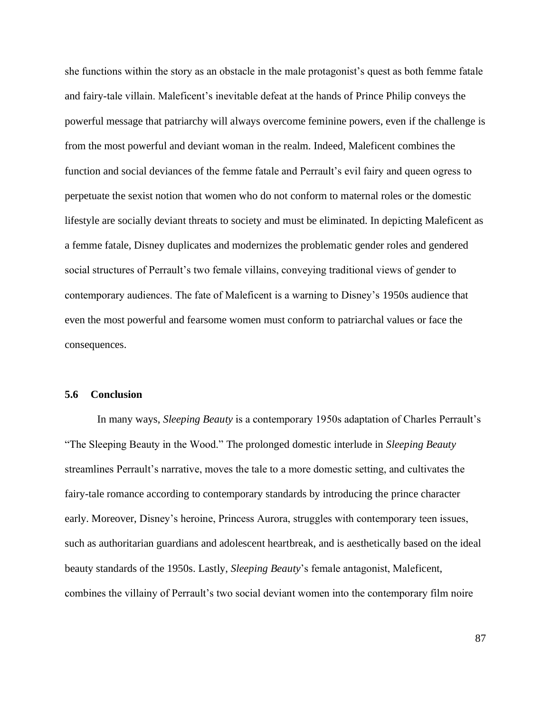she functions within the story as an obstacle in the male protagonist's quest as both femme fatale and fairy-tale villain. Maleficent's inevitable defeat at the hands of Prince Philip conveys the powerful message that patriarchy will always overcome feminine powers, even if the challenge is from the most powerful and deviant woman in the realm. Indeed, Maleficent combines the function and social deviances of the femme fatale and Perrault's evil fairy and queen ogress to perpetuate the sexist notion that women who do not conform to maternal roles or the domestic lifestyle are socially deviant threats to society and must be eliminated. In depicting Maleficent as a femme fatale, Disney duplicates and modernizes the problematic gender roles and gendered social structures of Perrault's two female villains, conveying traditional views of gender to contemporary audiences. The fate of Maleficent is a warning to Disney's 1950s audience that even the most powerful and fearsome women must conform to patriarchal values or face the consequences.

### **5.6 Conclusion**

In many ways, *Sleeping Beauty* is a contemporary 1950s adaptation of Charles Perrault's "The Sleeping Beauty in the Wood." The prolonged domestic interlude in *Sleeping Beauty* streamlines Perrault's narrative, moves the tale to a more domestic setting, and cultivates the fairy-tale romance according to contemporary standards by introducing the prince character early. Moreover, Disney's heroine, Princess Aurora, struggles with contemporary teen issues, such as authoritarian guardians and adolescent heartbreak, and is aesthetically based on the ideal beauty standards of the 1950s. Lastly, *Sleeping Beauty*'s female antagonist, Maleficent, combines the villainy of Perrault's two social deviant women into the contemporary film noire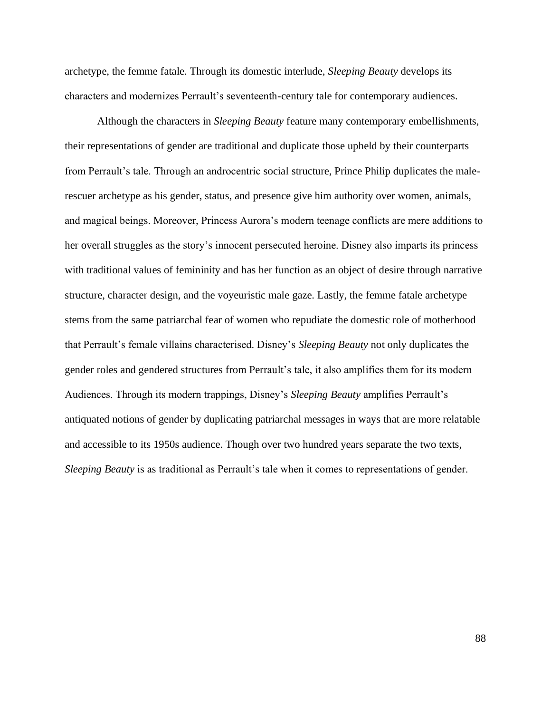archetype, the femme fatale. Through its domestic interlude, *Sleeping Beauty* develops its characters and modernizes Perrault's seventeenth-century tale for contemporary audiences.

Although the characters in *Sleeping Beauty* feature many contemporary embellishments, their representations of gender are traditional and duplicate those upheld by their counterparts from Perrault's tale. Through an androcentric social structure, Prince Philip duplicates the malerescuer archetype as his gender, status, and presence give him authority over women, animals, and magical beings. Moreover, Princess Aurora's modern teenage conflicts are mere additions to her overall struggles as the story's innocent persecuted heroine. Disney also imparts its princess with traditional values of femininity and has her function as an object of desire through narrative structure, character design, and the voyeuristic male gaze. Lastly, the femme fatale archetype stems from the same patriarchal fear of women who repudiate the domestic role of motherhood that Perrault's female villains characterised. Disney's *Sleeping Beauty* not only duplicates the gender roles and gendered structures from Perrault's tale, it also amplifies them for its modern Audiences. Through its modern trappings, Disney's *Sleeping Beauty* amplifies Perrault's antiquated notions of gender by duplicating patriarchal messages in ways that are more relatable and accessible to its 1950s audience. Though over two hundred years separate the two texts, *Sleeping Beauty* is as traditional as Perrault's tale when it comes to representations of gender.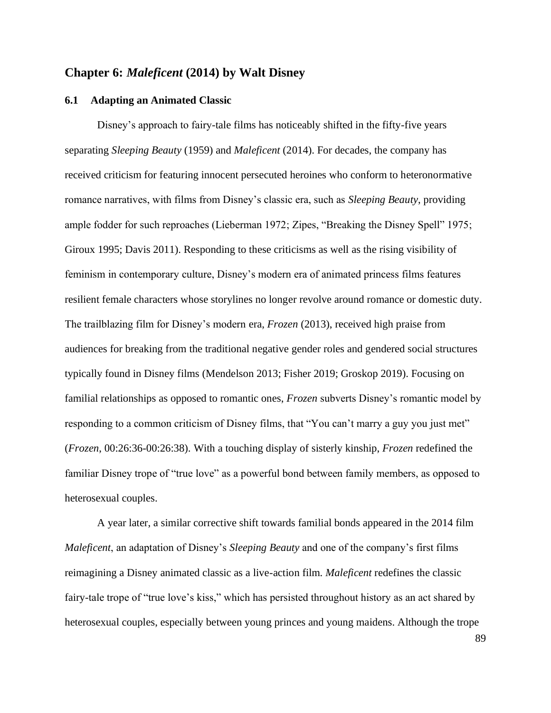# **Chapter 6:** *Maleficent* **(2014) by Walt Disney**

### **6.1 Adapting an Animated Classic**

Disney's approach to fairy-tale films has noticeably shifted in the fifty-five years separating *Sleeping Beauty* (1959) and *Maleficent* (2014). For decades, the company has received criticism for featuring innocent persecuted heroines who conform to heteronormative romance narratives, with films from Disney's classic era, such as *Sleeping Beauty*, providing ample fodder for such reproaches (Lieberman 1972; Zipes, "Breaking the Disney Spell" 1975; Giroux 1995; Davis 2011). Responding to these criticisms as well as the rising visibility of feminism in contemporary culture, Disney's modern era of animated princess films features resilient female characters whose storylines no longer revolve around romance or domestic duty. The trailblazing film for Disney's modern era, *Frozen* (2013), received high praise from audiences for breaking from the traditional negative gender roles and gendered social structures typically found in Disney films (Mendelson 2013; Fisher 2019; Groskop 2019). Focusing on familial relationships as opposed to romantic ones, *Frozen* subverts Disney's romantic model by responding to a common criticism of Disney films, that "You can't marry a guy you just met" (*Frozen*, 00:26:36-00:26:38). With a touching display of sisterly kinship, *Frozen* redefined the familiar Disney trope of "true love" as a powerful bond between family members, as opposed to heterosexual couples.

A year later, a similar corrective shift towards familial bonds appeared in the 2014 film *Maleficent*, an adaptation of Disney's *Sleeping Beauty* and one of the company's first films reimagining a Disney animated classic as a live-action film*. Maleficent* redefines the classic fairy-tale trope of "true love's kiss," which has persisted throughout history as an act shared by heterosexual couples, especially between young princes and young maidens. Although the trope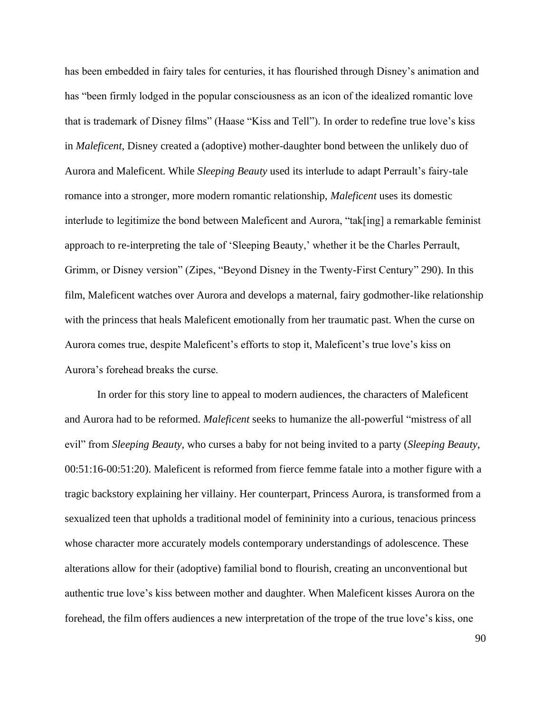has been embedded in fairy tales for centuries, it has flourished through Disney's animation and has "been firmly lodged in the popular consciousness as an icon of the idealized romantic love that is trademark of Disney films" (Haase "Kiss and Tell"). In order to redefine true love's kiss in *Maleficent*, Disney created a (adoptive) mother-daughter bond between the unlikely duo of Aurora and Maleficent. While *Sleeping Beauty* used its interlude to adapt Perrault's fairy-tale romance into a stronger, more modern romantic relationship, *Maleficent* uses its domestic interlude to legitimize the bond between Maleficent and Aurora, "tak[ing] a remarkable feminist approach to re-interpreting the tale of 'Sleeping Beauty,' whether it be the Charles Perrault, Grimm, or Disney version" (Zipes, "Beyond Disney in the Twenty-First Century" 290). In this film, Maleficent watches over Aurora and develops a maternal, fairy godmother-like relationship with the princess that heals Maleficent emotionally from her traumatic past. When the curse on Aurora comes true, despite Maleficent's efforts to stop it, Maleficent's true love's kiss on Aurora's forehead breaks the curse.

In order for this story line to appeal to modern audiences, the characters of Maleficent and Aurora had to be reformed. *Maleficent* seeks to humanize the all-powerful "mistress of all evil" from *Sleeping Beauty,* who curses a baby for not being invited to a party (*Sleeping Beauty*, 00:51:16-00:51:20). Maleficent is reformed from fierce femme fatale into a mother figure with a tragic backstory explaining her villainy. Her counterpart, Princess Aurora, is transformed from a sexualized teen that upholds a traditional model of femininity into a curious, tenacious princess whose character more accurately models contemporary understandings of adolescence. These alterations allow for their (adoptive) familial bond to flourish, creating an unconventional but authentic true love's kiss between mother and daughter. When Maleficent kisses Aurora on the forehead, the film offers audiences a new interpretation of the trope of the true love's kiss, one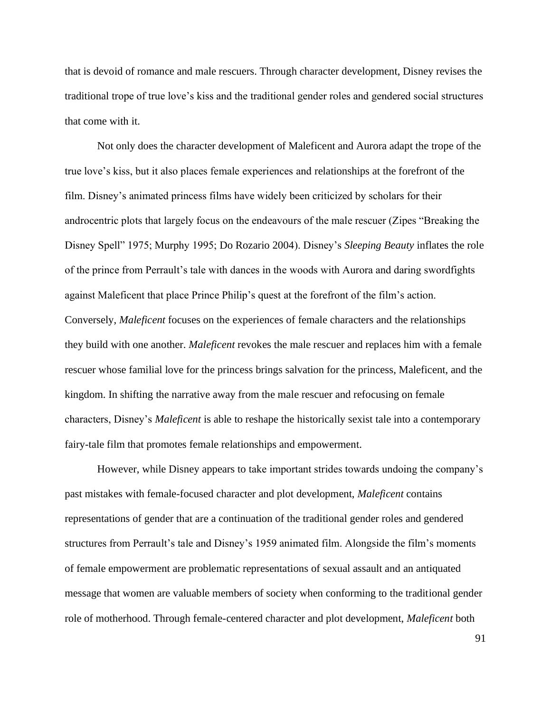that is devoid of romance and male rescuers. Through character development, Disney revises the traditional trope of true love's kiss and the traditional gender roles and gendered social structures that come with it.

Not only does the character development of Maleficent and Aurora adapt the trope of the true love's kiss, but it also places female experiences and relationships at the forefront of the film. Disney's animated princess films have widely been criticized by scholars for their androcentric plots that largely focus on the endeavours of the male rescuer (Zipes "Breaking the Disney Spell" 1975; Murphy 1995; Do Rozario 2004). Disney's *Sleeping Beauty* inflates the role of the prince from Perrault's tale with dances in the woods with Aurora and daring swordfights against Maleficent that place Prince Philip's quest at the forefront of the film's action. Conversely, *Maleficent* focuses on the experiences of female characters and the relationships they build with one another. *Maleficent* revokes the male rescuer and replaces him with a female rescuer whose familial love for the princess brings salvation for the princess, Maleficent, and the kingdom. In shifting the narrative away from the male rescuer and refocusing on female characters, Disney's *Maleficent* is able to reshape the historically sexist tale into a contemporary fairy-tale film that promotes female relationships and empowerment.

However, while Disney appears to take important strides towards undoing the company's past mistakes with female-focused character and plot development, *Maleficent* contains representations of gender that are a continuation of the traditional gender roles and gendered structures from Perrault's tale and Disney's 1959 animated film. Alongside the film's moments of female empowerment are problematic representations of sexual assault and an antiquated message that women are valuable members of society when conforming to the traditional gender role of motherhood. Through female-centered character and plot development, *Maleficent* both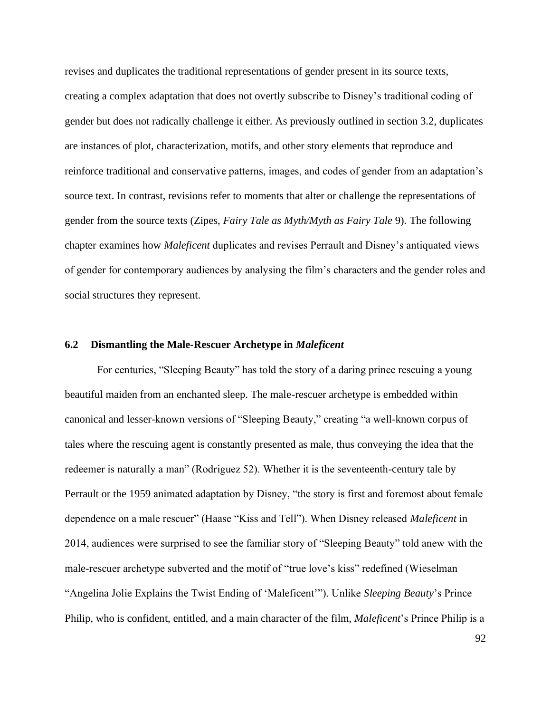revises and duplicates the traditional representations of gender present in its source texts, creating a complex adaptation that does not overtly subscribe to Disney's traditional coding of gender but does not radically challenge it either. As previously outlined in section 3.2, duplicates are instances of plot, characterization, motifs, and other story elements that reproduce and reinforce traditional and conservative patterns, images, and codes of gender from an adaptation's source text. In contrast, revisions refer to moments that alter or challenge the representations of gender from the source texts (Zipes, *Fairy Tale as Myth/Myth as Fairy Tale* 9). The following chapter examines how *Maleficent* duplicates and revises Perrault and Disney's antiquated views of gender for contemporary audiences by analysing the film's characters and the gender roles and social structures they represent.

## **6.2 Dismantling the Male-Rescuer Archetype in** *Maleficent*

For centuries, "Sleeping Beauty" has told the story of a daring prince rescuing a young beautiful maiden from an enchanted sleep. The male-rescuer archetype is embedded within canonical and lesser-known versions of "Sleeping Beauty," creating "a well-known corpus of tales where the rescuing agent is constantly presented as male, thus conveying the idea that the redeemer is naturally a man" (Rodriguez 52). Whether it is the seventeenth-century tale by Perrault or the 1959 animated adaptation by Disney, "the story is first and foremost about female dependence on a male rescuer" (Haase "Kiss and Tell"). When Disney released *Maleficent* in 2014, audiences were surprised to see the familiar story of "Sleeping Beauty" told anew with the male-rescuer archetype subverted and the motif of "true love's kiss" redefined (Wieselman "Angelina Jolie Explains the Twist Ending of 'Maleficent'"). Unlike *Sleeping Beauty*'s Prince Philip, who is confident, entitled, and a main character of the film, *Maleficent*'s Prince Philip is a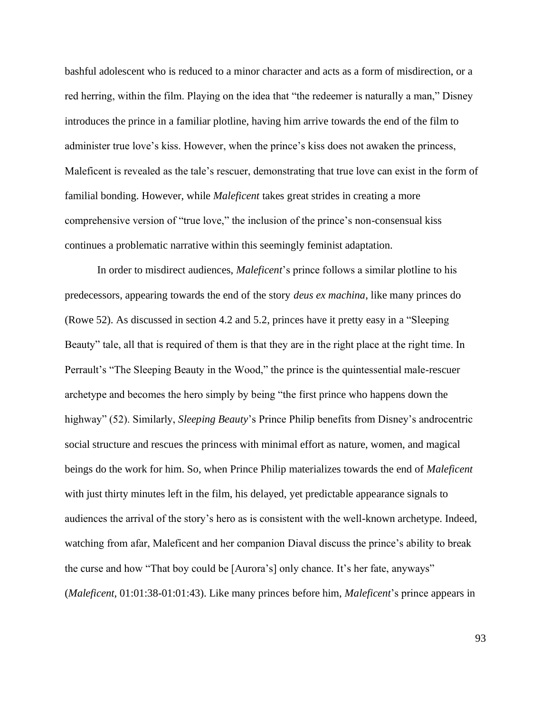bashful adolescent who is reduced to a minor character and acts as a form of misdirection, or a red herring, within the film. Playing on the idea that "the redeemer is naturally a man," Disney introduces the prince in a familiar plotline, having him arrive towards the end of the film to administer true love's kiss. However, when the prince's kiss does not awaken the princess, Maleficent is revealed as the tale's rescuer, demonstrating that true love can exist in the form of familial bonding. However, while *Maleficent* takes great strides in creating a more comprehensive version of "true love," the inclusion of the prince's non-consensual kiss continues a problematic narrative within this seemingly feminist adaptation.

In order to misdirect audiences, *Maleficent*'s prince follows a similar plotline to his predecessors, appearing towards the end of the story *deus ex machina*, like many princes do (Rowe 52). As discussed in section 4.2 and 5.2, princes have it pretty easy in a "Sleeping Beauty" tale, all that is required of them is that they are in the right place at the right time. In Perrault's "The Sleeping Beauty in the Wood," the prince is the quintessential male-rescuer archetype and becomes the hero simply by being "the first prince who happens down the highway" (52). Similarly, *Sleeping Beauty*'s Prince Philip benefits from Disney's androcentric social structure and rescues the princess with minimal effort as nature, women, and magical beings do the work for him. So, when Prince Philip materializes towards the end of *Maleficent* with just thirty minutes left in the film, his delayed, yet predictable appearance signals to audiences the arrival of the story's hero as is consistent with the well-known archetype. Indeed, watching from afar, Maleficent and her companion Diaval discuss the prince's ability to break the curse and how "That boy could be [Aurora's] only chance. It's her fate, anyways" (*Maleficent*, 01:01:38-01:01:43). Like many princes before him, *Maleficent*'s prince appears in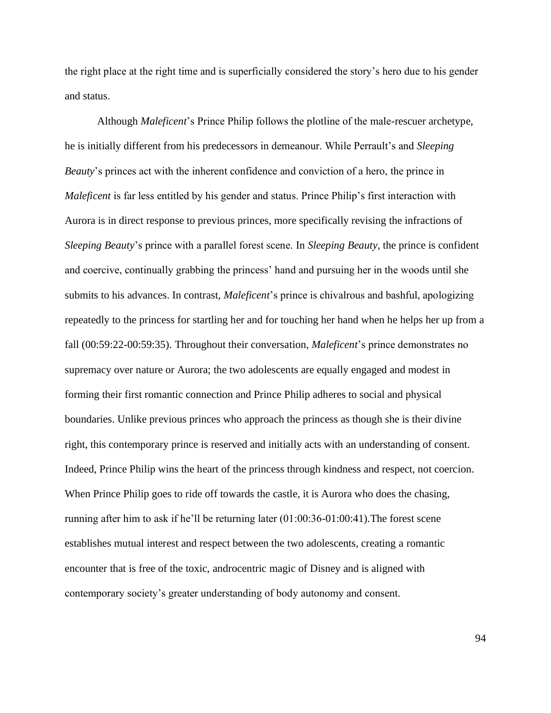the right place at the right time and is superficially considered the story's hero due to his gender and status.

Although *Maleficent*'s Prince Philip follows the plotline of the male-rescuer archetype, he is initially different from his predecessors in demeanour. While Perrault's and *Sleeping Beauty*'s princes act with the inherent confidence and conviction of a hero, the prince in *Maleficent* is far less entitled by his gender and status. Prince Philip's first interaction with Aurora is in direct response to previous princes, more specifically revising the infractions of *Sleeping Beauty*'s prince with a parallel forest scene. In *Sleeping Beauty*, the prince is confident and coercive, continually grabbing the princess' hand and pursuing her in the woods until she submits to his advances. In contrast, *Maleficent*'s prince is chivalrous and bashful, apologizing repeatedly to the princess for startling her and for touching her hand when he helps her up from a fall (00:59:22-00:59:35). Throughout their conversation, *Maleficent*'s prince demonstrates no supremacy over nature or Aurora; the two adolescents are equally engaged and modest in forming their first romantic connection and Prince Philip adheres to social and physical boundaries. Unlike previous princes who approach the princess as though she is their divine right, this contemporary prince is reserved and initially acts with an understanding of consent. Indeed, Prince Philip wins the heart of the princess through kindness and respect, not coercion. When Prince Philip goes to ride off towards the castle, it is Aurora who does the chasing, running after him to ask if he'll be returning later (01:00:36-01:00:41).The forest scene establishes mutual interest and respect between the two adolescents, creating a romantic encounter that is free of the toxic, androcentric magic of Disney and is aligned with contemporary society's greater understanding of body autonomy and consent.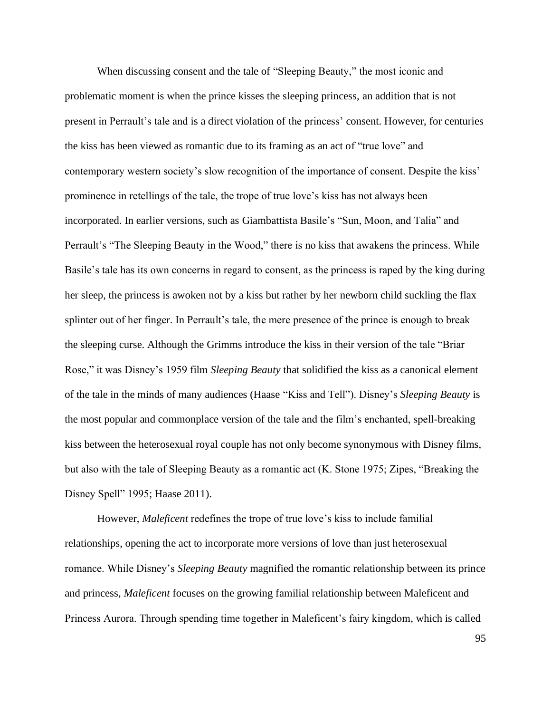When discussing consent and the tale of "Sleeping Beauty," the most iconic and problematic moment is when the prince kisses the sleeping princess, an addition that is not present in Perrault's tale and is a direct violation of the princess' consent. However, for centuries the kiss has been viewed as romantic due to its framing as an act of "true love" and contemporary western society's slow recognition of the importance of consent. Despite the kiss' prominence in retellings of the tale, the trope of true love's kiss has not always been incorporated. In earlier versions, such as Giambattista Basile's "Sun, Moon, and Talia" and Perrault's "The Sleeping Beauty in the Wood," there is no kiss that awakens the princess. While Basile's tale has its own concerns in regard to consent, as the princess is raped by the king during her sleep, the princess is awoken not by a kiss but rather by her newborn child suckling the flax splinter out of her finger. In Perrault's tale, the mere presence of the prince is enough to break the sleeping curse. Although the Grimms introduce the kiss in their version of the tale "Briar Rose," it was Disney's 1959 film *Sleeping Beauty* that solidified the kiss as a canonical element of the tale in the minds of many audiences (Haase "Kiss and Tell"). Disney's *Sleeping Beauty* is the most popular and commonplace version of the tale and the film's enchanted, spell-breaking kiss between the heterosexual royal couple has not only become synonymous with Disney films, but also with the tale of Sleeping Beauty as a romantic act (K. Stone 1975; Zipes, "Breaking the Disney Spell" 1995; Haase 2011).

However, *Maleficent* redefines the trope of true love's kiss to include familial relationships, opening the act to incorporate more versions of love than just heterosexual romance. While Disney's *Sleeping Beauty* magnified the romantic relationship between its prince and princess, *Maleficent* focuses on the growing familial relationship between Maleficent and Princess Aurora. Through spending time together in Maleficent's fairy kingdom, which is called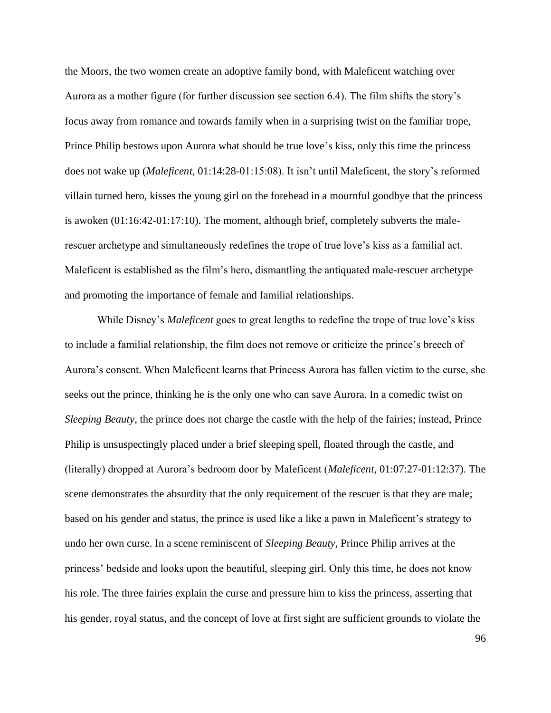the Moors, the two women create an adoptive family bond, with Maleficent watching over Aurora as a mother figure (for further discussion see section 6.4). The film shifts the story's focus away from romance and towards family when in a surprising twist on the familiar trope, Prince Philip bestows upon Aurora what should be true love's kiss, only this time the princess does not wake up (*Maleficent*, 01:14:28-01:15:08). It isn't until Maleficent, the story's reformed villain turned hero, kisses the young girl on the forehead in a mournful goodbye that the princess is awoken (01:16:42-01:17:10). The moment, although brief, completely subverts the malerescuer archetype and simultaneously redefines the trope of true love's kiss as a familial act. Maleficent is established as the film's hero, dismantling the antiquated male-rescuer archetype and promoting the importance of female and familial relationships.

While Disney's *Maleficent* goes to great lengths to redefine the trope of true love's kiss to include a familial relationship, the film does not remove or criticize the prince's breech of Aurora's consent. When Maleficent learns that Princess Aurora has fallen victim to the curse, she seeks out the prince, thinking he is the only one who can save Aurora. In a comedic twist on *Sleeping Beauty*, the prince does not charge the castle with the help of the fairies; instead, Prince Philip is unsuspectingly placed under a brief sleeping spell, floated through the castle, and (literally) dropped at Aurora's bedroom door by Maleficent (*Maleficent*, 01:07:27-01:12:37). The scene demonstrates the absurdity that the only requirement of the rescuer is that they are male; based on his gender and status, the prince is used like a like a pawn in Maleficent's strategy to undo her own curse. In a scene reminiscent of *Sleeping Beauty,* Prince Philip arrives at the princess' bedside and looks upon the beautiful, sleeping girl. Only this time, he does not know his role. The three fairies explain the curse and pressure him to kiss the princess, asserting that his gender, royal status, and the concept of love at first sight are sufficient grounds to violate the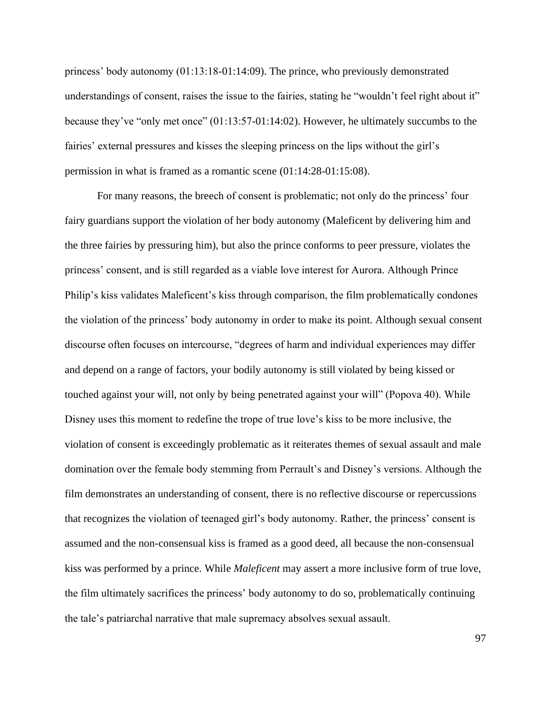princess' body autonomy (01:13:18-01:14:09). The prince, who previously demonstrated understandings of consent, raises the issue to the fairies, stating he "wouldn't feel right about it" because they've "only met once" (01:13:57-01:14:02). However, he ultimately succumbs to the fairies' external pressures and kisses the sleeping princess on the lips without the girl's permission in what is framed as a romantic scene (01:14:28-01:15:08).

For many reasons, the breech of consent is problematic; not only do the princess' four fairy guardians support the violation of her body autonomy (Maleficent by delivering him and the three fairies by pressuring him), but also the prince conforms to peer pressure, violates the princess' consent, and is still regarded as a viable love interest for Aurora. Although Prince Philip's kiss validates Maleficent's kiss through comparison, the film problematically condones the violation of the princess' body autonomy in order to make its point. Although sexual consent discourse often focuses on intercourse, "degrees of harm and individual experiences may differ and depend on a range of factors, your bodily autonomy is still violated by being kissed or touched against your will, not only by being penetrated against your will" (Popova 40). While Disney uses this moment to redefine the trope of true love's kiss to be more inclusive, the violation of consent is exceedingly problematic as it reiterates themes of sexual assault and male domination over the female body stemming from Perrault's and Disney's versions. Although the film demonstrates an understanding of consent, there is no reflective discourse or repercussions that recognizes the violation of teenaged girl's body autonomy. Rather, the princess' consent is assumed and the non-consensual kiss is framed as a good deed, all because the non-consensual kiss was performed by a prince. While *Maleficent* may assert a more inclusive form of true love, the film ultimately sacrifices the princess' body autonomy to do so, problematically continuing the tale's patriarchal narrative that male supremacy absolves sexual assault.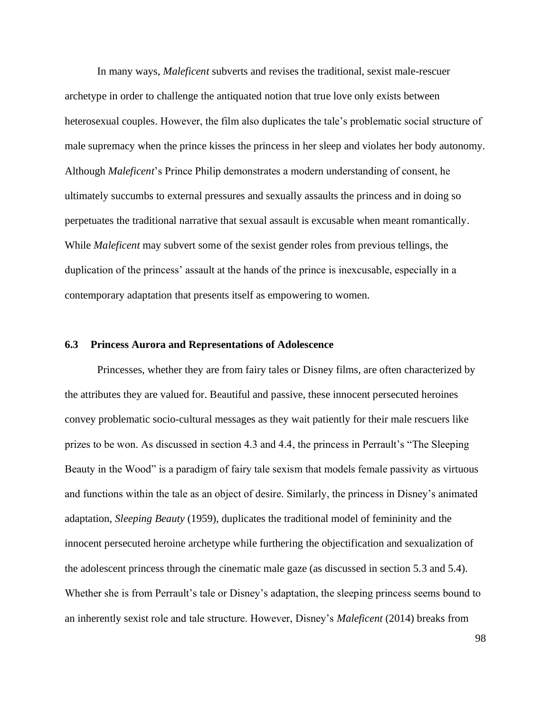In many ways, *Maleficent* subverts and revises the traditional, sexist male-rescuer archetype in order to challenge the antiquated notion that true love only exists between heterosexual couples. However, the film also duplicates the tale's problematic social structure of male supremacy when the prince kisses the princess in her sleep and violates her body autonomy. Although *Maleficent*'s Prince Philip demonstrates a modern understanding of consent, he ultimately succumbs to external pressures and sexually assaults the princess and in doing so perpetuates the traditional narrative that sexual assault is excusable when meant romantically. While *Maleficent* may subvert some of the sexist gender roles from previous tellings, the duplication of the princess' assault at the hands of the prince is inexcusable, especially in a contemporary adaptation that presents itself as empowering to women.

### **6.3 Princess Aurora and Representations of Adolescence**

Princesses, whether they are from fairy tales or Disney films, are often characterized by the attributes they are valued for. Beautiful and passive, these innocent persecuted heroines convey problematic socio-cultural messages as they wait patiently for their male rescuers like prizes to be won. As discussed in section 4.3 and 4.4, the princess in Perrault's "The Sleeping Beauty in the Wood" is a paradigm of fairy tale sexism that models female passivity as virtuous and functions within the tale as an object of desire. Similarly, the princess in Disney's animated adaptation, *Sleeping Beauty* (1959), duplicates the traditional model of femininity and the innocent persecuted heroine archetype while furthering the objectification and sexualization of the adolescent princess through the cinematic male gaze (as discussed in section 5.3 and 5.4). Whether she is from Perrault's tale or Disney's adaptation, the sleeping princess seems bound to an inherently sexist role and tale structure. However, Disney's *Maleficent* (2014) breaks from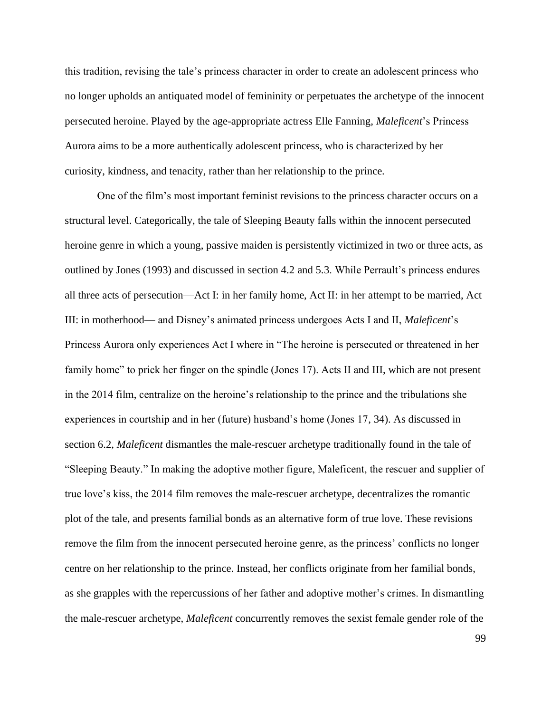this tradition, revising the tale's princess character in order to create an adolescent princess who no longer upholds an antiquated model of femininity or perpetuates the archetype of the innocent persecuted heroine. Played by the age-appropriate actress Elle Fanning, *Maleficent*'s Princess Aurora aims to be a more authentically adolescent princess, who is characterized by her curiosity, kindness, and tenacity, rather than her relationship to the prince.

One of the film's most important feminist revisions to the princess character occurs on a structural level. Categorically, the tale of Sleeping Beauty falls within the innocent persecuted heroine genre in which a young, passive maiden is persistently victimized in two or three acts, as outlined by Jones (1993) and discussed in section 4.2 and 5.3. While Perrault's princess endures all three acts of persecution—Act I: in her family home, Act II: in her attempt to be married, Act III: in motherhood— and Disney's animated princess undergoes Acts I and II, *Maleficent*'s Princess Aurora only experiences Act I where in "The heroine is persecuted or threatened in her family home" to prick her finger on the spindle (Jones 17). Acts II and III, which are not present in the 2014 film, centralize on the heroine's relationship to the prince and the tribulations she experiences in courtship and in her (future) husband's home (Jones 17, 34). As discussed in section 6.2, *Maleficent* dismantles the male-rescuer archetype traditionally found in the tale of "Sleeping Beauty." In making the adoptive mother figure, Maleficent, the rescuer and supplier of true love's kiss, the 2014 film removes the male-rescuer archetype, decentralizes the romantic plot of the tale, and presents familial bonds as an alternative form of true love. These revisions remove the film from the innocent persecuted heroine genre, as the princess' conflicts no longer centre on her relationship to the prince. Instead, her conflicts originate from her familial bonds, as she grapples with the repercussions of her father and adoptive mother's crimes. In dismantling the male-rescuer archetype, *Maleficent* concurrently removes the sexist female gender role of the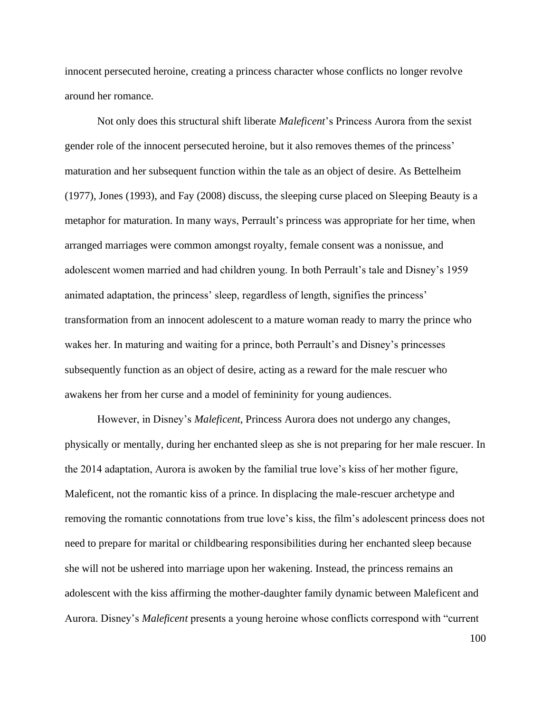innocent persecuted heroine, creating a princess character whose conflicts no longer revolve around her romance.

Not only does this structural shift liberate *Maleficent*'s Princess Aurora from the sexist gender role of the innocent persecuted heroine, but it also removes themes of the princess' maturation and her subsequent function within the tale as an object of desire. As Bettelheim (1977), Jones (1993), and Fay (2008) discuss, the sleeping curse placed on Sleeping Beauty is a metaphor for maturation. In many ways, Perrault's princess was appropriate for her time, when arranged marriages were common amongst royalty, female consent was a nonissue, and adolescent women married and had children young. In both Perrault's tale and Disney's 1959 animated adaptation, the princess' sleep, regardless of length, signifies the princess' transformation from an innocent adolescent to a mature woman ready to marry the prince who wakes her. In maturing and waiting for a prince, both Perrault's and Disney's princesses subsequently function as an object of desire, acting as a reward for the male rescuer who awakens her from her curse and a model of femininity for young audiences.

However, in Disney's *Maleficent*, Princess Aurora does not undergo any changes, physically or mentally, during her enchanted sleep as she is not preparing for her male rescuer. In the 2014 adaptation, Aurora is awoken by the familial true love's kiss of her mother figure, Maleficent, not the romantic kiss of a prince. In displacing the male-rescuer archetype and removing the romantic connotations from true love's kiss, the film's adolescent princess does not need to prepare for marital or childbearing responsibilities during her enchanted sleep because she will not be ushered into marriage upon her wakening. Instead, the princess remains an adolescent with the kiss affirming the mother-daughter family dynamic between Maleficent and Aurora. Disney's *Maleficent* presents a young heroine whose conflicts correspond with "current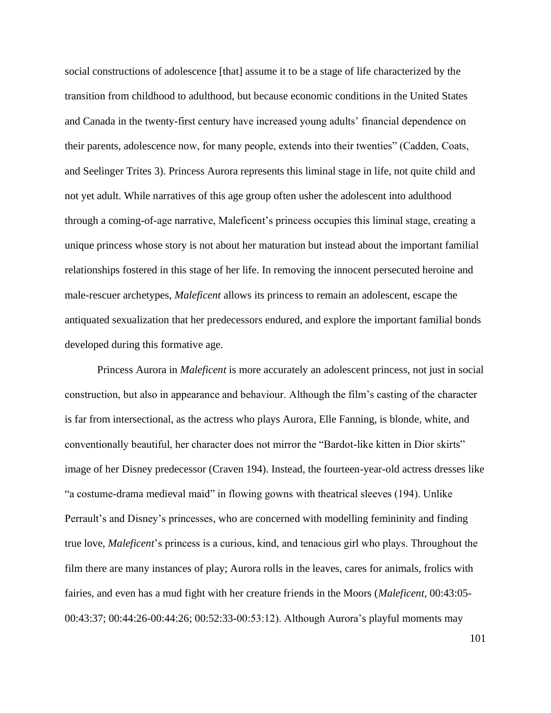social constructions of adolescence [that] assume it to be a stage of life characterized by the transition from childhood to adulthood, but because economic conditions in the United States and Canada in the twenty-first century have increased young adults' financial dependence on their parents, adolescence now, for many people, extends into their twenties" (Cadden, Coats, and Seelinger Trites 3). Princess Aurora represents this liminal stage in life, not quite child and not yet adult. While narratives of this age group often usher the adolescent into adulthood through a coming-of-age narrative, Maleficent's princess occupies this liminal stage, creating a unique princess whose story is not about her maturation but instead about the important familial relationships fostered in this stage of her life. In removing the innocent persecuted heroine and male-rescuer archetypes, *Maleficent* allows its princess to remain an adolescent, escape the antiquated sexualization that her predecessors endured, and explore the important familial bonds developed during this formative age.

Princess Aurora in *Maleficent* is more accurately an adolescent princess, not just in social construction, but also in appearance and behaviour. Although the film's casting of the character is far from intersectional, as the actress who plays Aurora, Elle Fanning, is blonde, white, and conventionally beautiful, her character does not mirror the "Bardot-like kitten in Dior skirts" image of her Disney predecessor (Craven 194). Instead, the fourteen-year-old actress dresses like "a costume-drama medieval maid" in flowing gowns with theatrical sleeves (194). Unlike Perrault's and Disney's princesses, who are concerned with modelling femininity and finding true love, *Maleficent*'s princess is a curious, kind, and tenacious girl who plays. Throughout the film there are many instances of play; Aurora rolls in the leaves, cares for animals, frolics with fairies, and even has a mud fight with her creature friends in the Moors (*Maleficent*, 00:43:05- 00:43:37; 00:44:26-00:44:26; 00:52:33-00:53:12). Although Aurora's playful moments may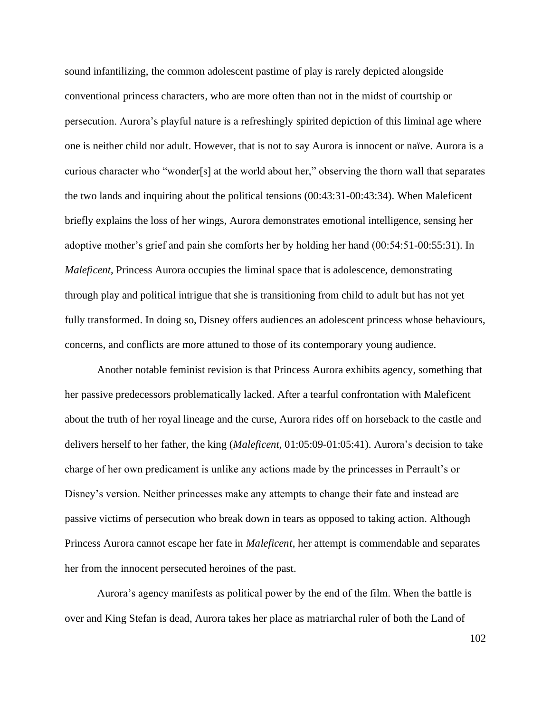sound infantilizing, the common adolescent pastime of play is rarely depicted alongside conventional princess characters, who are more often than not in the midst of courtship or persecution. Aurora's playful nature is a refreshingly spirited depiction of this liminal age where one is neither child nor adult. However, that is not to say Aurora is innocent or naïve. Aurora is a curious character who "wonder[s] at the world about her," observing the thorn wall that separates the two lands and inquiring about the political tensions (00:43:31-00:43:34). When Maleficent briefly explains the loss of her wings, Aurora demonstrates emotional intelligence, sensing her adoptive mother's grief and pain she comforts her by holding her hand (00:54:51-00:55:31). In *Maleficent*, Princess Aurora occupies the liminal space that is adolescence, demonstrating through play and political intrigue that she is transitioning from child to adult but has not yet fully transformed. In doing so, Disney offers audiences an adolescent princess whose behaviours, concerns, and conflicts are more attuned to those of its contemporary young audience.

Another notable feminist revision is that Princess Aurora exhibits agency, something that her passive predecessors problematically lacked. After a tearful confrontation with Maleficent about the truth of her royal lineage and the curse, Aurora rides off on horseback to the castle and delivers herself to her father, the king (*Maleficent*, 01:05:09-01:05:41). Aurora's decision to take charge of her own predicament is unlike any actions made by the princesses in Perrault's or Disney's version. Neither princesses make any attempts to change their fate and instead are passive victims of persecution who break down in tears as opposed to taking action. Although Princess Aurora cannot escape her fate in *Maleficent*, her attempt is commendable and separates her from the innocent persecuted heroines of the past.

Aurora's agency manifests as political power by the end of the film. When the battle is over and King Stefan is dead, Aurora takes her place as matriarchal ruler of both the Land of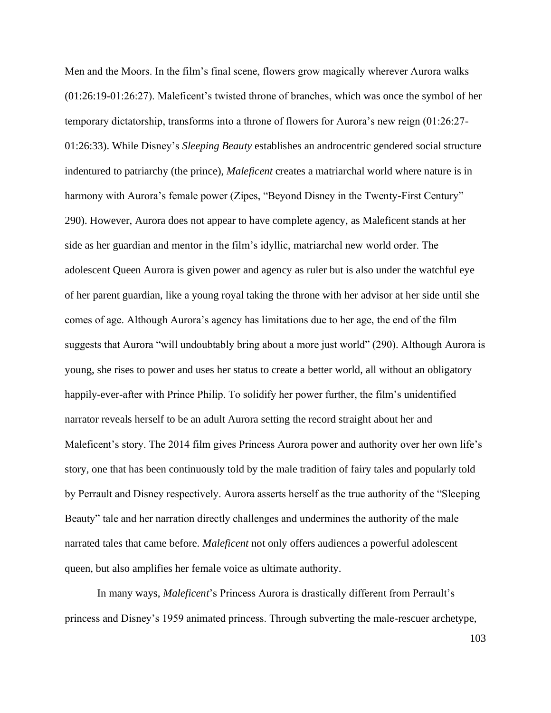Men and the Moors. In the film's final scene, flowers grow magically wherever Aurora walks (01:26:19-01:26:27). Maleficent's twisted throne of branches, which was once the symbol of her temporary dictatorship, transforms into a throne of flowers for Aurora's new reign (01:26:27- 01:26:33). While Disney's *Sleeping Beauty* establishes an androcentric gendered social structure indentured to patriarchy (the prince), *Maleficent* creates a matriarchal world where nature is in harmony with Aurora's female power (Zipes, "Beyond Disney in the Twenty-First Century" 290). However, Aurora does not appear to have complete agency, as Maleficent stands at her side as her guardian and mentor in the film's idyllic, matriarchal new world order. The adolescent Queen Aurora is given power and agency as ruler but is also under the watchful eye of her parent guardian, like a young royal taking the throne with her advisor at her side until she comes of age. Although Aurora's agency has limitations due to her age, the end of the film suggests that Aurora "will undoubtably bring about a more just world" (290). Although Aurora is young, she rises to power and uses her status to create a better world, all without an obligatory happily-ever-after with Prince Philip. To solidify her power further, the film's unidentified narrator reveals herself to be an adult Aurora setting the record straight about her and Maleficent's story. The 2014 film gives Princess Aurora power and authority over her own life's story, one that has been continuously told by the male tradition of fairy tales and popularly told by Perrault and Disney respectively. Aurora asserts herself as the true authority of the "Sleeping Beauty" tale and her narration directly challenges and undermines the authority of the male narrated tales that came before. *Maleficent* not only offers audiences a powerful adolescent queen, but also amplifies her female voice as ultimate authority.

In many ways, *Maleficent*'s Princess Aurora is drastically different from Perrault's princess and Disney's 1959 animated princess. Through subverting the male-rescuer archetype,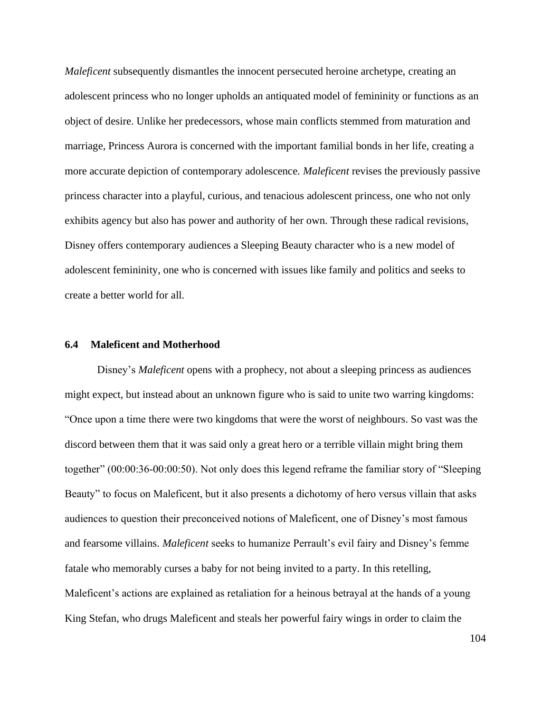*Maleficent* subsequently dismantles the innocent persecuted heroine archetype, creating an adolescent princess who no longer upholds an antiquated model of femininity or functions as an object of desire. Unlike her predecessors, whose main conflicts stemmed from maturation and marriage, Princess Aurora is concerned with the important familial bonds in her life, creating a more accurate depiction of contemporary adolescence. *Maleficent* revises the previously passive princess character into a playful, curious, and tenacious adolescent princess, one who not only exhibits agency but also has power and authority of her own. Through these radical revisions, Disney offers contemporary audiences a Sleeping Beauty character who is a new model of adolescent femininity, one who is concerned with issues like family and politics and seeks to create a better world for all.

### **6.4 Maleficent and Motherhood**

Disney's *Maleficent* opens with a prophecy, not about a sleeping princess as audiences might expect, but instead about an unknown figure who is said to unite two warring kingdoms: "Once upon a time there were two kingdoms that were the worst of neighbours. So vast was the discord between them that it was said only a great hero or a terrible villain might bring them together" (00:00:36-00:00:50). Not only does this legend reframe the familiar story of "Sleeping Beauty" to focus on Maleficent, but it also presents a dichotomy of hero versus villain that asks audiences to question their preconceived notions of Maleficent, one of Disney's most famous and fearsome villains. *Maleficent* seeks to humanize Perrault's evil fairy and Disney's femme fatale who memorably curses a baby for not being invited to a party. In this retelling, Maleficent's actions are explained as retaliation for a heinous betrayal at the hands of a young King Stefan, who drugs Maleficent and steals her powerful fairy wings in order to claim the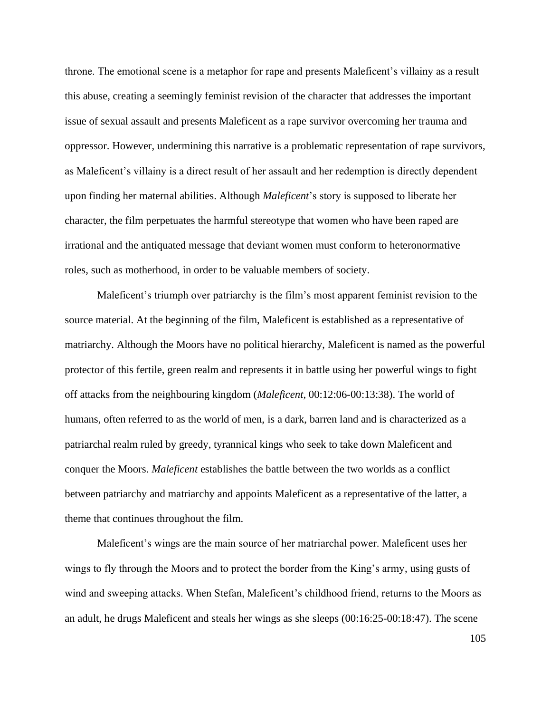throne. The emotional scene is a metaphor for rape and presents Maleficent's villainy as a result this abuse, creating a seemingly feminist revision of the character that addresses the important issue of sexual assault and presents Maleficent as a rape survivor overcoming her trauma and oppressor. However, undermining this narrative is a problematic representation of rape survivors, as Maleficent's villainy is a direct result of her assault and her redemption is directly dependent upon finding her maternal abilities. Although *Maleficent*'s story is supposed to liberate her character, the film perpetuates the harmful stereotype that women who have been raped are irrational and the antiquated message that deviant women must conform to heteronormative roles, such as motherhood, in order to be valuable members of society.

Maleficent's triumph over patriarchy is the film's most apparent feminist revision to the source material. At the beginning of the film, Maleficent is established as a representative of matriarchy. Although the Moors have no political hierarchy, Maleficent is named as the powerful protector of this fertile, green realm and represents it in battle using her powerful wings to fight off attacks from the neighbouring kingdom (*Maleficent*, 00:12:06-00:13:38). The world of humans, often referred to as the world of men, is a dark, barren land and is characterized as a patriarchal realm ruled by greedy, tyrannical kings who seek to take down Maleficent and conquer the Moors. *Maleficent* establishes the battle between the two worlds as a conflict between patriarchy and matriarchy and appoints Maleficent as a representative of the latter, a theme that continues throughout the film.

Maleficent's wings are the main source of her matriarchal power. Maleficent uses her wings to fly through the Moors and to protect the border from the King's army, using gusts of wind and sweeping attacks. When Stefan, Maleficent's childhood friend, returns to the Moors as an adult, he drugs Maleficent and steals her wings as she sleeps (00:16:25-00:18:47). The scene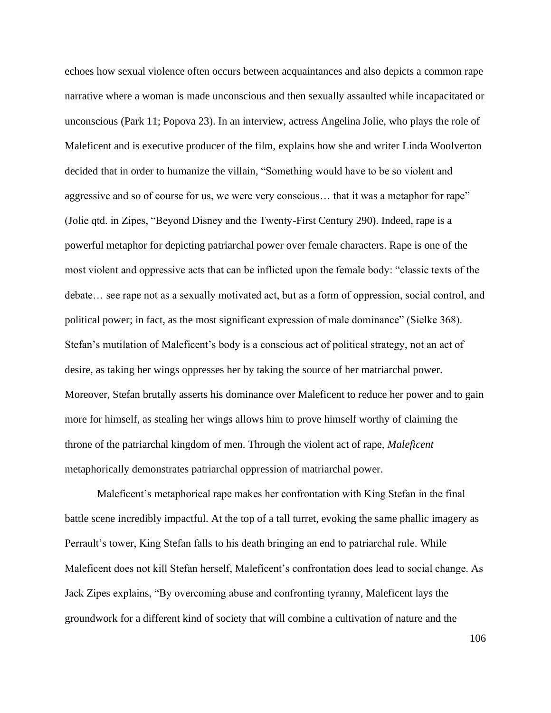echoes how sexual violence often occurs between acquaintances and also depicts a common rape narrative where a woman is made unconscious and then sexually assaulted while incapacitated or unconscious (Park 11; Popova 23). In an interview, actress Angelina Jolie, who plays the role of Maleficent and is executive producer of the film, explains how she and writer Linda Woolverton decided that in order to humanize the villain, "Something would have to be so violent and aggressive and so of course for us, we were very conscious… that it was a metaphor for rape" (Jolie qtd. in Zipes, "Beyond Disney and the Twenty-First Century 290). Indeed, rape is a powerful metaphor for depicting patriarchal power over female characters. Rape is one of the most violent and oppressive acts that can be inflicted upon the female body: "classic texts of the debate… see rape not as a sexually motivated act, but as a form of oppression, social control, and political power; in fact, as the most significant expression of male dominance" (Sielke 368). Stefan's mutilation of Maleficent's body is a conscious act of political strategy, not an act of desire, as taking her wings oppresses her by taking the source of her matriarchal power. Moreover, Stefan brutally asserts his dominance over Maleficent to reduce her power and to gain more for himself, as stealing her wings allows him to prove himself worthy of claiming the throne of the patriarchal kingdom of men. Through the violent act of rape, *Maleficent*  metaphorically demonstrates patriarchal oppression of matriarchal power.

Maleficent's metaphorical rape makes her confrontation with King Stefan in the final battle scene incredibly impactful. At the top of a tall turret, evoking the same phallic imagery as Perrault's tower, King Stefan falls to his death bringing an end to patriarchal rule. While Maleficent does not kill Stefan herself, Maleficent's confrontation does lead to social change. As Jack Zipes explains, "By overcoming abuse and confronting tyranny, Maleficent lays the groundwork for a different kind of society that will combine a cultivation of nature and the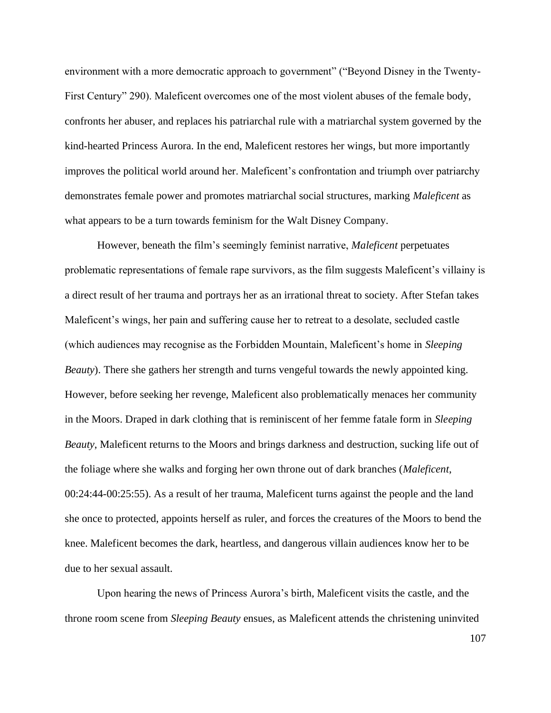environment with a more democratic approach to government" ("Beyond Disney in the Twenty-First Century" 290). Maleficent overcomes one of the most violent abuses of the female body, confronts her abuser, and replaces his patriarchal rule with a matriarchal system governed by the kind-hearted Princess Aurora. In the end, Maleficent restores her wings, but more importantly improves the political world around her. Maleficent's confrontation and triumph over patriarchy demonstrates female power and promotes matriarchal social structures, marking *Maleficent* as what appears to be a turn towards feminism for the Walt Disney Company.

However, beneath the film's seemingly feminist narrative, *Maleficent* perpetuates problematic representations of female rape survivors, as the film suggests Maleficent's villainy is a direct result of her trauma and portrays her as an irrational threat to society. After Stefan takes Maleficent's wings, her pain and suffering cause her to retreat to a desolate, secluded castle (which audiences may recognise as the Forbidden Mountain, Maleficent's home in *Sleeping Beauty*). There she gathers her strength and turns vengeful towards the newly appointed king. However, before seeking her revenge, Maleficent also problematically menaces her community in the Moors. Draped in dark clothing that is reminiscent of her femme fatale form in *Sleeping Beauty*, Maleficent returns to the Moors and brings darkness and destruction, sucking life out of the foliage where she walks and forging her own throne out of dark branches (*Maleficent*, 00:24:44-00:25:55). As a result of her trauma, Maleficent turns against the people and the land she once to protected, appoints herself as ruler, and forces the creatures of the Moors to bend the knee. Maleficent becomes the dark, heartless, and dangerous villain audiences know her to be due to her sexual assault.

Upon hearing the news of Princess Aurora's birth, Maleficent visits the castle, and the throne room scene from *Sleeping Beauty* ensues, as Maleficent attends the christening uninvited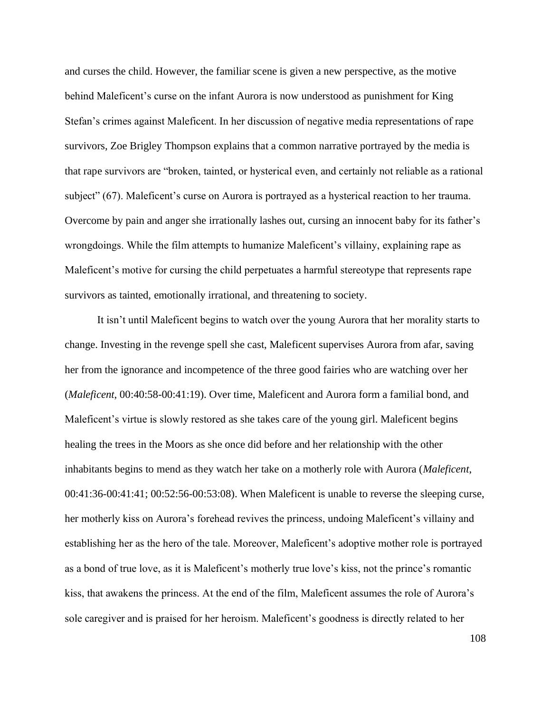and curses the child. However, the familiar scene is given a new perspective, as the motive behind Maleficent's curse on the infant Aurora is now understood as punishment for King Stefan's crimes against Maleficent. In her discussion of negative media representations of rape survivors, Zoe Brigley Thompson explains that a common narrative portrayed by the media is that rape survivors are "broken, tainted, or hysterical even, and certainly not reliable as a rational subject" (67). Maleficent's curse on Aurora is portrayed as a hysterical reaction to her trauma. Overcome by pain and anger she irrationally lashes out, cursing an innocent baby for its father's wrongdoings. While the film attempts to humanize Maleficent's villainy, explaining rape as Maleficent's motive for cursing the child perpetuates a harmful stereotype that represents rape survivors as tainted, emotionally irrational, and threatening to society.

It isn't until Maleficent begins to watch over the young Aurora that her morality starts to change. Investing in the revenge spell she cast, Maleficent supervises Aurora from afar, saving her from the ignorance and incompetence of the three good fairies who are watching over her (*Maleficent*, 00:40:58-00:41:19). Over time, Maleficent and Aurora form a familial bond, and Maleficent's virtue is slowly restored as she takes care of the young girl. Maleficent begins healing the trees in the Moors as she once did before and her relationship with the other inhabitants begins to mend as they watch her take on a motherly role with Aurora (*Maleficent*, 00:41:36-00:41:41; 00:52:56-00:53:08). When Maleficent is unable to reverse the sleeping curse, her motherly kiss on Aurora's forehead revives the princess, undoing Maleficent's villainy and establishing her as the hero of the tale. Moreover, Maleficent's adoptive mother role is portrayed as a bond of true love, as it is Maleficent's motherly true love's kiss, not the prince's romantic kiss, that awakens the princess. At the end of the film, Maleficent assumes the role of Aurora's sole caregiver and is praised for her heroism. Maleficent's goodness is directly related to her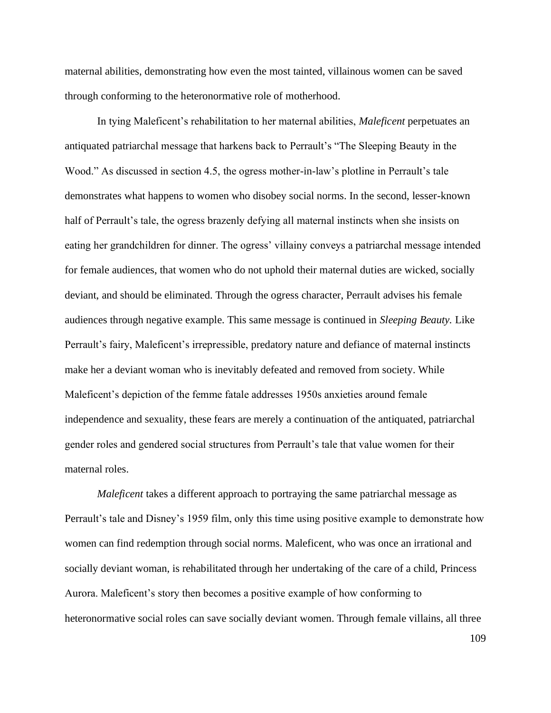maternal abilities, demonstrating how even the most tainted, villainous women can be saved through conforming to the heteronormative role of motherhood.

In tying Maleficent's rehabilitation to her maternal abilities, *Maleficent* perpetuates an antiquated patriarchal message that harkens back to Perrault's "The Sleeping Beauty in the Wood." As discussed in section 4.5, the ogress mother-in-law's plotline in Perrault's tale demonstrates what happens to women who disobey social norms. In the second, lesser-known half of Perrault's tale, the ogress brazenly defying all maternal instincts when she insists on eating her grandchildren for dinner. The ogress' villainy conveys a patriarchal message intended for female audiences, that women who do not uphold their maternal duties are wicked, socially deviant, and should be eliminated. Through the ogress character, Perrault advises his female audiences through negative example. This same message is continued in *Sleeping Beauty.* Like Perrault's fairy, Maleficent's irrepressible, predatory nature and defiance of maternal instincts make her a deviant woman who is inevitably defeated and removed from society. While Maleficent's depiction of the femme fatale addresses 1950s anxieties around female independence and sexuality, these fears are merely a continuation of the antiquated, patriarchal gender roles and gendered social structures from Perrault's tale that value women for their maternal roles.

*Maleficent* takes a different approach to portraying the same patriarchal message as Perrault's tale and Disney's 1959 film, only this time using positive example to demonstrate how women can find redemption through social norms. Maleficent, who was once an irrational and socially deviant woman, is rehabilitated through her undertaking of the care of a child, Princess Aurora. Maleficent's story then becomes a positive example of how conforming to heteronormative social roles can save socially deviant women. Through female villains, all three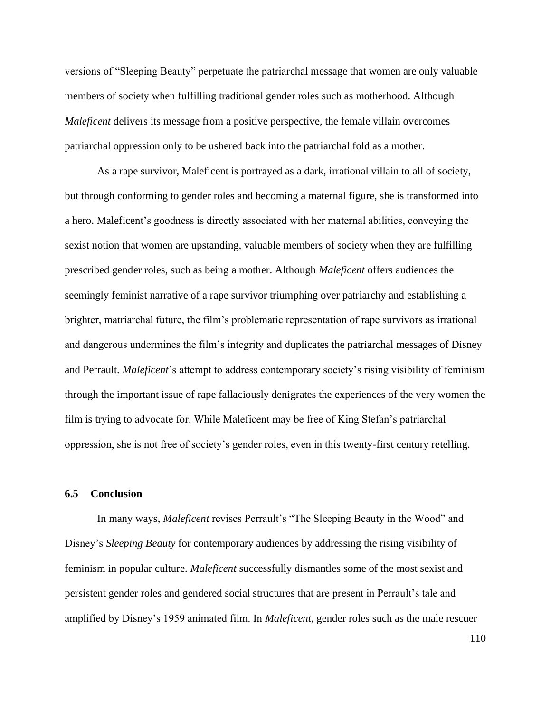versions of "Sleeping Beauty" perpetuate the patriarchal message that women are only valuable members of society when fulfilling traditional gender roles such as motherhood. Although *Maleficent* delivers its message from a positive perspective, the female villain overcomes patriarchal oppression only to be ushered back into the patriarchal fold as a mother.

As a rape survivor, Maleficent is portrayed as a dark, irrational villain to all of society, but through conforming to gender roles and becoming a maternal figure, she is transformed into a hero. Maleficent's goodness is directly associated with her maternal abilities, conveying the sexist notion that women are upstanding, valuable members of society when they are fulfilling prescribed gender roles, such as being a mother. Although *Maleficent* offers audiences the seemingly feminist narrative of a rape survivor triumphing over patriarchy and establishing a brighter, matriarchal future, the film's problematic representation of rape survivors as irrational and dangerous undermines the film's integrity and duplicates the patriarchal messages of Disney and Perrault. *Maleficent*'s attempt to address contemporary society's rising visibility of feminism through the important issue of rape fallaciously denigrates the experiences of the very women the film is trying to advocate for. While Maleficent may be free of King Stefan's patriarchal oppression, she is not free of society's gender roles, even in this twenty-first century retelling.

## **6.5 Conclusion**

In many ways, *Maleficent* revises Perrault's "The Sleeping Beauty in the Wood" and Disney's *Sleeping Beauty* for contemporary audiences by addressing the rising visibility of feminism in popular culture. *Maleficent* successfully dismantles some of the most sexist and persistent gender roles and gendered social structures that are present in Perrault's tale and amplified by Disney's 1959 animated film. In *Maleficent,* gender roles such as the male rescuer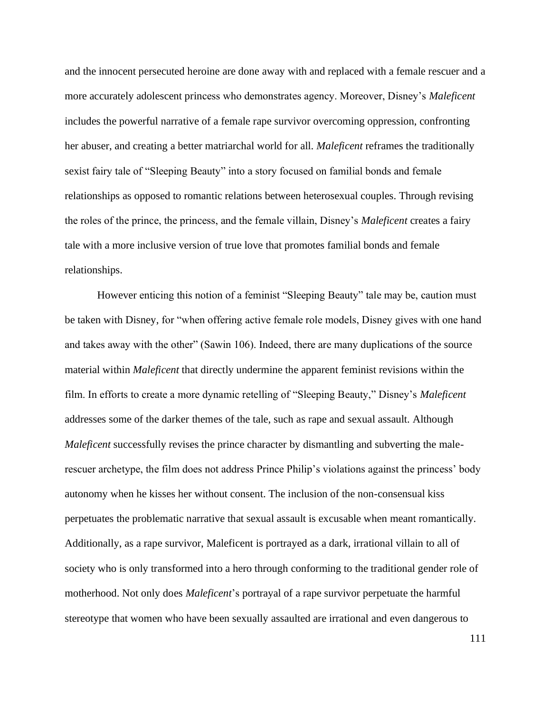and the innocent persecuted heroine are done away with and replaced with a female rescuer and a more accurately adolescent princess who demonstrates agency. Moreover, Disney's *Maleficent*  includes the powerful narrative of a female rape survivor overcoming oppression, confronting her abuser, and creating a better matriarchal world for all. *Maleficent* reframes the traditionally sexist fairy tale of "Sleeping Beauty" into a story focused on familial bonds and female relationships as opposed to romantic relations between heterosexual couples. Through revising the roles of the prince, the princess, and the female villain, Disney's *Maleficent* creates a fairy tale with a more inclusive version of true love that promotes familial bonds and female relationships.

However enticing this notion of a feminist "Sleeping Beauty" tale may be, caution must be taken with Disney, for "when offering active female role models, Disney gives with one hand and takes away with the other" (Sawin 106). Indeed, there are many duplications of the source material within *Maleficent* that directly undermine the apparent feminist revisions within the film. In efforts to create a more dynamic retelling of "Sleeping Beauty," Disney's *Maleficent* addresses some of the darker themes of the tale, such as rape and sexual assault. Although *Maleficent* successfully revises the prince character by dismantling and subverting the malerescuer archetype, the film does not address Prince Philip's violations against the princess' body autonomy when he kisses her without consent. The inclusion of the non-consensual kiss perpetuates the problematic narrative that sexual assault is excusable when meant romantically. Additionally, as a rape survivor, Maleficent is portrayed as a dark, irrational villain to all of society who is only transformed into a hero through conforming to the traditional gender role of motherhood. Not only does *Maleficent*'s portrayal of a rape survivor perpetuate the harmful stereotype that women who have been sexually assaulted are irrational and even dangerous to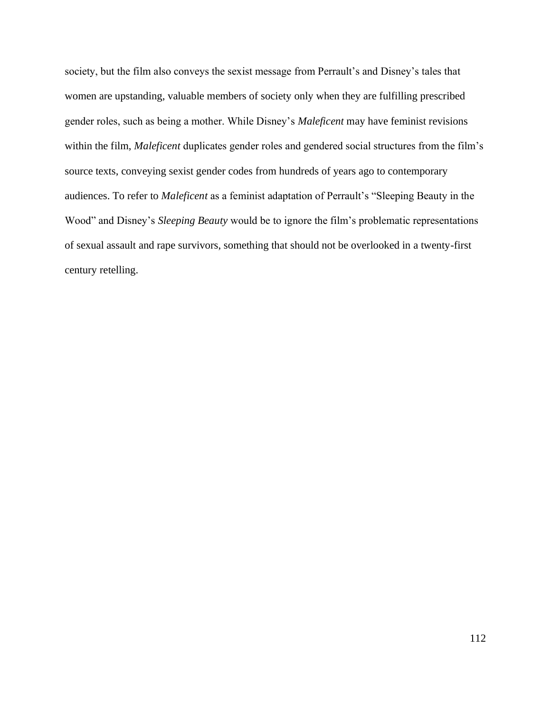society, but the film also conveys the sexist message from Perrault's and Disney's tales that women are upstanding, valuable members of society only when they are fulfilling prescribed gender roles, such as being a mother. While Disney's *Maleficent* may have feminist revisions within the film, *Maleficent* duplicates gender roles and gendered social structures from the film's source texts, conveying sexist gender codes from hundreds of years ago to contemporary audiences. To refer to *Maleficent* as a feminist adaptation of Perrault's "Sleeping Beauty in the Wood" and Disney's *Sleeping Beauty* would be to ignore the film's problematic representations of sexual assault and rape survivors, something that should not be overlooked in a twenty-first century retelling.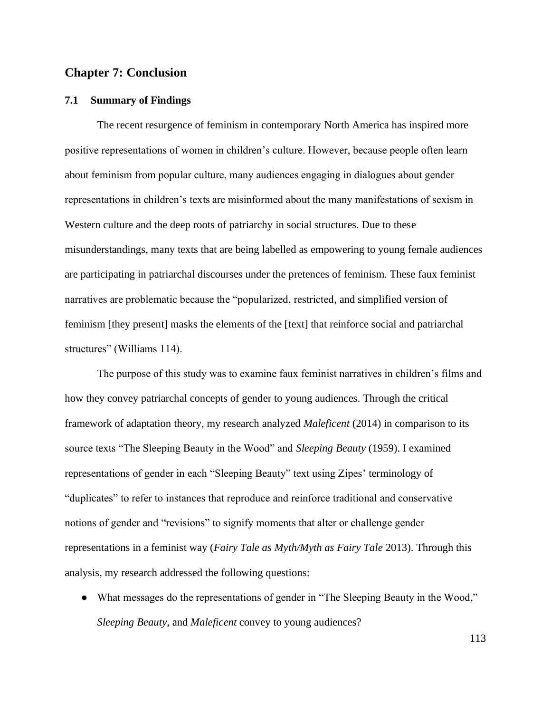# **Chapter 7: Conclusion**

## **7.1 Summary of Findings**

The recent resurgence of feminism in contemporary North America has inspired more positive representations of women in children's culture. However, because people often learn about feminism from popular culture, many audiences engaging in dialogues about gender representations in children's texts are misinformed about the many manifestations of sexism in Western culture and the deep roots of patriarchy in social structures. Due to these misunderstandings, many texts that are being labelled as empowering to young female audiences are participating in patriarchal discourses under the pretences of feminism. These faux feminist narratives are problematic because the "popularized, restricted, and simplified version of feminism [they present] masks the elements of the [text] that reinforce social and patriarchal structures" (Williams 114).

The purpose of this study was to examine faux feminist narratives in children's films and how they convey patriarchal concepts of gender to young audiences. Through the critical framework of adaptation theory, my research analyzed *Maleficent* (2014) in comparison to its source texts "The Sleeping Beauty in the Wood" and *Sleeping Beauty* (1959). I examined representations of gender in each "Sleeping Beauty" text using Zipes' terminology of "duplicates" to refer to instances that reproduce and reinforce traditional and conservative notions of gender and "revisions" to signify moments that alter or challenge gender representations in a feminist way (*Fairy Tale as Myth/Myth as Fairy Tale* 2013). Through this analysis, my research addressed the following questions:

• What messages do the representations of gender in "The Sleeping Beauty in the Wood," *Sleeping Beauty,* and *Maleficent* convey to young audiences?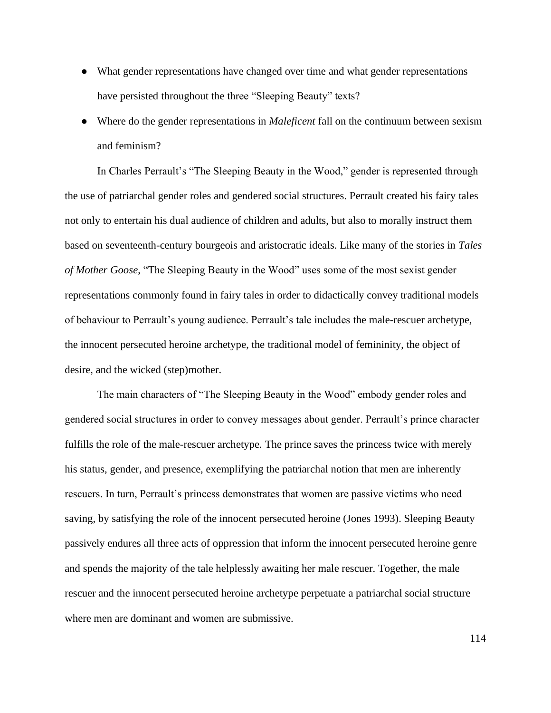- What gender representations have changed over time and what gender representations have persisted throughout the three "Sleeping Beauty" texts?
- Where do the gender representations in *Maleficent* fall on the continuum between sexism and feminism?

In Charles Perrault's "The Sleeping Beauty in the Wood," gender is represented through the use of patriarchal gender roles and gendered social structures. Perrault created his fairy tales not only to entertain his dual audience of children and adults, but also to morally instruct them based on seventeenth-century bourgeois and aristocratic ideals. Like many of the stories in *Tales of Mother Goose*, "The Sleeping Beauty in the Wood" uses some of the most sexist gender representations commonly found in fairy tales in order to didactically convey traditional models of behaviour to Perrault's young audience. Perrault's tale includes the male-rescuer archetype, the innocent persecuted heroine archetype, the traditional model of femininity, the object of desire, and the wicked (step)mother.

The main characters of "The Sleeping Beauty in the Wood" embody gender roles and gendered social structures in order to convey messages about gender. Perrault's prince character fulfills the role of the male-rescuer archetype. The prince saves the princess twice with merely his status, gender, and presence, exemplifying the patriarchal notion that men are inherently rescuers. In turn, Perrault's princess demonstrates that women are passive victims who need saving, by satisfying the role of the innocent persecuted heroine (Jones 1993). Sleeping Beauty passively endures all three acts of oppression that inform the innocent persecuted heroine genre and spends the majority of the tale helplessly awaiting her male rescuer. Together, the male rescuer and the innocent persecuted heroine archetype perpetuate a patriarchal social structure where men are dominant and women are submissive.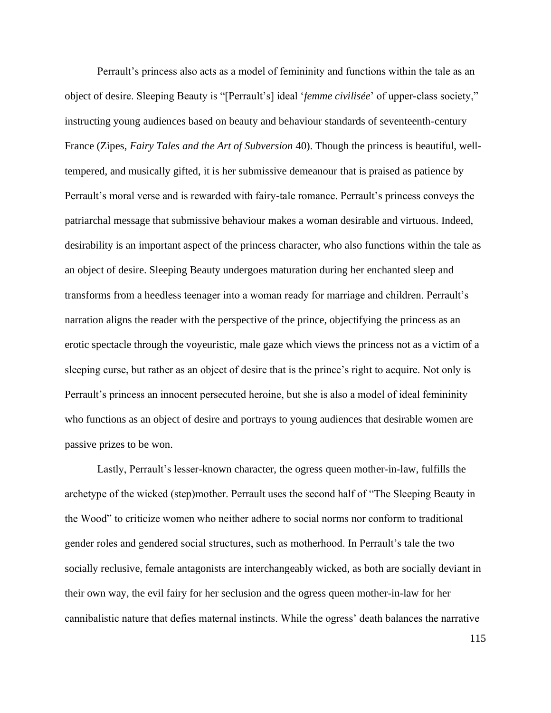Perrault's princess also acts as a model of femininity and functions within the tale as an object of desire. Sleeping Beauty is "[Perrault's] ideal '*femme civilisée*' of upper-class society," instructing young audiences based on beauty and behaviour standards of seventeenth-century France (Zipes, *Fairy Tales and the Art of Subversion* 40). Though the princess is beautiful, welltempered, and musically gifted, it is her submissive demeanour that is praised as patience by Perrault's moral verse and is rewarded with fairy-tale romance. Perrault's princess conveys the patriarchal message that submissive behaviour makes a woman desirable and virtuous. Indeed, desirability is an important aspect of the princess character, who also functions within the tale as an object of desire. Sleeping Beauty undergoes maturation during her enchanted sleep and transforms from a heedless teenager into a woman ready for marriage and children. Perrault's narration aligns the reader with the perspective of the prince, objectifying the princess as an erotic spectacle through the voyeuristic, male gaze which views the princess not as a victim of a sleeping curse, but rather as an object of desire that is the prince's right to acquire. Not only is Perrault's princess an innocent persecuted heroine, but she is also a model of ideal femininity who functions as an object of desire and portrays to young audiences that desirable women are passive prizes to be won.

Lastly, Perrault's lesser-known character, the ogress queen mother-in-law, fulfills the archetype of the wicked (step)mother. Perrault uses the second half of "The Sleeping Beauty in the Wood" to criticize women who neither adhere to social norms nor conform to traditional gender roles and gendered social structures, such as motherhood. In Perrault's tale the two socially reclusive, female antagonists are interchangeably wicked, as both are socially deviant in their own way, the evil fairy for her seclusion and the ogress queen mother-in-law for her cannibalistic nature that defies maternal instincts. While the ogress' death balances the narrative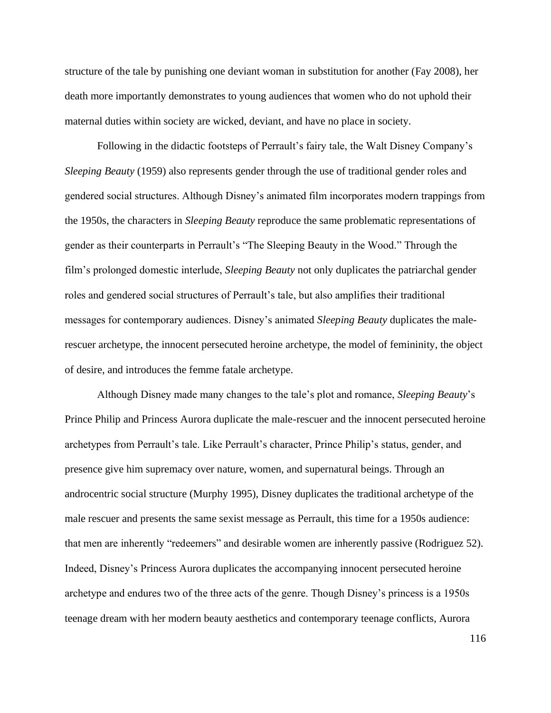structure of the tale by punishing one deviant woman in substitution for another (Fay 2008), her death more importantly demonstrates to young audiences that women who do not uphold their maternal duties within society are wicked, deviant, and have no place in society.

Following in the didactic footsteps of Perrault's fairy tale, the Walt Disney Company's *Sleeping Beauty* (1959) also represents gender through the use of traditional gender roles and gendered social structures. Although Disney's animated film incorporates modern trappings from the 1950s, the characters in *Sleeping Beauty* reproduce the same problematic representations of gender as their counterparts in Perrault's "The Sleeping Beauty in the Wood." Through the film's prolonged domestic interlude, *Sleeping Beauty* not only duplicates the patriarchal gender roles and gendered social structures of Perrault's tale, but also amplifies their traditional messages for contemporary audiences. Disney's animated *Sleeping Beauty* duplicates the malerescuer archetype, the innocent persecuted heroine archetype, the model of femininity, the object of desire, and introduces the femme fatale archetype.

Although Disney made many changes to the tale's plot and romance, *Sleeping Beauty*'s Prince Philip and Princess Aurora duplicate the male-rescuer and the innocent persecuted heroine archetypes from Perrault's tale. Like Perrault's character, Prince Philip's status, gender, and presence give him supremacy over nature, women, and supernatural beings. Through an androcentric social structure (Murphy 1995), Disney duplicates the traditional archetype of the male rescuer and presents the same sexist message as Perrault, this time for a 1950s audience: that men are inherently "redeemers" and desirable women are inherently passive (Rodriguez 52). Indeed, Disney's Princess Aurora duplicates the accompanying innocent persecuted heroine archetype and endures two of the three acts of the genre. Though Disney's princess is a 1950s teenage dream with her modern beauty aesthetics and contemporary teenage conflicts, Aurora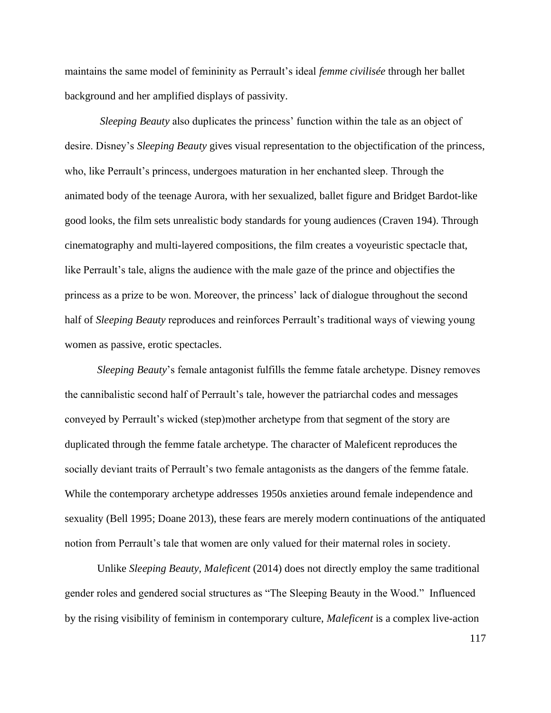maintains the same model of femininity as Perrault's ideal *femme civilisée* through her ballet background and her amplified displays of passivity.

*Sleeping Beauty* also duplicates the princess' function within the tale as an object of desire. Disney's *Sleeping Beauty* gives visual representation to the objectification of the princess, who, like Perrault's princess, undergoes maturation in her enchanted sleep. Through the animated body of the teenage Aurora, with her sexualized, ballet figure and Bridget Bardot-like good looks, the film sets unrealistic body standards for young audiences (Craven 194). Through cinematography and multi-layered compositions, the film creates a voyeuristic spectacle that, like Perrault's tale, aligns the audience with the male gaze of the prince and objectifies the princess as a prize to be won. Moreover, the princess' lack of dialogue throughout the second half of *Sleeping Beauty* reproduces and reinforces Perrault's traditional ways of viewing young women as passive, erotic spectacles.

*Sleeping Beauty*'s female antagonist fulfills the femme fatale archetype. Disney removes the cannibalistic second half of Perrault's tale, however the patriarchal codes and messages conveyed by Perrault's wicked (step)mother archetype from that segment of the story are duplicated through the femme fatale archetype. The character of Maleficent reproduces the socially deviant traits of Perrault's two female antagonists as the dangers of the femme fatale. While the contemporary archetype addresses 1950s anxieties around female independence and sexuality (Bell 1995; Doane 2013), these fears are merely modern continuations of the antiquated notion from Perrault's tale that women are only valued for their maternal roles in society.

Unlike *Sleeping Beauty, Maleficent* (2014) does not directly employ the same traditional gender roles and gendered social structures as "The Sleeping Beauty in the Wood." Influenced by the rising visibility of feminism in contemporary culture, *Maleficent* is a complex live-action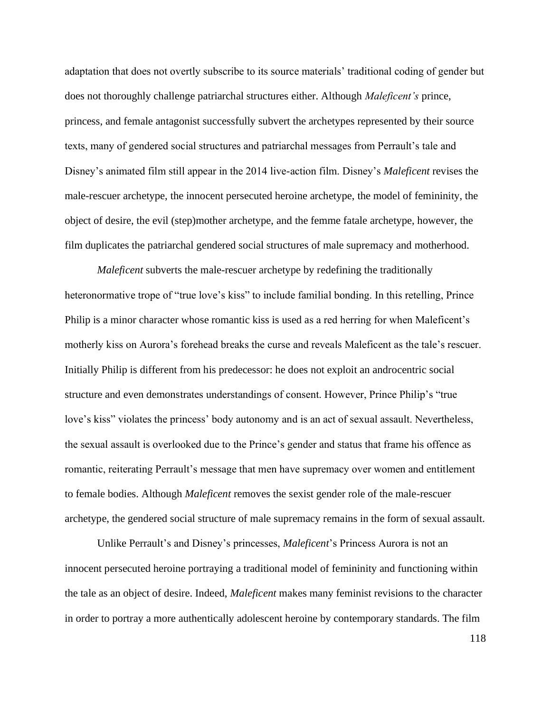adaptation that does not overtly subscribe to its source materials' traditional coding of gender but does not thoroughly challenge patriarchal structures either. Although *Maleficent's* prince, princess, and female antagonist successfully subvert the archetypes represented by their source texts, many of gendered social structures and patriarchal messages from Perrault's tale and Disney's animated film still appear in the 2014 live-action film. Disney's *Maleficent* revises the male-rescuer archetype, the innocent persecuted heroine archetype, the model of femininity, the object of desire, the evil (step)mother archetype, and the femme fatale archetype, however, the film duplicates the patriarchal gendered social structures of male supremacy and motherhood.

*Maleficent* subverts the male-rescuer archetype by redefining the traditionally heteronormative trope of "true love's kiss" to include familial bonding. In this retelling, Prince Philip is a minor character whose romantic kiss is used as a red herring for when Maleficent's motherly kiss on Aurora's forehead breaks the curse and reveals Maleficent as the tale's rescuer. Initially Philip is different from his predecessor: he does not exploit an androcentric social structure and even demonstrates understandings of consent. However, Prince Philip's "true love's kiss" violates the princess' body autonomy and is an act of sexual assault. Nevertheless, the sexual assault is overlooked due to the Prince's gender and status that frame his offence as romantic, reiterating Perrault's message that men have supremacy over women and entitlement to female bodies. Although *Maleficent* removes the sexist gender role of the male-rescuer archetype, the gendered social structure of male supremacy remains in the form of sexual assault.

Unlike Perrault's and Disney's princesses, *Maleficent*'s Princess Aurora is not an innocent persecuted heroine portraying a traditional model of femininity and functioning within the tale as an object of desire. Indeed, *Maleficent* makes many feminist revisions to the character in order to portray a more authentically adolescent heroine by contemporary standards. The film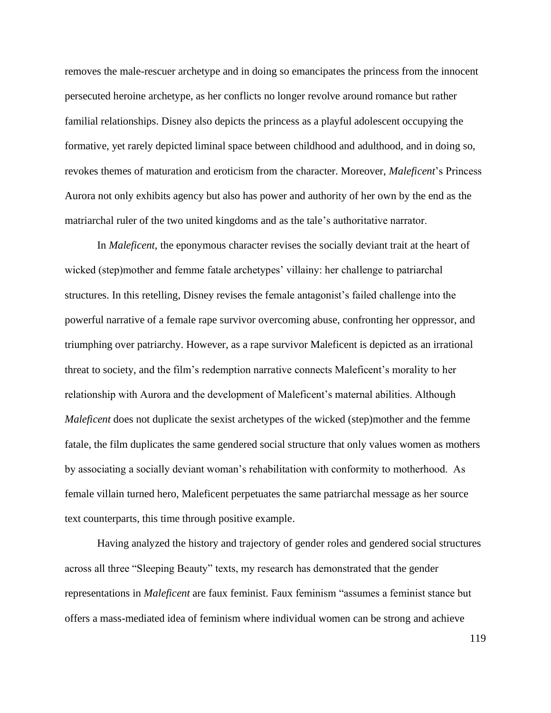removes the male-rescuer archetype and in doing so emancipates the princess from the innocent persecuted heroine archetype, as her conflicts no longer revolve around romance but rather familial relationships. Disney also depicts the princess as a playful adolescent occupying the formative, yet rarely depicted liminal space between childhood and adulthood, and in doing so, revokes themes of maturation and eroticism from the character. Moreover, *Maleficent*'s Princess Aurora not only exhibits agency but also has power and authority of her own by the end as the matriarchal ruler of the two united kingdoms and as the tale's authoritative narrator.

In *Maleficent,* the eponymous character revises the socially deviant trait at the heart of wicked (step)mother and femme fatale archetypes' villainy: her challenge to patriarchal structures. In this retelling, Disney revises the female antagonist's failed challenge into the powerful narrative of a female rape survivor overcoming abuse, confronting her oppressor, and triumphing over patriarchy. However, as a rape survivor Maleficent is depicted as an irrational threat to society, and the film's redemption narrative connects Maleficent's morality to her relationship with Aurora and the development of Maleficent's maternal abilities. Although *Maleficent* does not duplicate the sexist archetypes of the wicked (step)mother and the femme fatale, the film duplicates the same gendered social structure that only values women as mothers by associating a socially deviant woman's rehabilitation with conformity to motherhood. As female villain turned hero, Maleficent perpetuates the same patriarchal message as her source text counterparts, this time through positive example.

Having analyzed the history and trajectory of gender roles and gendered social structures across all three "Sleeping Beauty" texts, my research has demonstrated that the gender representations in *Maleficent* are faux feminist. Faux feminism "assumes a feminist stance but offers a mass-mediated idea of feminism where individual women can be strong and achieve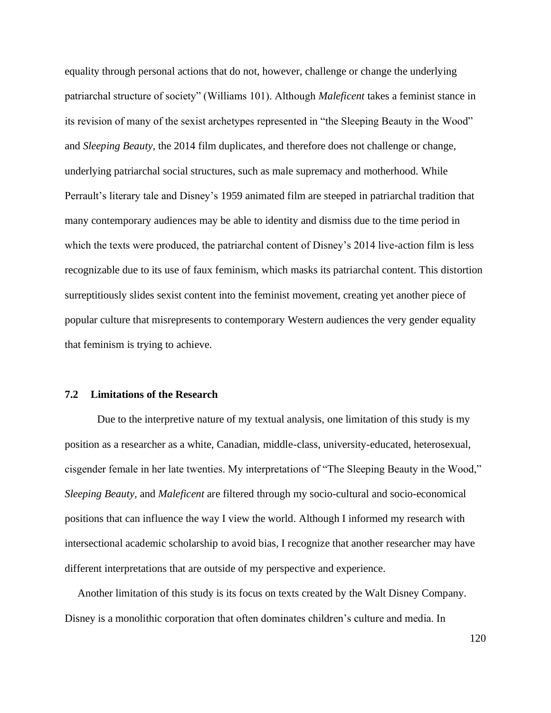equality through personal actions that do not, however, challenge or change the underlying patriarchal structure of society" (Williams 101). Although *Maleficent* takes a feminist stance in its revision of many of the sexist archetypes represented in "the Sleeping Beauty in the Wood" and *Sleeping Beauty*, the 2014 film duplicates, and therefore does not challenge or change, underlying patriarchal social structures, such as male supremacy and motherhood. While Perrault's literary tale and Disney's 1959 animated film are steeped in patriarchal tradition that many contemporary audiences may be able to identity and dismiss due to the time period in which the texts were produced, the patriarchal content of Disney's 2014 live-action film is less recognizable due to its use of faux feminism, which masks its patriarchal content. This distortion surreptitiously slides sexist content into the feminist movement, creating yet another piece of popular culture that misrepresents to contemporary Western audiences the very gender equality that feminism is trying to achieve.

#### **7.2 Limitations of the Research**

Due to the interpretive nature of my textual analysis, one limitation of this study is my position as a researcher as a white, Canadian, middle-class, university-educated, heterosexual, cisgender female in her late twenties. My interpretations of "The Sleeping Beauty in the Wood," *Sleeping Beauty,* and *Maleficent* are filtered through my socio-cultural and socio-economical positions that can influence the way I view the world. Although I informed my research with intersectional academic scholarship to avoid bias, I recognize that another researcher may have different interpretations that are outside of my perspective and experience.

Another limitation of this study is its focus on texts created by the Walt Disney Company. Disney is a monolithic corporation that often dominates children's culture and media. In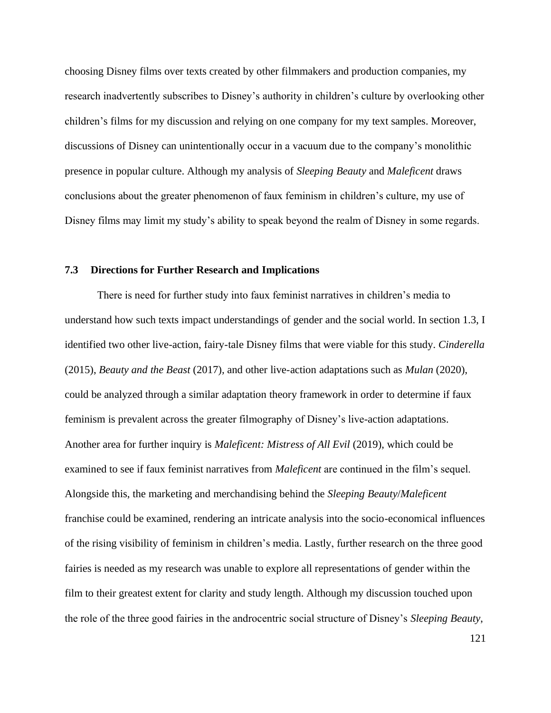choosing Disney films over texts created by other filmmakers and production companies, my research inadvertently subscribes to Disney's authority in children's culture by overlooking other children's films for my discussion and relying on one company for my text samples. Moreover, discussions of Disney can unintentionally occur in a vacuum due to the company's monolithic presence in popular culture. Although my analysis of *Sleeping Beauty* and *Maleficent* draws conclusions about the greater phenomenon of faux feminism in children's culture, my use of Disney films may limit my study's ability to speak beyond the realm of Disney in some regards.

### **7.3 Directions for Further Research and Implications**

There is need for further study into faux feminist narratives in children's media to understand how such texts impact understandings of gender and the social world. In section 1.3, I identified two other live-action, fairy-tale Disney films that were viable for this study. *Cinderella*  (2015), *Beauty and the Beast* (2017)*,* and other live-action adaptations such as *Mulan* (2020), could be analyzed through a similar adaptation theory framework in order to determine if faux feminism is prevalent across the greater filmography of Disney's live-action adaptations. Another area for further inquiry is *Maleficent: Mistress of All Evil* (2019), which could be examined to see if faux feminist narratives from *Maleficent* are continued in the film's sequel. Alongside this, the marketing and merchandising behind the *Sleeping Beauty*/*Maleficent*  franchise could be examined, rendering an intricate analysis into the socio-economical influences of the rising visibility of feminism in children's media. Lastly, further research on the three good fairies is needed as my research was unable to explore all representations of gender within the film to their greatest extent for clarity and study length. Although my discussion touched upon the role of the three good fairies in the androcentric social structure of Disney's *Sleeping Beauty*,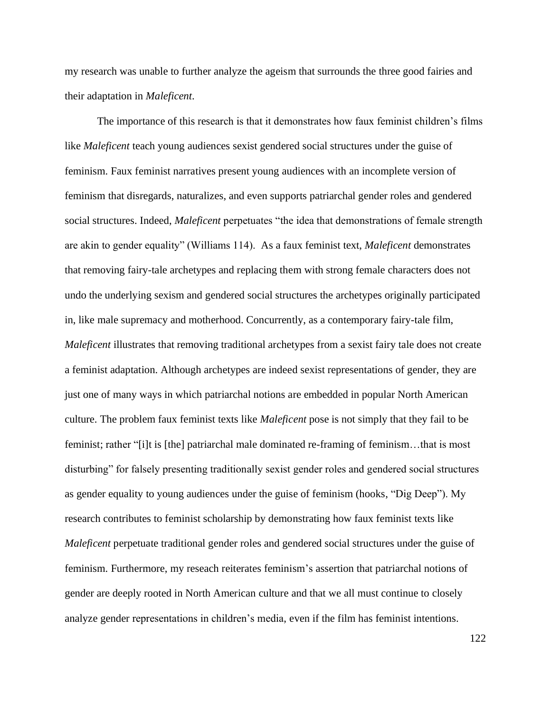my research was unable to further analyze the ageism that surrounds the three good fairies and their adaptation in *Maleficent*.

The importance of this research is that it demonstrates how faux feminist children's films like *Maleficent* teach young audiences sexist gendered social structures under the guise of feminism. Faux feminist narratives present young audiences with an incomplete version of feminism that disregards, naturalizes, and even supports patriarchal gender roles and gendered social structures. Indeed, *Maleficent* perpetuates "the idea that demonstrations of female strength are akin to gender equality" (Williams 114). As a faux feminist text, *Maleficent* demonstrates that removing fairy-tale archetypes and replacing them with strong female characters does not undo the underlying sexism and gendered social structures the archetypes originally participated in, like male supremacy and motherhood. Concurrently, as a contemporary fairy-tale film, *Maleficent* illustrates that removing traditional archetypes from a sexist fairy tale does not create a feminist adaptation. Although archetypes are indeed sexist representations of gender, they are just one of many ways in which patriarchal notions are embedded in popular North American culture. The problem faux feminist texts like *Maleficent* pose is not simply that they fail to be feminist; rather "[i]t is [the] patriarchal male dominated re-framing of feminism…that is most disturbing" for falsely presenting traditionally sexist gender roles and gendered social structures as gender equality to young audiences under the guise of feminism (hooks, "Dig Deep"). My research contributes to feminist scholarship by demonstrating how faux feminist texts like *Maleficent* perpetuate traditional gender roles and gendered social structures under the guise of feminism. Furthermore, my reseach reiterates feminism's assertion that patriarchal notions of gender are deeply rooted in North American culture and that we all must continue to closely analyze gender representations in children's media, even if the film has feminist intentions.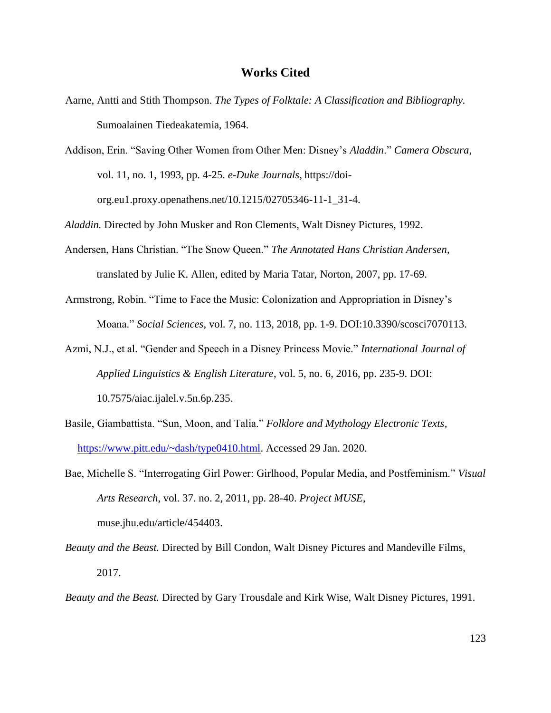# **Works Cited**

- Aarne, Antti and Stith Thompson. *The Types of Folktale: A Classification and Bibliography.* Sumoalainen Tiedeakatemia, 1964.
- Addison, Erin. "Saving Other Women from Other Men: Disney's *Aladdin*." *Camera Obscura*, vol. 11, no. 1, 1993, pp. 4-25. *e-Duke Journals*, https://doiorg.eu1.proxy.openathens.net/10.1215/02705346-11-1\_31-4.

*Aladdin.* Directed by John Musker and Ron Clements, Walt Disney Pictures, 1992.

- Andersen, Hans Christian. "The Snow Queen." *The Annotated Hans Christian Andersen,* translated by Julie K. Allen, edited by Maria Tatar, Norton, 2007, pp. 17-69.
- Armstrong, Robin. "Time to Face the Music: Colonization and Appropriation in Disney's Moana." *Social Sciences*, vol. 7, no. 113, 2018, pp. 1-9. DOI:10.3390/scosci7070113.
- Azmi, N.J., et al. "Gender and Speech in a Disney Princess Movie." *International Journal of Applied Linguistics & English Literature*, vol. 5, no. 6, 2016, pp. 235-9. DOI: 10.7575/aiac.ijalel.v.5n.6p.235.
- Basile, Giambattista. "Sun, Moon, and Talia." *Folklore and Mythology Electronic Texts,* [https://www.pitt.edu/~dash/type0410.html.](https://www.pitt.edu/~dash/type0410.html) Accessed 29 Jan. 2020.
- Bae, Michelle S. "Interrogating Girl Power: Girlhood, Popular Media, and Postfeminism." *Visual Arts Research*, vol. 37. no. 2, 2011, pp. 28-40. *Project MUSE*, muse.jhu.edu/article/454403.
- *Beauty and the Beast.* Directed by Bill Condon, Walt Disney Pictures and Mandeville Films, 2017.

*Beauty and the Beast.* Directed by Gary Trousdale and Kirk Wise, Walt Disney Pictures, 1991.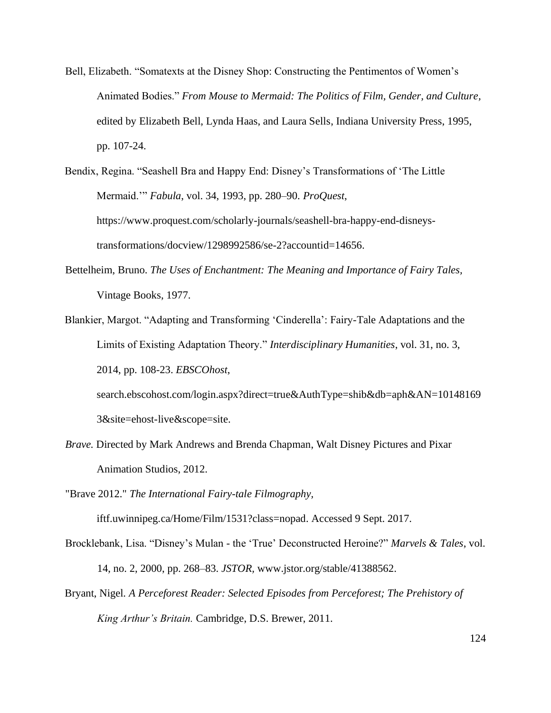- Bell, Elizabeth. "Somatexts at the Disney Shop: Constructing the Pentimentos of Women's Animated Bodies." *From Mouse to Mermaid: The Politics of Film, Gender, and Culture,* edited by Elizabeth Bell, Lynda Haas, and Laura Sells, Indiana University Press, 1995, pp. 107-24.
- Bendix, Regina. "Seashell Bra and Happy End: Disney's Transformations of 'The Little Mermaid.'" *Fabula*, vol. 34, 1993, pp. 280–90. *ProQuest*, https://www.proquest.com/scholarly-journals/seashell-bra-happy-end-disneystransformations/docview/1298992586/se-2?accountid=14656.
- Bettelheim, Bruno. *The Uses of Enchantment: The Meaning and Importance of Fairy Tales,*  Vintage Books, 1977.
- Blankier, Margot. "Adapting and Transforming 'Cinderella': Fairy-Tale Adaptations and the Limits of Existing Adaptation Theory." *Interdisciplinary Humanities*, vol. 31, no. 3, 2014, pp. 108-23. *EBSCOhost*,

search.ebscohost.com/login.aspx?direct=true&AuthType=shib&db=aph&AN=10148169 3&site=ehost-live&scope=site.

- *Brave.* Directed by Mark Andrews and Brenda Chapman, Walt Disney Pictures and Pixar Animation Studios, 2012.
- "Brave 2012." *The International Fairy-tale Filmography,*

iftf.uwinnipeg.ca/Home/Film/1531?class=nopad. Accessed 9 Sept. 2017.

- Brocklebank, Lisa. "Disney's Mulan the 'True' Deconstructed Heroine?" *Marvels & Tales*, vol. 14, no. 2, 2000, pp. 268–83. *JSTOR,* www.jstor.org/stable/41388562.
- Bryant, Nigel. *A Perceforest Reader: Selected Episodes from Perceforest; The Prehistory of King Arthur's Britain.* Cambridge, D.S. Brewer, 2011.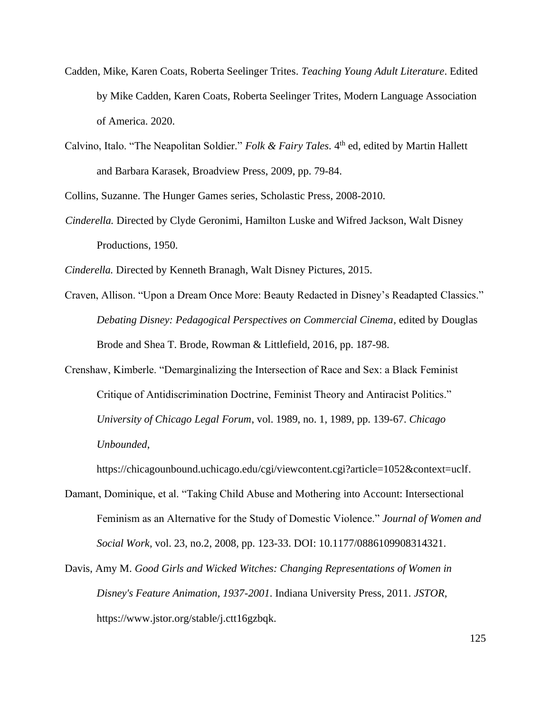- Cadden, Mike, Karen Coats, Roberta Seelinger Trites. *Teaching Young Adult Literature*. Edited by Mike Cadden, Karen Coats, Roberta Seelinger Trites, Modern Language Association of America. 2020.
- Calvino, Italo. "The Neapolitan Soldier." Folk & Fairy Tales. 4<sup>th</sup> ed, edited by Martin Hallett and Barbara Karasek, Broadview Press, 2009, pp. 79-84.

Collins, Suzanne. The Hunger Games series, Scholastic Press, 2008-2010.

*Cinderella.* Directed by Clyde Geronimi, Hamilton Luske and Wifred Jackson, Walt Disney Productions, 1950.

*Cinderella.* Directed by Kenneth Branagh, Walt Disney Pictures, 2015.

Craven, Allison. "Upon a Dream Once More: Beauty Redacted in Disney's Readapted Classics." *Debating Disney: Pedagogical Perspectives on Commercial Cinema,* edited by Douglas Brode and Shea T. Brode, Rowman & Littlefield, 2016, pp. 187-98.

Crenshaw, Kimberle. "Demarginalizing the Intersection of Race and Sex: a Black Feminist Critique of Antidiscrimination Doctrine, Feminist Theory and Antiracist Politics." *University of Chicago Legal Forum*, vol. 1989, no. 1, 1989, pp. 139-67. *Chicago Unbounded*,

https://chicagounbound.uchicago.edu/cgi/viewcontent.cgi?article=1052&context=uclf.

- Damant, Dominique, et al. "Taking Child Abuse and Mothering into Account: Intersectional Feminism as an Alternative for the Study of Domestic Violence." *Journal of Women and Social Work,* vol. 23, no.2, 2008, pp. 123-33. DOI: 10.1177/0886109908314321.
- Davis, Amy M. *Good Girls and Wicked Witches: Changing Representations of Women in Disney's Feature Animation, 1937-2001*. Indiana University Press, 2011. *JSTOR,*  https://www.jstor.org/stable/j.ctt16gzbqk.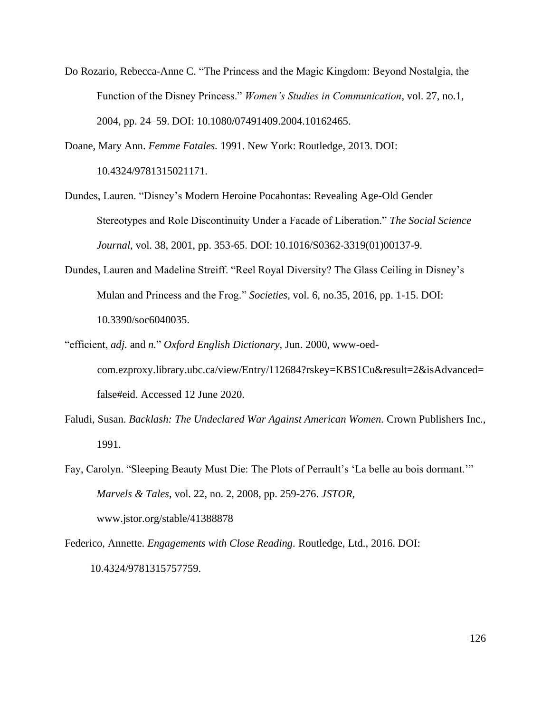- Do Rozario, Rebecca-Anne C. "The Princess and the Magic Kingdom: Beyond Nostalgia, the Function of the Disney Princess." *Women's Studies in Communication*, vol. 27, no.1, 2004, pp. 24–59. DOI: 10.1080/07491409.2004.10162465.
- Doane, Mary Ann. *Femme Fatales.* 1991. New York: Routledge, 2013. DOI: 10.4324/9781315021171.
- Dundes, Lauren. "Disney's Modern Heroine Pocahontas: Revealing Age-Old Gender Stereotypes and Role Discontinuity Under a Facade of Liberation." *The Social Science Journal*, vol. 38, 2001, pp. 353-65. DOI: 10.1016/S0362-3319(01)00137-9.
- Dundes, Lauren and Madeline Streiff. "Reel Royal Diversity? The Glass Ceiling in Disney's Mulan and Princess and the Frog." *Societies*, vol. 6, no.35, 2016, pp. 1-15. DOI: 10.3390/soc6040035.
- "efficient, *adj.* and *n.*" *Oxford English Dictionary,* Jun. 2000, www-oedcom.ezproxy.library.ubc.ca/view/Entry/112684?rskey=KBS1Cu&result=2&isAdvanced= false#eid. Accessed 12 June 2020.
- Faludi, Susan. *Backlash: The Undeclared War Against American Women.* Crown Publishers Inc., 1991.
- Fay, Carolyn. "Sleeping Beauty Must Die: The Plots of Perrault's 'La belle au bois dormant.'" *Marvels & Tales*, vol. 22, no. 2, 2008, pp. 259-276. *JSTOR,* www.jstor.org/stable/41388878
- Federico, Annette. *Engagements with Close Reading.* Routledge, Ltd., 2016. DOI: 10.4324/9781315757759.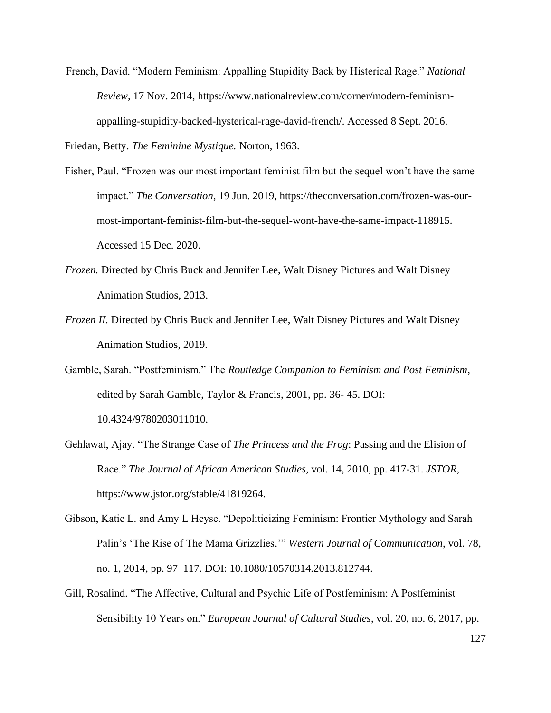French, David. "Modern Feminism: Appalling Stupidity Back by Histerical Rage." *National Review,* 17 Nov. 2014, https://www.nationalreview.com/corner/modern-feminismappalling-stupidity-backed-hysterical-rage-david-french/. Accessed 8 Sept. 2016.

Friedan, Betty. *The Feminine Mystique.* Norton, 1963.

- Fisher, Paul. "Frozen was our most important feminist film but the sequel won't have the same impact." *The Conversation*, 19 Jun. 2019, https://theconversation.com/frozen-was-ourmost-important-feminist-film-but-the-sequel-wont-have-the-same-impact-118915. Accessed 15 Dec. 2020.
- *Frozen.* Directed by Chris Buck and Jennifer Lee, Walt Disney Pictures and Walt Disney Animation Studios, 2013.
- *Frozen II.* Directed by Chris Buck and Jennifer Lee, Walt Disney Pictures and Walt Disney Animation Studios, 2019.
- Gamble, Sarah. "Postfeminism." The *Routledge Companion to Feminism and Post Feminism*, edited by Sarah Gamble, Taylor & Francis, 2001, pp. 36- 45. DOI: 10.4324/9780203011010.
- Gehlawat, Ajay. "The Strange Case of *The Princess and the Frog*: Passing and the Elision of Race." *The Journal of African American Studies*, vol. 14, 2010, pp. 417-31. *JSTOR,*  https://www.jstor.org/stable/41819264.
- Gibson, Katie L. and Amy L Heyse. "Depoliticizing Feminism: Frontier Mythology and Sarah Palin's 'The Rise of The Mama Grizzlies.'" *Western Journal of Communication*, vol. 78, no. 1, 2014, pp. 97–117. DOI: 10.1080/10570314.2013.812744.
- Gill, Rosalind. "The Affective, Cultural and Psychic Life of Postfeminism: A Postfeminist Sensibility 10 Years on." *European Journal of Cultural Studies*, vol. 20, no. 6, 2017, pp.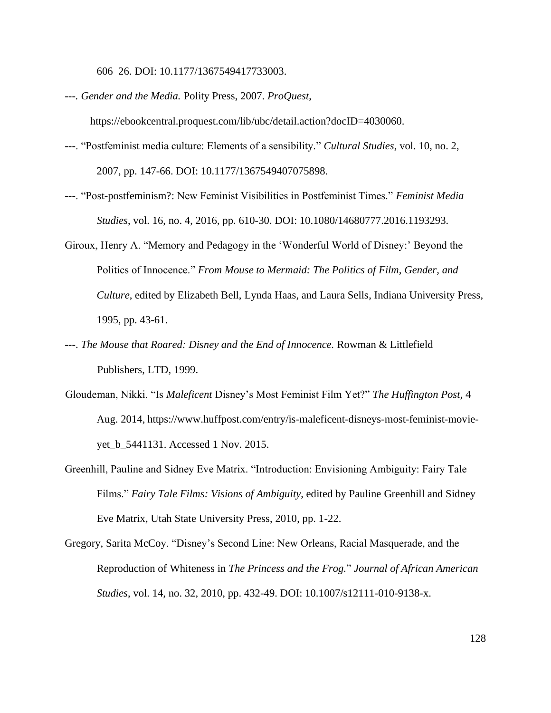606–26. DOI: 10.1177/1367549417733003.

*---. Gender and the Media.* Polity Press, 2007. *ProQuest*,

https://ebookcentral.proquest.com/lib/ubc/detail.action?docID=4030060.

- ---. "Postfeminist media culture: Elements of a sensibility." *Cultural Studies*, vol. 10, no. 2, 2007, pp. 147-66. DOI: 10.1177/1367549407075898.
- ---. "Post-postfeminism?: New Feminist Visibilities in Postfeminist Times." *Feminist Media Studies*, vol. 16, no. 4, 2016, pp. 610-30. DOI: 10.1080/14680777.2016.1193293.
- Giroux, Henry A. "Memory and Pedagogy in the 'Wonderful World of Disney:' Beyond the Politics of Innocence." *From Mouse to Mermaid: The Politics of Film, Gender, and Culture*, edited by Elizabeth Bell, Lynda Haas, and Laura Sells, Indiana University Press, 1995, pp. 43-61.
- ---. *The Mouse that Roared: Disney and the End of Innocence.* Rowman & Littlefield Publishers, LTD, 1999.
- Gloudeman, Nikki. "Is *Maleficent* Disney's Most Feminist Film Yet?" *The Huffington Post,* 4 Aug. 2014, https://www.huffpost.com/entry/is-maleficent-disneys-most-feminist-movieyet\_b\_5441131. Accessed 1 Nov. 2015.
- Greenhill, Pauline and Sidney Eve Matrix. "Introduction: Envisioning Ambiguity: Fairy Tale Films." *Fairy Tale Films: Visions of Ambiguity*, edited by Pauline Greenhill and Sidney Eve Matrix, Utah State University Press, 2010, pp. 1-22.
- Gregory, Sarita McCoy. "Disney's Second Line: New Orleans, Racial Masquerade, and the Reproduction of Whiteness in *The Princess and the Frog.*" *Journal of African American Studies*, vol. 14, no. 32, 2010, pp. 432-49. DOI: 10.1007/s12111-010-9138-x.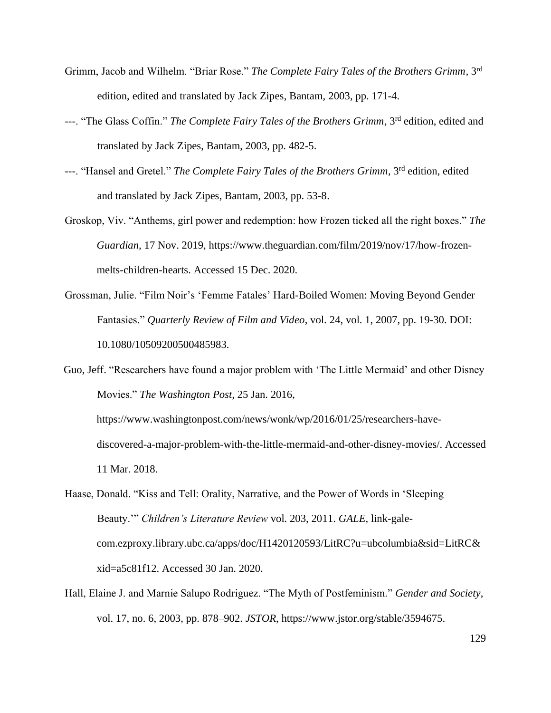- Grimm, Jacob and Wilhelm. "Briar Rose." The Complete Fairy Tales of the Brothers Grimm, 3<sup>rd</sup> edition, edited and translated by Jack Zipes, Bantam, 2003, pp. 171-4.
- ---. "The Glass Coffin." *The Complete Fairy Tales of the Brothers Grimm*, 3<sup>rd</sup> edition, edited and translated by Jack Zipes, Bantam, 2003, pp. 482-5.
- ---. "Hansel and Gretel." *The Complete Fairy Tales of the Brothers Grimm*, 3<sup>rd</sup> edition, edited and translated by Jack Zipes, Bantam, 2003, pp. 53-8.
- Groskop, Viv. "Anthems, girl power and redemption: how Frozen ticked all the right boxes." *The Guardian,* 17 Nov. 2019, https://www.theguardian.com/film/2019/nov/17/how-frozenmelts-children-hearts. Accessed 15 Dec. 2020.
- Grossman, Julie. "Film Noir's 'Femme Fatales' Hard-Boiled Women: Moving Beyond Gender Fantasies." *Quarterly Review of Film and Video*, vol. 24, vol. 1, 2007, pp. 19-30. DOI: 10.1080/10509200500485983.

Guo, Jeff. "Researchers have found a major problem with 'The Little Mermaid' and other Disney Movies." *The Washington Post,* 25 Jan. 2016, https://www.washingtonpost.com/news/wonk/wp/2016/01/25/researchers-havediscovered-a-major-problem-with-the-little-mermaid-and-other-disney-movies/. Accessed 11 Mar. 2018.

- Haase, Donald. "Kiss and Tell: Orality, Narrative, and the Power of Words in 'Sleeping Beauty.'" *Children's Literature Review* vol. 203, 2011. *GALE,* link-galecom.ezproxy.library.ubc.ca/apps/doc/H1420120593/LitRC?u=ubcolumbia&sid=LitRC& xid=a5c81f12. Accessed 30 Jan. 2020.
- Hall, Elaine J. and Marnie Salupo Rodriguez. "The Myth of Postfeminism." *Gender and Society*, vol. 17, no. 6, 2003, pp. 878–902. *JSTOR*, https://www.jstor.org/stable/3594675.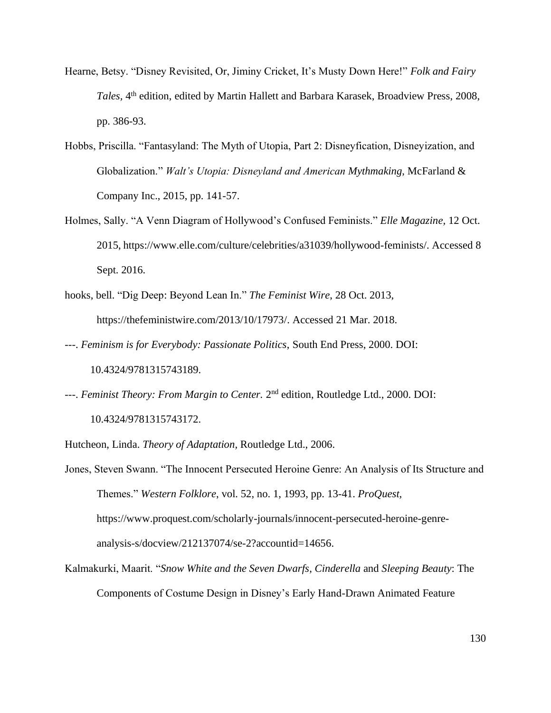- Hearne, Betsy. "Disney Revisited, Or, Jiminy Cricket, It's Musty Down Here!" *Folk and Fairy*  Tales, 4<sup>th</sup> edition, edited by Martin Hallett and Barbara Karasek, Broadview Press, 2008, pp. 386-93.
- Hobbs, Priscilla. "Fantasyland: The Myth of Utopia, Part 2: Disneyfication, Disneyization, and Globalization." *Walt's Utopia: Disneyland and American Mythmaking*, McFarland & Company Inc., 2015, pp. 141-57.
- Holmes, Sally. "A Venn Diagram of Hollywood's Confused Feminists." *Elle Magazine,* 12 Oct. 2015, https://www.elle.com/culture/celebrities/a31039/hollywood-feminists/. Accessed 8 Sept. 2016.
- hooks, bell. "Dig Deep: Beyond Lean In." *The Feminist Wire*, 28 Oct. 2013, https://thefeministwire.com/2013/10/17973/. Accessed 21 Mar. 2018.
- ---. *Feminism is for Everybody: Passionate Politics*, South End Press, 2000. DOI: 10.4324/9781315743189.
- ---. Feminist Theory: From Margin to Center. 2<sup>nd</sup> edition, Routledge Ltd., 2000. DOI: 10.4324/9781315743172.

Hutcheon, Linda. *Theory of Adaptation,* Routledge Ltd., 2006.

Jones, Steven Swann. "The Innocent Persecuted Heroine Genre: An Analysis of Its Structure and Themes." *Western Folklore*, vol. 52, no. 1, 1993, pp. 13-41. *ProQuest,*  https://www.proquest.com/scholarly-journals/innocent-persecuted-heroine-genreanalysis-s/docview/212137074/se-2?accountid=14656.

Kalmakurki, Maarit. "*Snow White and the Seven Dwarfs*, *Cinderella* and *Sleeping Beauty*: The Components of Costume Design in Disney's Early Hand-Drawn Animated Feature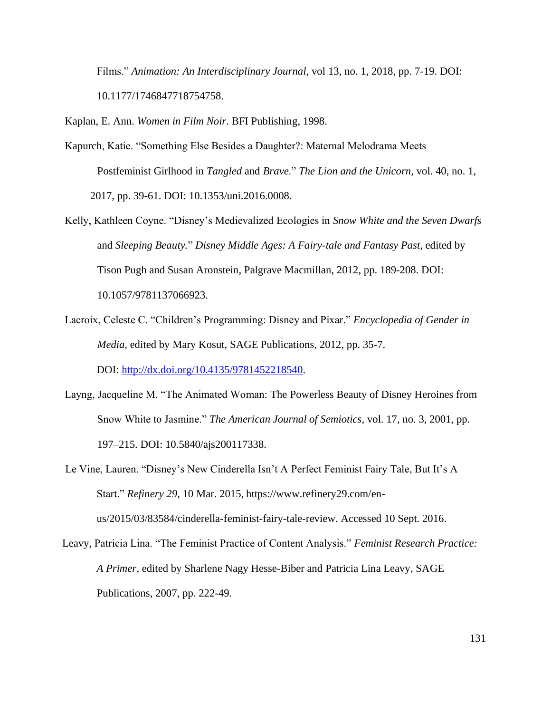Films." *Animation: An Interdisciplinary Journal*, vol 13, no. 1, 2018, pp. 7-19. DOI: 10.1177/1746847718754758.

Kaplan, E. Ann. *Women in Film Noir.* BFI Publishing, 1998.

- Kapurch, Katie. "Something Else Besides a Daughter?: Maternal Melodrama Meets Postfeminist Girlhood in *Tangled* and *Brave*." *The Lion and the Unicorn*, vol. 40, no. 1, 2017, pp. 39-61. DOI: 10.1353/uni.2016.0008.
- Kelly, Kathleen Coyne. "Disney's Medievalized Ecologies in *Snow White and the Seven Dwarfs*  and *Sleeping Beauty.*" *Disney Middle Ages: A Fairy-tale and Fantasy Past,* edited by Tison Pugh and Susan Aronstein, Palgrave Macmillan, 2012, pp. 189-208. DOI: 10.1057/9781137066923.
- Lacroix, Celeste C. "Children's Programming: Disney and Pixar." *Encyclopedia of Gender in Media*, edited by Mary Kosut, SAGE Publications, 2012, pp. 35-7. DOI: [http://dx.doi.org/10.4135/9781452218540.](http://dx.doi.org/10.4135/9781452218540)
- Layng, Jacqueline M. "The Animated Woman: The Powerless Beauty of Disney Heroines from Snow White to Jasmine." *The American Journal of Semiotics*, vol. 17, no. 3, 2001, pp. 197–215. DOI: 10.5840/ajs200117338.

Le Vine, Lauren. "Disney's New Cinderella Isn't A Perfect Feminist Fairy Tale, But It's A Start." *Refinery 29*, 10 Mar. 2015, https://www.refinery29.com/enus/2015/03/83584/cinderella-feminist-fairy-tale-review. Accessed 10 Sept. 2016.

Leavy, Patricia Lina. "The Feminist Practice of Content Analysis." *Feminist Research Practice: A Primer*, edited by Sharlene Nagy Hesse-Biber and Patricia Lina Leavy, SAGE Publications, 2007, pp. 222-49*.*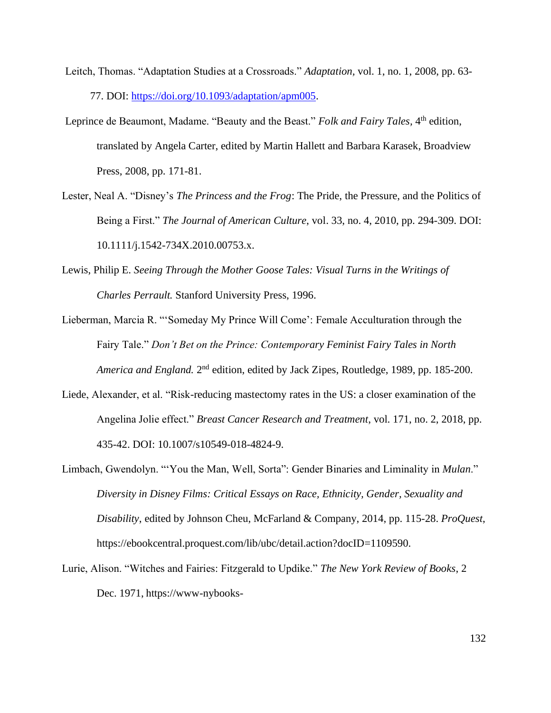- Leitch, Thomas. "Adaptation Studies at a Crossroads." *Adaptation,* vol. 1, no. 1, 2008, pp. 63- 77. DOI: [https://doi.org/10.1093/adaptation/apm005.](https://doi.org/10.1093/adaptation/apm005)
- Leprince de Beaumont, Madame. "Beauty and the Beast." Folk and Fairy Tales, 4<sup>th</sup> edition, translated by Angela Carter, edited by Martin Hallett and Barbara Karasek, Broadview Press, 2008, pp. 171-81.
- Lester, Neal A. "Disney's *The Princess and the Frog*: The Pride, the Pressure, and the Politics of Being a First." *The Journal of American Culture*, vol. 33, no. 4, 2010, pp. 294-309. DOI: 10.1111/j.1542-734X.2010.00753.x.
- Lewis, Philip E. *Seeing Through the Mother Goose Tales: Visual Turns in the Writings of Charles Perrault.* Stanford University Press, 1996.
- Lieberman, Marcia R. "'Someday My Prince Will Come': Female Acculturation through the Fairy Tale." *Don't Bet on the Prince: Contemporary Feminist Fairy Tales in North*  America and England. 2<sup>nd</sup> edition, edited by Jack Zipes, Routledge, 1989, pp. 185-200.
- Liede, Alexander, et al. "Risk-reducing mastectomy rates in the US: a closer examination of the Angelina Jolie effect." *Breast Cancer Research and Treatment*, vol. 171, no. 2, 2018, pp. 435-42. DOI: 10.1007/s10549-018-4824-9.
- Limbach, Gwendolyn. "'You the Man, Well, Sorta": Gender Binaries and Liminality in *Mulan*." *Diversity in Disney Films: Critical Essays on Race, Ethnicity, Gender, Sexuality and Disability*, edited by Johnson Cheu, McFarland & Company, 2014, pp. 115-28. *ProQuest*, https://ebookcentral.proquest.com/lib/ubc/detail.action?docID=1109590.
- Lurie, Alison. "Witches and Fairies: Fitzgerald to Updike." *The New York Review of Books*, 2 Dec. 1971, https://www-nybooks-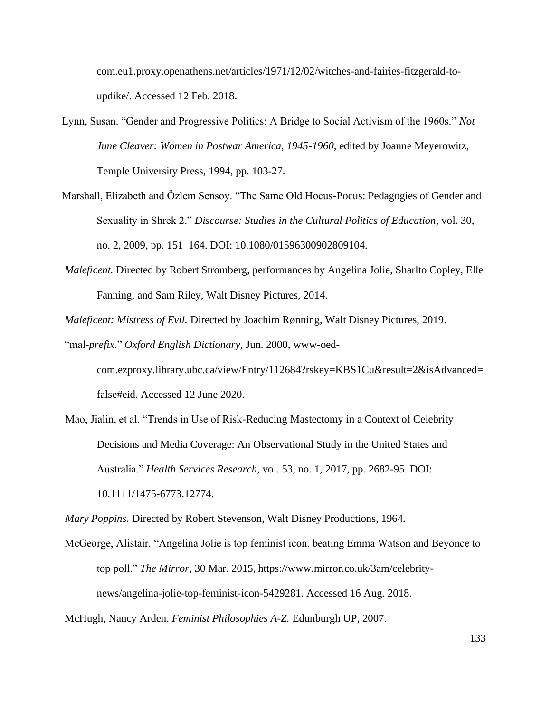com.eu1.proxy.openathens.net/articles/1971/12/02/witches-and-fairies-fitzgerald-toupdike/. Accessed 12 Feb. 2018.

- Lynn, Susan. "Gender and Progressive Politics: A Bridge to Social Activism of the 1960s." *Not June Cleaver: Women in Postwar America, 1945-1960,* edited by Joanne Meyerowitz, Temple University Press, 1994, pp. 103-27.
- Marshall, Elizabeth and Özlem Sensoy. "The Same Old Hocus-Pocus: Pedagogies of Gender and Sexuality in Shrek 2." *Discourse: Studies in the Cultural Politics of Education*, vol. 30, no. 2, 2009, pp. 151–164. DOI: 10.1080/01596300902809104.
- *Maleficent.* Directed by Robert Stromberg, performances by Angelina Jolie, Sharlto Copley, Elle Fanning, and Sam Riley, Walt Disney Pictures, 2014.
- *Maleficent: Mistress of Evil.* Directed by Joachim Rønning, Walt Disney Pictures, 2019.

"mal-*prefix*." *Oxford English Dictionary,* Jun. 2000, www-oed-

com.ezproxy.library.ubc.ca/view/Entry/112684?rskey=KBS1Cu&result=2&isAdvanced= false#eid. Accessed 12 June 2020.

Mao, Jialin, et al. "Trends in Use of Risk-Reducing Mastectomy in a Context of Celebrity Decisions and Media Coverage: An Observational Study in the United States and Australia." *Health Services Research*, vol. 53, no. 1, 2017, pp. 2682-95. DOI: 10.1111/1475-6773.12774.

*Mary Poppins.* Directed by Robert Stevenson, Walt Disney Productions, 1964.

McGeorge, Alistair. "Angelina Jolie is top feminist icon, beating Emma Watson and Beyonce to top poll." *The Mirror*, 30 Mar. 2015, https://www.mirror.co.uk/3am/celebritynews/angelina-jolie-top-feminist-icon-5429281. Accessed 16 Aug. 2018.

McHugh, Nancy Arden. *Feminist Philosophies A-Z.* Edunburgh UP, 2007.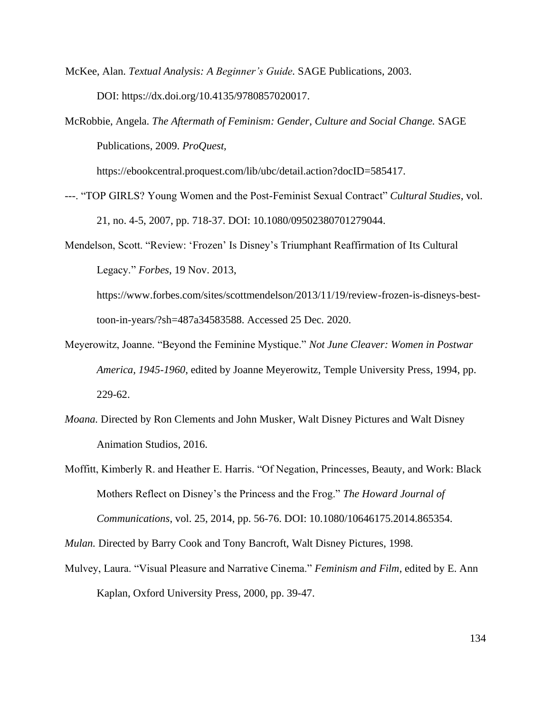- McKee, Alan. *Textual Analysis: A Beginner's Guide.* SAGE Publications, 2003. DOI: https://dx.doi.org/10.4135/9780857020017.
- McRobbie, Angela. *The Aftermath of Feminism: Gender, Culture and Social Change.* SAGE Publications, 2009. *ProQuest,*

https://ebookcentral.proquest.com/lib/ubc/detail.action?docID=585417.

- ---. "TOP GIRLS? Young Women and the Post-Feminist Sexual Contract" *Cultural Studies*, vol. 21, no. 4-5, 2007, pp. 718-37. DOI: 10.1080/09502380701279044.
- Mendelson, Scott. "Review: 'Frozen' Is Disney's Triumphant Reaffirmation of Its Cultural Legacy." *Forbes*, 19 Nov. 2013,

https://www.forbes.com/sites/scottmendelson/2013/11/19/review-frozen-is-disneys-besttoon-in-years/?sh=487a34583588. Accessed 25 Dec. 2020.

- Meyerowitz, Joanne. "Beyond the Feminine Mystique." *Not June Cleaver: Women in Postwar America, 1945-1960*, edited by Joanne Meyerowitz, Temple University Press, 1994, pp. 229-62.
- *Moana.* Directed by Ron Clements and John Musker, Walt Disney Pictures and Walt Disney Animation Studios, 2016.
- Moffitt, Kimberly R. and Heather E. Harris. "Of Negation, Princesses, Beauty, and Work: Black Mothers Reflect on Disney's the Princess and the Frog." *The Howard Journal of Communications*, vol. 25, 2014, pp. 56-76. DOI: 10.1080/10646175.2014.865354.

*Mulan.* Directed by Barry Cook and Tony Bancroft, Walt Disney Pictures, 1998.

Mulvey, Laura. "Visual Pleasure and Narrative Cinema." *Feminism and Film*, edited by E. Ann Kaplan, Oxford University Press, 2000, pp. 39-47.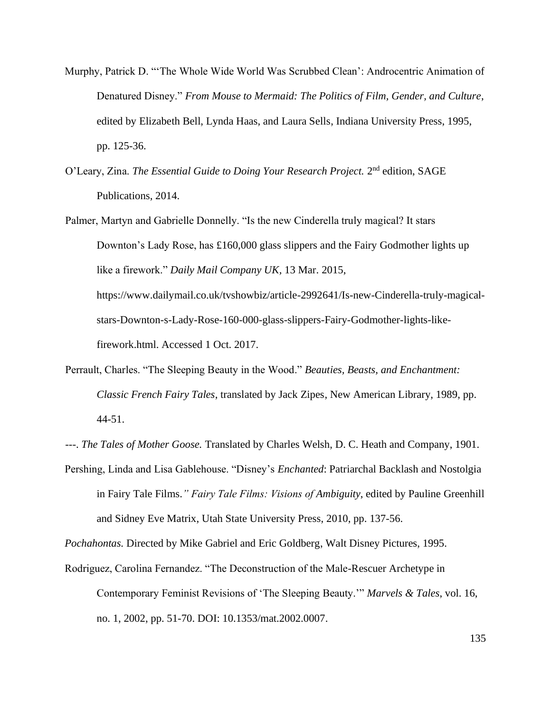- Murphy, Patrick D. "'The Whole Wide World Was Scrubbed Clean': Androcentric Animation of Denatured Disney." *From Mouse to Mermaid: The Politics of Film, Gender, and Culture*, edited by Elizabeth Bell, Lynda Haas, and Laura Sells, Indiana University Press, 1995, pp. 125-36.
- O'Leary, Zina. The Essential Guide to Doing Your Research Project. 2<sup>nd</sup> edition, SAGE Publications, 2014.

Palmer, Martyn and Gabrielle Donnelly. "Is the new Cinderella truly magical? It stars Downton's Lady Rose, has £160,000 glass slippers and the Fairy Godmother lights up like a firework." *Daily Mail Company UK,* 13 Mar. 2015, https://www.dailymail.co.uk/tvshowbiz/article-2992641/Is-new-Cinderella-truly-magicalstars-Downton-s-Lady-Rose-160-000-glass-slippers-Fairy-Godmother-lights-likefirework.html. Accessed 1 Oct. 2017.

- Perrault, Charles. "The Sleeping Beauty in the Wood." *Beauties, Beasts, and Enchantment: Classic French Fairy Tales*, translated by Jack Zipes, New American Library, 1989, pp. 44-51.
- ---. *The Tales of Mother Goose.* Translated by Charles Welsh, D. C. Heath and Company, 1901.
- Pershing, Linda and Lisa Gablehouse. "Disney's *Enchanted*: Patriarchal Backlash and Nostolgia in Fairy Tale Films.*" Fairy Tale Films: Visions of Ambiguity*, edited by Pauline Greenhill and Sidney Eve Matrix, Utah State University Press, 2010, pp. 137-56.

*Pochahontas.* Directed by Mike Gabriel and Eric Goldberg, Walt Disney Pictures, 1995.

Rodriguez, Carolina Fernandez. "The Deconstruction of the Male-Rescuer Archetype in Contemporary Feminist Revisions of 'The Sleeping Beauty.'" *Marvels & Tales*, vol. 16, no. 1, 2002, pp. 51-70. DOI: 10.1353/mat.2002.0007.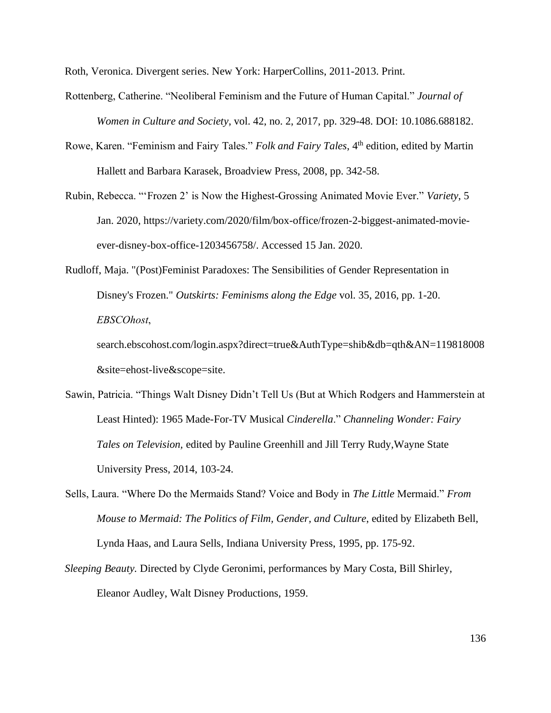Roth, Veronica. Divergent series. New York: HarperCollins, 2011-2013. Print.

- Rottenberg, Catherine. "Neoliberal Feminism and the Future of Human Capital." *Journal of Women in Culture and Society*, vol. 42, no. 2, 2017, pp. 329-48. DOI: 10.1086.688182.
- Rowe, Karen. "Feminism and Fairy Tales." *Folk and Fairy Tales*, 4<sup>th</sup> edition, edited by Martin Hallett and Barbara Karasek, Broadview Press, 2008, pp. 342-58.
- Rubin, Rebecca. "'Frozen 2' is Now the Highest-Grossing Animated Movie Ever." *Variety*, 5 Jan. 2020, https://variety.com/2020/film/box-office/frozen-2-biggest-animated-movieever-disney-box-office-1203456758/. Accessed 15 Jan. 2020.
- Rudloff, Maja. "(Post)Feminist Paradoxes: The Sensibilities of Gender Representation in Disney's Frozen." *Outskirts: Feminisms along the Edge* vol. 35, 2016, pp. 1-20. *EBSCOhost*,

search.ebscohost.com/login.aspx?direct=true&AuthType=shib&db=qth&AN=119818008 &site=ehost-live&scope=site.

- Sawin, Patricia. "Things Walt Disney Didn't Tell Us (But at Which Rodgers and Hammerstein at Least Hinted): 1965 Made-For-TV Musical *Cinderella*." *Channeling Wonder: Fairy Tales on Television,* edited by Pauline Greenhill and Jill Terry Rudy,Wayne State University Press, 2014, 103-24.
- Sells, Laura. "Where Do the Mermaids Stand? Voice and Body in *The Little* Mermaid." *From Mouse to Mermaid: The Politics of Film, Gender, and Culture*, edited by Elizabeth Bell, Lynda Haas, and Laura Sells, Indiana University Press, 1995, pp. 175-92.
- *Sleeping Beauty.* Directed by Clyde Geronimi, performances by Mary Costa, Bill Shirley, Eleanor Audley, Walt Disney Productions, 1959.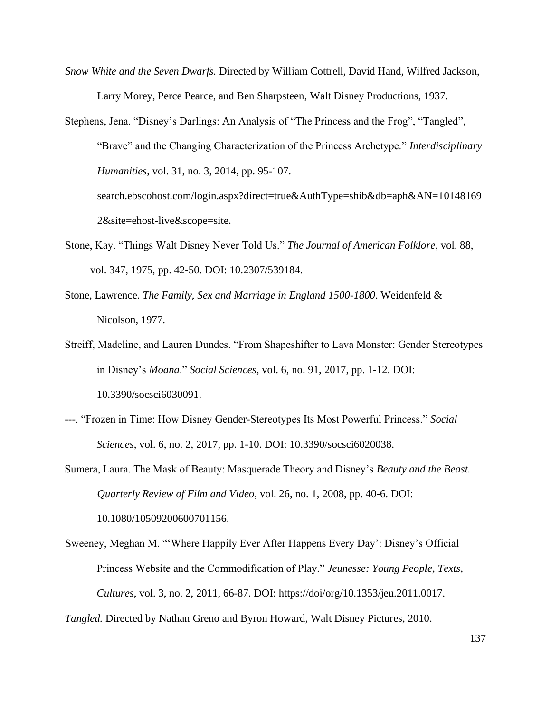*Snow White and the Seven Dwarfs.* Directed by William Cottrell, David Hand, Wilfred Jackson, Larry Morey, Perce Pearce, and Ben Sharpsteen, Walt Disney Productions, 1937.

Stephens, Jena. "Disney's Darlings: An Analysis of "The Princess and the Frog", "Tangled", "Brave" and the Changing Characterization of the Princess Archetype." *Interdisciplinary Humanities*, vol. 31, no. 3, 2014, pp. 95-107. search.ebscohost.com/login.aspx?direct=true&AuthType=shib&db=aph&AN=10148169 2&site=ehost-live&scope=site.

- Stone, Kay. "Things Walt Disney Never Told Us." *The Journal of American Folklore*, vol. 88, vol. 347, 1975, pp. 42-50. DOI: 10.2307/539184.
- Stone, Lawrence. *The Family, Sex and Marriage in England 1500-1800*. Weidenfeld & Nicolson, 1977.
- Streiff, Madeline, and Lauren Dundes. "From Shapeshifter to Lava Monster: Gender Stereotypes in Disney's *Moana*." *Social Sciences*, vol. 6, no. 91, 2017, pp. 1-12. DOI: 10.3390/socsci6030091.
- ---. "Frozen in Time: How Disney Gender-Stereotypes Its Most Powerful Princess." *Social Sciences*, vol. 6, no. 2, 2017, pp. 1-10. DOI: 10.3390/socsci6020038.
- Sumera, Laura. The Mask of Beauty: Masquerade Theory and Disney's *Beauty and the Beast. Quarterly Review of Film and Video*, vol. 26, no. 1, 2008, pp. 40-6. DOI: 10.1080/10509200600701156.
- Sweeney, Meghan M. "'Where Happily Ever After Happens Every Day': Disney's Official Princess Website and the Commodification of Play." *Jeunesse: Young People, Texts, Cultures*, vol. 3, no. 2, 2011, 66-87. DOI: https://doi/org/10.1353/jeu.2011.0017.

*Tangled.* Directed by Nathan Greno and Byron Howard, Walt Disney Pictures, 2010.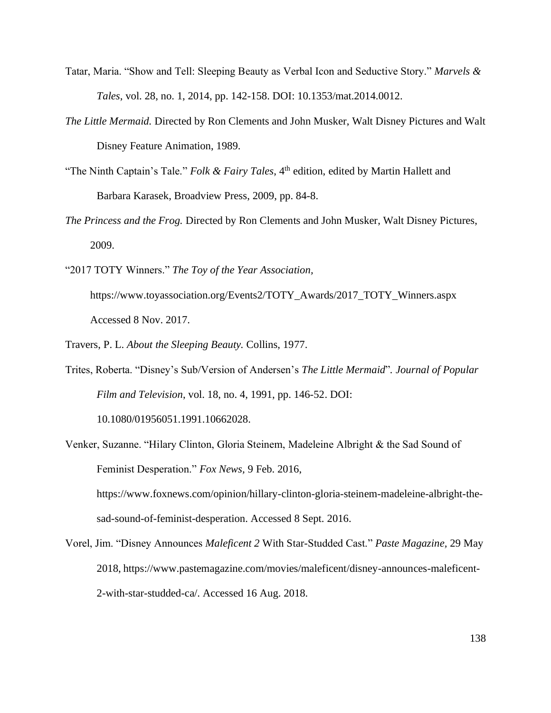- Tatar, Maria. "Show and Tell: Sleeping Beauty as Verbal Icon and Seductive Story." *Marvels & Tales*, vol. 28, no. 1, 2014, pp. 142-158. DOI: 10.1353/mat.2014.0012.
- *The Little Mermaid.* Directed by Ron Clements and John Musker, Walt Disney Pictures and Walt Disney Feature Animation, 1989.
- "The Ninth Captain's Tale." Folk & Fairy Tales, 4<sup>th</sup> edition, edited by Martin Hallett and Barbara Karasek, Broadview Press, 2009, pp. 84-8.
- *The Princess and the Frog.* Directed by Ron Clements and John Musker, Walt Disney Pictures, 2009.
- "2017 TOTY Winners." *The Toy of the Year Association,*

https://www.toyassociation.org/Events2/TOTY\_Awards/2017\_TOTY\_Winners.aspx Accessed 8 Nov. 2017.

- Travers, P. L. *About the Sleeping Beauty.* Collins, 1977.
- Trites, Roberta. "Disney's Sub/Version of Andersen's *The Little Mermaid*"*. Journal of Popular Film and Television*, vol. 18, no. 4, 1991, pp. 146-52. DOI: 10.1080/01956051.1991.10662028.
- Venker, Suzanne. "Hilary Clinton, Gloria Steinem, Madeleine Albright & the Sad Sound of Feminist Desperation." *Fox News,* 9 Feb. 2016, https://www.foxnews.com/opinion/hillary-clinton-gloria-steinem-madeleine-albright-thesad-sound-of-feminist-desperation. Accessed 8 Sept. 2016.
- Vorel, Jim. "Disney Announces *Maleficent 2* With Star-Studded Cast." *Paste Magazine,* 29 May 2018, https://www.pastemagazine.com/movies/maleficent/disney-announces-maleficent-2-with-star-studded-ca/. Accessed 16 Aug. 2018.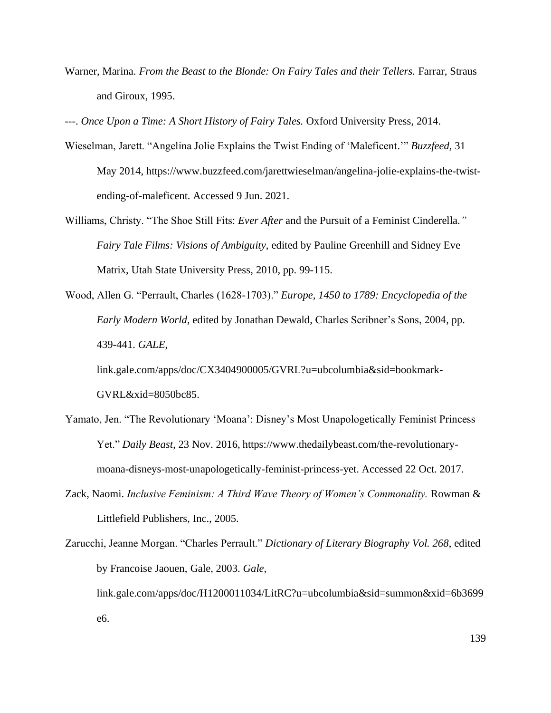- Warner, Marina. *From the Beast to the Blonde: On Fairy Tales and their Tellers.* Farrar, Straus and Giroux, 1995.
- ---. *Once Upon a Time: A Short History of Fairy Tales.* Oxford University Press, 2014.
- Wieselman, Jarett. "Angelina Jolie Explains the Twist Ending of 'Maleficent.'" *Buzzfeed,* 31 May 2014, https://www.buzzfeed.com/jarettwieselman/angelina-jolie-explains-the-twistending-of-maleficent. Accessed 9 Jun. 2021.
- Williams, Christy. "The Shoe Still Fits: *Ever After* and the Pursuit of a Feminist Cinderella.*" Fairy Tale Films: Visions of Ambiguity*, edited by Pauline Greenhill and Sidney Eve Matrix, Utah State University Press, 2010, pp. 99-115.
- Wood, Allen G. "Perrault, Charles (1628-1703)." *Europe, 1450 to 1789: Encyclopedia of the Early Modern World*, edited by Jonathan Dewald, Charles Scribner's Sons, 2004, pp. 439-441. *GALE*,

link.gale.com/apps/doc/CX3404900005/GVRL?u=ubcolumbia&sid=bookmark-GVRL&xid=8050bc85.

- Yamato, Jen. "The Revolutionary 'Moana': Disney's Most Unapologetically Feminist Princess Yet." *Daily Beast*, 23 Nov. 2016, https://www.thedailybeast.com/the-revolutionarymoana-disneys-most-unapologetically-feminist-princess-yet. Accessed 22 Oct. 2017.
- Zack, Naomi. *Inclusive Feminism: A Third Wave Theory of Women's Commonality.* Rowman & Littlefield Publishers, Inc., 2005.
- Zarucchi, Jeanne Morgan. "Charles Perrault." *Dictionary of Literary Biography Vol. 268*, edited by Francoise Jaouen, Gale, 2003. *Gale,*  link.gale.com/apps/doc/H1200011034/LitRC?u=ubcolumbia&sid=summon&xid=6b3699 e6.